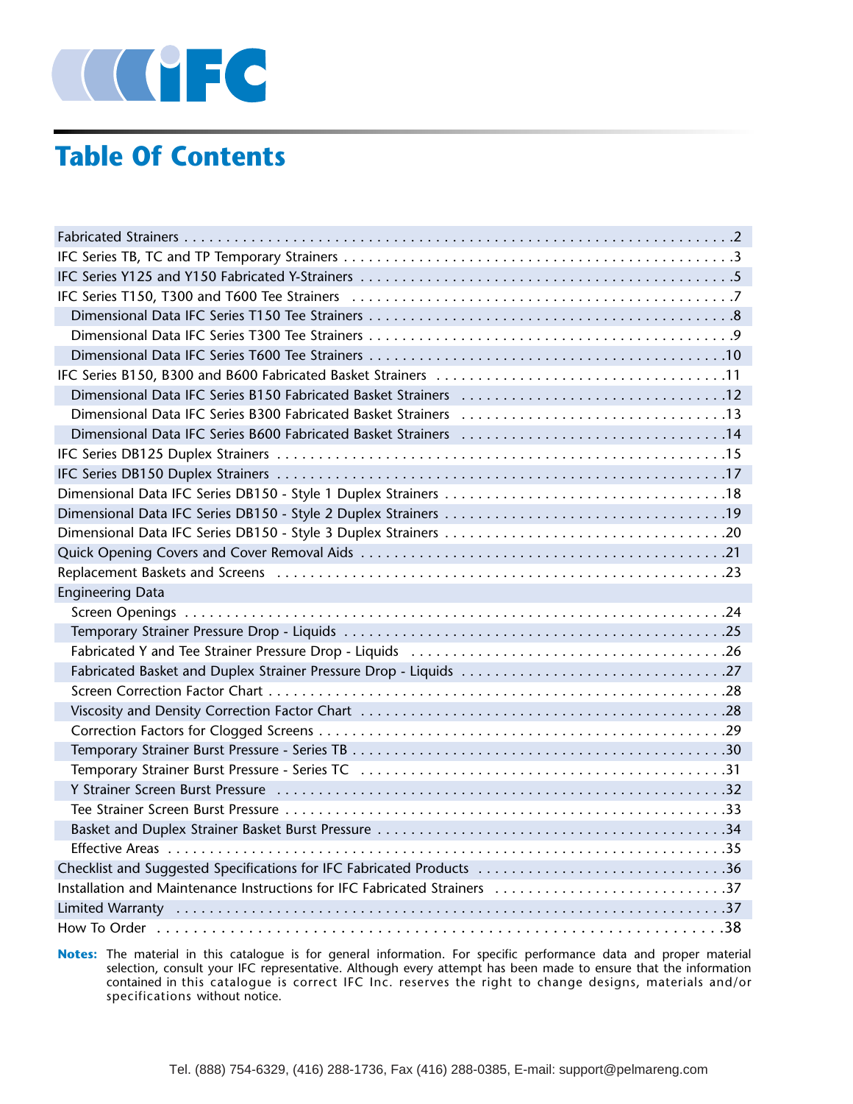

# **Table Of Contents**

| IFC Series T150, T300 and T600 Tee Strainers (a) respectively and the series of the Series T150, T300 and T600 Tee Strainers (a) respectively and the Series Series Series (3) |
|--------------------------------------------------------------------------------------------------------------------------------------------------------------------------------|
|                                                                                                                                                                                |
|                                                                                                                                                                                |
|                                                                                                                                                                                |
|                                                                                                                                                                                |
|                                                                                                                                                                                |
|                                                                                                                                                                                |
|                                                                                                                                                                                |
|                                                                                                                                                                                |
|                                                                                                                                                                                |
|                                                                                                                                                                                |
|                                                                                                                                                                                |
|                                                                                                                                                                                |
|                                                                                                                                                                                |
|                                                                                                                                                                                |
| <b>Engineering Data</b>                                                                                                                                                        |
|                                                                                                                                                                                |
|                                                                                                                                                                                |
|                                                                                                                                                                                |
|                                                                                                                                                                                |
|                                                                                                                                                                                |
|                                                                                                                                                                                |
|                                                                                                                                                                                |
|                                                                                                                                                                                |
|                                                                                                                                                                                |
|                                                                                                                                                                                |
|                                                                                                                                                                                |
|                                                                                                                                                                                |
|                                                                                                                                                                                |
|                                                                                                                                                                                |
| Checklist and Suggested Specifications for IFC Fabricated Products 36                                                                                                          |
| Installation and Maintenance Instructions for IFC Fabricated Strainers 37                                                                                                      |
|                                                                                                                                                                                |

**Notes:** The material in this catalogue is for general information. For specific performance data and proper material selection, consult your IFC representative. Although every attempt has been made to ensure that the information contained in this catalogue is correct IFC Inc. reserves the right to change designs, materials and/or specifications without notice.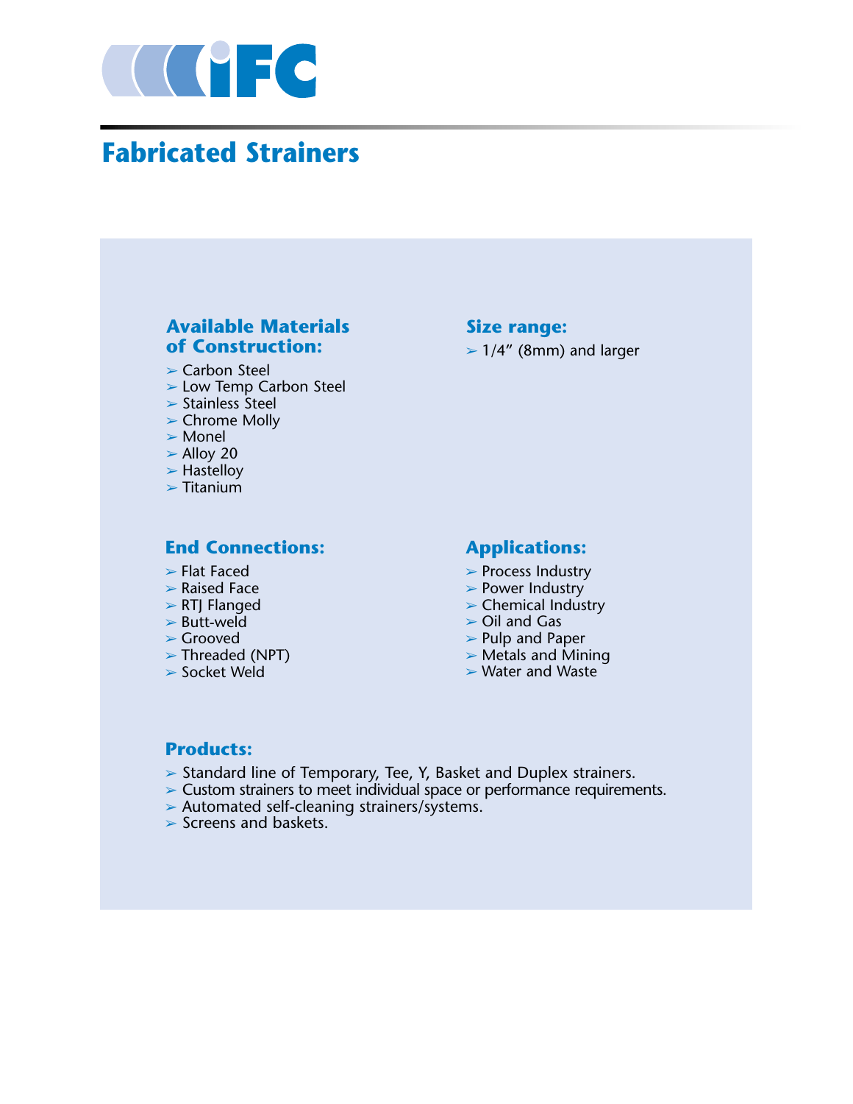

# **Fabricated Strainers**

### **Available Materials of Construction:**

 $\triangleright$  Carbon Steel

- ➢ Low Temp Carbon Steel
- $\triangleright$  Stainless Steel
- ➢ Chrome Molly
- ➢ Monel
- $>$  Alloy 20
- $>$  Hastelloy
- $\triangleright$  Titanium

### **End Connections:**

- $\blacktriangleright$  Flat Faced
- $\triangleright$  Raised Face
- ➢ RTJ Flanged
- $\triangleright$  Butt-weld
- ➢ Grooved
- ➢ Threaded (NPT)
- $\triangleright$  Socket Weld

## **Size range:**

 $>1/4''$  (8mm) and larger

### **Applications:**

- ➢ Process Industry
- ➢ Power Industry
- $\triangleright$  Chemical Industry
- $\triangleright$  Oil and Gas
- ➢ Pulp and Paper
- $\triangleright$  Metals and Mining
- ➢ Water and Waste

### **Products:**

- ➢ Standard line of Temporary, Tee, Y, Basket and Duplex strainers.
- ➢ Custom strainers to meet individual space or performance requirements.
- ➢ Automated self-cleaning strainers/systems.
- $\triangleright$  Screens and baskets.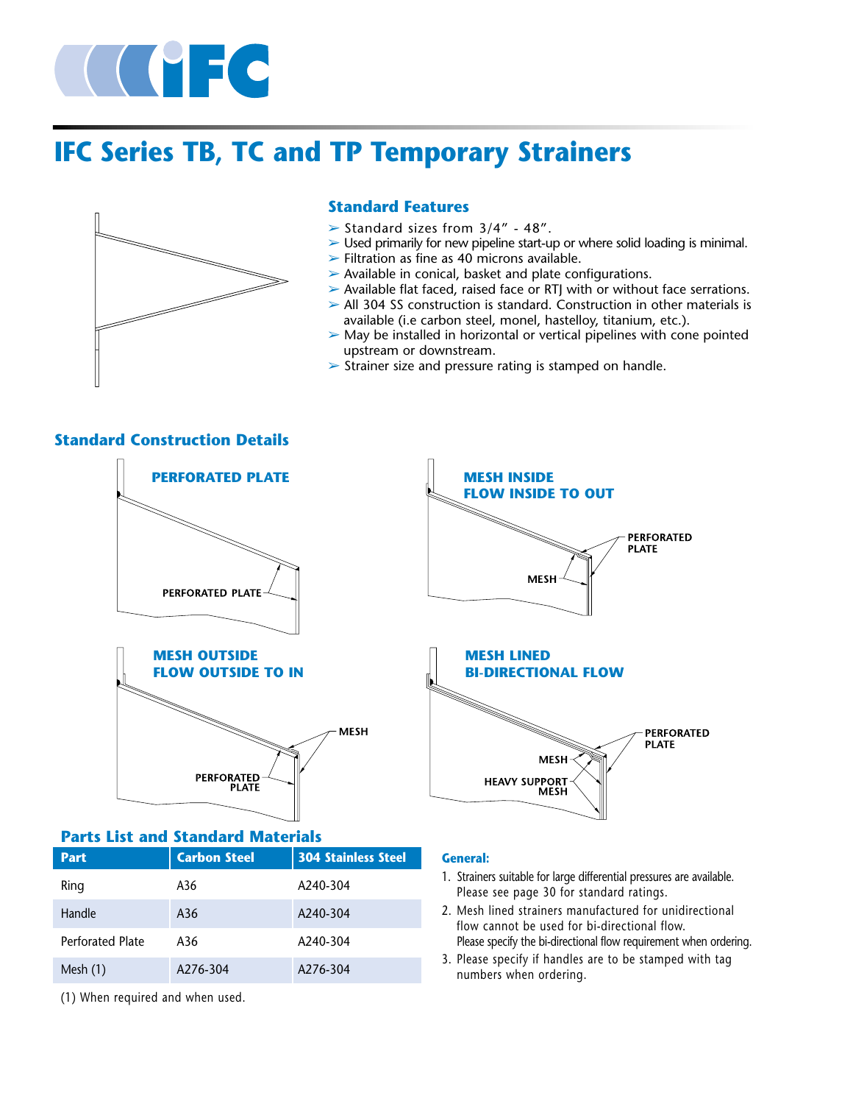

# **IFC Series TB, TC and TP Temporary Strainers**



### **Standard Features**

- $\triangleright$  Standard sizes from 3/4" 48".
- $\triangleright$  Used primarily for new pipeline start-up or where solid loading is minimal.
- $\triangleright$  Filtration as fine as 40 microns available.
- $\triangleright$  Available in conical, basket and plate configurations.
- $\triangleright$  Available flat faced, raised face or RTJ with or without face serrations.
- $\triangleright$  All 304 SS construction is standard. Construction in other materials is available (i.e carbon steel, monel, hastelloy, titanium, etc.).
- $\triangleright$  May be installed in horizontal or vertical pipelines with cone pointed upstream or downstream.
- $\triangleright$  Strainer size and pressure rating is stamped on handle.

### **Standard Construction Details**





# **MESH INSIDE FLOW INSIDE TO OUT PERFORATED PLATE MESH MESH LINED BI-DIRECTIONAL FLOW PERFORATED PLATE MESH**

**HEAVY SUPPORT** 

**MESH** 

### **Parts List and Standard Materials**

| <b>Part</b>             | <b>Carbon Steel</b> | <b>304 Stainless Steel</b> |  |  |  |
|-------------------------|---------------------|----------------------------|--|--|--|
| Ring                    | A36                 | A240-304                   |  |  |  |
| Handle                  | A36                 | A240-304                   |  |  |  |
| <b>Perforated Plate</b> | A36                 | A <sub>240-304</sub>       |  |  |  |
| Mesh $(1)$              | A276-304            | A276-304                   |  |  |  |

(1) When required and when used.

### **General:**

- 1. Strainers suitable for large differential pressures are available. Please see page 30 for standard ratings.
- 2. Mesh lined strainers manufactured for unidirectional flow cannot be used for bi-directional flow. Please specify the bi-directional flow requirement when ordering.
- 3. Please specify if handles are to be stamped with tag numbers when ordering.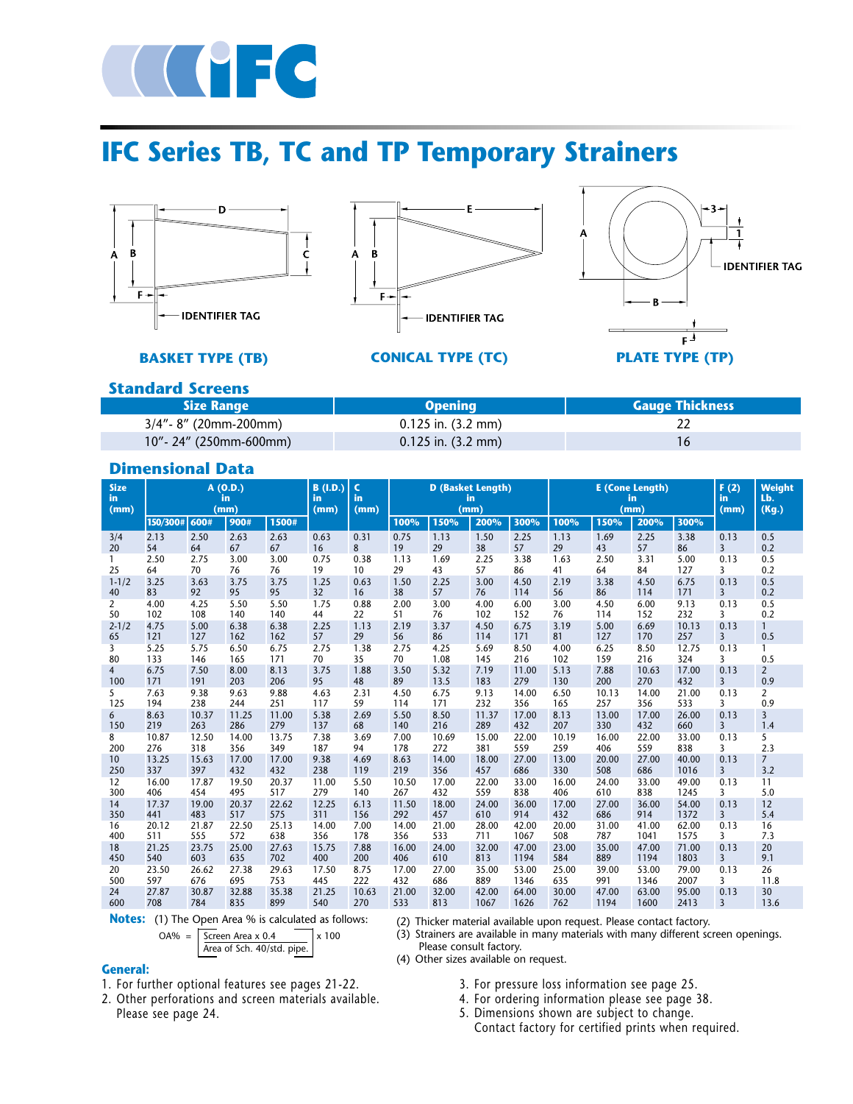

# **IFC Series TB, TC and TP Temporary Strainers**





**BASKET TYPE (TB) CONICAL TYPE (TC) PLATE TYPE (TP)**



### **Standard Screens**

| <b>Size Range</b>         | Openina                        | <b>Gauge Thickness</b> |
|---------------------------|--------------------------------|------------------------|
| $3/4"$ - 8" (20mm-200mm)  | $0.125$ in. $(3.2 \text{ mm})$ |                        |
| $10"$ - 24" (250mm-600mm) | $0.125$ in. $(3.2 \text{ mm})$ |                        |

### **Dimensional Data**

| <b>Size</b><br>in<br>(mm) |          |       | A(0.D.)<br>in<br>(mm) |       | B(1.D.)<br>in<br>(mm) | $\mathsf{C}$<br>in<br>(mm) | <b>D</b> (Basket Length)<br>in |       | <b>E</b> (Cone Length)<br>F(2)<br>in<br>in<br>(mm)<br>(mm)<br>(mm) |       |       |       |       | <b>Weight</b><br>Lb.<br>(Kg.) |                |                |
|---------------------------|----------|-------|-----------------------|-------|-----------------------|----------------------------|--------------------------------|-------|--------------------------------------------------------------------|-------|-------|-------|-------|-------------------------------|----------------|----------------|
|                           | 150/300# | 600#  | 900#                  | 1500# |                       |                            | 100%                           | 150%  | 200%                                                               | 300%  | 100%  | 150%  | 200%  | 300%                          |                |                |
| 3/4                       | 2.13     | 2.50  | 2.63                  | 2.63  | 0.63                  | 0.31                       | 0.75                           | 1.13  | 1.50                                                               | 2.25  | 1.13  | 1.69  | 2.25  | 3.38                          | 0.13           | 0.5            |
| 20                        | 54       | 64    | 67                    | 67    | 16                    | 8                          | 19                             | 29    | 38                                                                 | 57    | 29    | 43    | 57    | 86                            | $\overline{3}$ | 0.2            |
| 1                         | 2.50     | 2.75  | 3.00                  | 3.00  | 0.75                  | 0.38                       | 1.13                           | 1.69  | 2.25                                                               | 3.38  | 1.63  | 2.50  | 3.31  | 5.00                          | 0.13           | 0.5            |
| 25                        | 64       | 70    | 76                    | 76    | 19                    | 10                         | 29                             | 43    | 57                                                                 | 86    | 41    | 64    | 84    | 127                           | 3              | 0.2            |
| $1 - 1/2$                 | 3.25     | 3.63  | 3.75                  | 3.75  | 1.25                  | 0.63                       | 1.50                           | 2.25  | 3.00                                                               | 4.50  | 2.19  | 3.38  | 4.50  | 6.75                          | 0.13           | 0.5            |
| 40                        | 83       | 92    | 95                    | 95    | 32                    | 16                         | 38                             | 57    | 76                                                                 | 114   | 56    | 86    | 114   | 171                           | $\overline{3}$ | 0.2            |
| 2                         | 4.00     | 4.25  | 5.50                  | 5.50  | 1.75                  | 0.88                       | 2.00                           | 3.00  | 4.00                                                               | 6.00  | 3.00  | 4.50  | 6.00  | 9.13                          | 0.13           | 0.5            |
| 50                        | 102      | 108   | 140                   | 140   | 44                    | 22                         | 51                             | 76    | 102                                                                | 152   | 76    | 114   | 152   | 232                           | 3              | 0.2            |
| $2 - 1/2$                 | 4.75     | 5.00  | 6.38                  | 6.38  | 2.25                  | 1.13                       | 2.19                           | 3.37  | 4.50                                                               | 6.75  | 3.19  | 5.00  | 6.69  | 10.13                         | 0.13           | $\mathbf{1}$   |
| 65                        | 121      | 127   | 162                   | 162   | 57                    | 29                         | 56                             | 86    | 114                                                                | 171   | 81    | 127   | 170   | 257                           | $\overline{3}$ | 0.5            |
| 3                         | 5.25     | 5.75  | 6.50                  | 6.75  | 2.75                  | 1.38                       | 2.75                           | 4.25  | 5.69                                                               | 8.50  | 4.00  | 6.25  | 8.50  | 12.75                         | 0.13           | 0.5            |
| 80                        | 133      | 146   | 165                   | 171   | 70                    | 35                         | 70                             | 1.08  | 145                                                                | 216   | 102   | 159   | 216   | 324                           | 3              |                |
| 4                         | 6.75     | 7.50  | 8.00                  | 8.13  | 3.75                  | 1.88                       | 3.50                           | 5.32  | 7.19                                                               | 11.00 | 5.13  | 7.88  | 10.63 | 17.00                         | 0.13           | $\overline{2}$ |
| 100                       | 171      | 191   | 203                   | 206   | 95                    | 48                         | 89                             | 13.5  | 183                                                                | 279   | 130   | 200   | 270   | 432                           | $\overline{3}$ | 0.9            |
| 5                         | 7.63     | 9.38  | 9.63                  | 9.88  | 4.63                  | 2.31                       | 4.50                           | 6.75  | 9.13                                                               | 14.00 | 6.50  | 10.13 | 14.00 | 21.00                         | 0.13           | $\overline{2}$ |
| 125                       | 194      | 238   | 244                   | 251   | 117                   | 59                         | 114                            | 171   | 232                                                                | 356   | 165   | 257   | 356   | 533                           | 3              | 0.9            |
| 6                         | 8.63     | 10.37 | 11.25                 | 11.00 | 5.38                  | 2.69                       | 5.50                           | 8.50  | 11.37                                                              | 17.00 | 8.13  | 13.00 | 17.00 | 26.00                         | 0.13           | $\overline{3}$ |
| 150                       | 219      | 263   | 286                   | 279   | 137                   | 68                         | 140                            | 216   | 289                                                                | 432   | 207   | 330   | 432   | 660                           | $\overline{3}$ | 1.4            |
| 8                         | 10.87    | 12.50 | 14.00                 | 13.75 | 7.38                  | 3.69                       | 7.00                           | 10.69 | 15.00                                                              | 22.00 | 10.19 | 16.00 | 22.00 | 33.00                         | 0.13           | 5              |
| 200                       | 276      | 318   | 356                   | 349   | 187                   | 94                         | 178                            | 272   | 381                                                                | 559   | 259   | 406   | 559   | 838                           | $\overline{3}$ | 2.3            |
| 10                        | 13.25    | 15.63 | 17.00                 | 17.00 | 9.38                  | 4.69                       | 8.63                           | 14.00 | 18.00                                                              | 27.00 | 13.00 | 20.00 | 27.00 | 40.00                         | 0.13           | $\overline{7}$ |
| 250                       | 337      | 397   | 432                   | 432   | 238                   | 119                        | 219                            | 356   | 457                                                                | 686   | 330   | 508   | 686   | 1016                          | $\overline{3}$ | 3.2            |
| 12                        | 16.00    | 17.87 | 19.50                 | 20.37 | 11.00                 | 5.50                       | 10.50                          | 17.00 | 22.00                                                              | 33.00 | 16.00 | 24.00 | 33.00 | 49.00                         | 0.13           | 11             |
| 300                       | 406      | 454   | 495                   | 517   | 279                   | 140                        | 267                            | 432   | 559                                                                | 838   | 406   | 610   | 838   | 1245                          | 3              | 5.0            |
| 14                        | 17.37    | 19.00 | 20.37                 | 22.62 | 12.25                 | 6.13                       | 11.50                          | 18.00 | 24.00                                                              | 36.00 | 17.00 | 27.00 | 36.00 | 54.00                         | 0.13           | 12             |
| 350                       | 441      | 483   | 517                   | 575   | 311                   | 156                        | 292                            | 457   | 610                                                                | 914   | 432   | 686   | 914   | 1372                          | $\overline{3}$ | 5.4            |
| 16                        | 20.12    | 21.87 | 22.50                 | 25.13 | 14.00                 | 7.00                       | 14.00                          | 21.00 | 28.00                                                              | 42.00 | 20.00 | 31.00 | 41.00 | 62.00                         | 0.13           | 16             |
| 400                       | 511      | 555   | 572                   | 638   | 356                   | 178                        | 356                            | 533   | 711                                                                | 1067  | 508   | 787   | 1041  | 1575                          | 3              | 7.3            |
| 18                        | 21.25    | 23.75 | 25.00                 | 27.63 | 15.75                 | 7.88                       | 16.00                          | 24.00 | 32.00                                                              | 47.00 | 23.00 | 35.00 | 47.00 | 71.00                         | 0.13           | 20             |
| 450                       | 540      | 603   | 635                   | 702   | 400                   | 200                        | 406                            | 610   | 813                                                                | 1194  | 584   | 889   | 1194  | 1803                          | $\overline{3}$ | 9.1            |
| 20                        | 23.50    | 26.62 | 27.38                 | 29.63 | 17.50                 | 8.75                       | 17.00                          | 27.00 | 35.00                                                              | 53.00 | 25.00 | 39.00 | 53.00 | 79.00                         | 0.13           | 26             |
| 500                       | 597      | 676   | 695                   | 753   | 445                   | 222                        | 432                            | 686   | 889                                                                | 1346  | 635   | 991   | 1346  | 2007                          | 3              | 11.8           |
| 24                        | 27.87    | 30.87 | 32.88                 | 35.38 | 21.25                 | 10.63                      | 21.00                          | 32.00 | 42.00                                                              | 64.00 | 30.00 | 47.00 | 63.00 | 95.00                         | 0.13           | 30             |
| 600                       | 708      | 784   | 835                   | 899   | 540                   | 270                        | 533                            | 813   | 1067                                                               | 1626  | 762   | 1194  | 1600  | 2413                          | 3              | 13.6           |

OA% =  $\sqrt{\text{Screen Area} \times 0.4}$   $\sqrt{\text{times 100}}$ **Notes:** (1) The Open Area % is calculated as follows:

(2) Thicker material available upon request. Please contact factory.  $(3)$  Strainers are available in many materials with many different screen openings. Please consult factory.

Area of Sch. 40/std. pipe.

**General:**

(4) Other sizes available on request.

- 1. For further optional features see pages 21-22.
- 2. Other perforations and screen materials available. Please see page 24.
- 3. For pressure loss information see page 25. 4. For ordering information please see page 38.
- 5. Dimensions shown are subject to change.
- Contact factory for certified prints when required.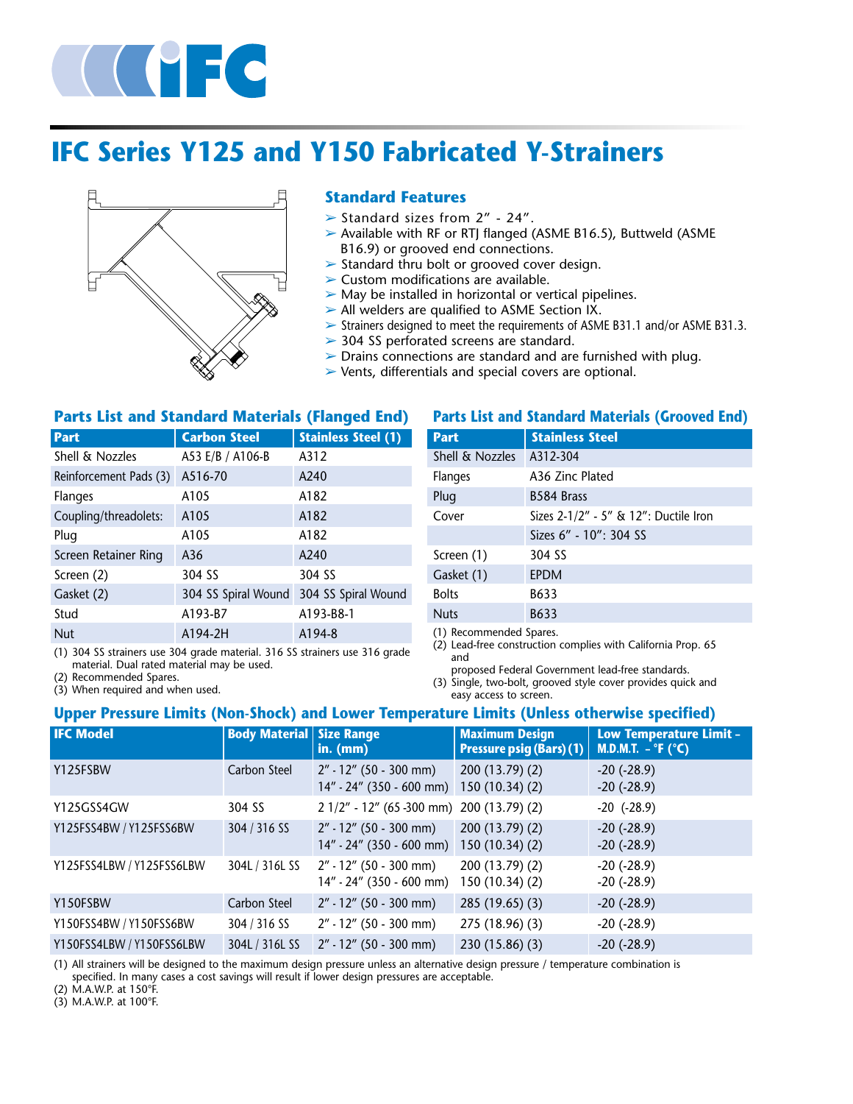

# **IFC Series Y125 and Y150 Fabricated Y-Strainers**



### **Standard Features**

- $\triangleright$  Standard sizes from 2" 24".
- ➢ Available with RF or RTJ flanged (ASME B16.5), Buttweld (ASME B16.9) or grooved end connections.
- ➢ Standard thru bolt or grooved cover design.
- $\triangleright$  Custom modifications are available.
- $\triangleright$  May be installed in horizontal or vertical pipelines.
- $\triangleright$  All welders are qualified to ASME Section IX.
- ➢ Strainers designed to meet the requirements of ASME B31.1 and/or ASME B31.3.
- ➢ 304 SS perforated screens are standard.
- $\triangleright$  Drains connections are standard and are furnished with plug.
- ➢ Vents, differentials and special covers are optional.

#### **Parts List and Standard Materials (Flanged End)**

| <b>Part</b>            | <b>Carbon Steel</b> | <b>Stainless Steel (1)</b> |
|------------------------|---------------------|----------------------------|
| Shell & Nozzles        | A53 E/B / A106-B    | A312                       |
| Reinforcement Pads (3) | A516-70             | A240                       |
| Flanges                | A105                | A182                       |
| Coupling/threadolets:  | A105                | A182                       |
| Plug                   | A105                | A182                       |
| Screen Retainer Ring   | A36                 | A240                       |
| Screen (2)             | 304 SS              | 304 SS                     |
| Gasket (2)             | 304 SS Spiral Wound | 304 SS Spiral Wound        |
| Stud                   | A193-B7             | A193-B8-1                  |
| <b>Nut</b>             | A194-2H             | A194-8                     |

(1) 304 SS strainers use 304 grade material. 316 SS strainers use 316 grade material. Dual rated material may be used.

(2) Recommended Spares.

(3) When required and when used.

#### **Parts List and Standard Materials (Grooved End)**

| <b>Part</b>                   | <b>Stainless Steel</b>                |  |  |  |  |
|-------------------------------|---------------------------------------|--|--|--|--|
| Shell & Nozzles               | A312-304                              |  |  |  |  |
| <b>Flanges</b>                | A36 Zinc Plated                       |  |  |  |  |
| Plug                          | B584 Brass                            |  |  |  |  |
| Cover                         | Sizes 2-1/2" - 5" & 12": Ductile Iron |  |  |  |  |
|                               | Sizes 6" - 10": 304 SS                |  |  |  |  |
| Screen (1)                    | 304 SS                                |  |  |  |  |
| Gasket (1)                    | <b>EPDM</b>                           |  |  |  |  |
| <b>Bolts</b>                  | B633                                  |  |  |  |  |
| <b>Nuts</b>                   | B633                                  |  |  |  |  |
| $(1)$ December of ded Concern |                                       |  |  |  |  |

(1) Recommended Spares.

(2) Lead-free construction complies with California Prop. 65 and

proposed Federal Government lead-free standards.

(3) Single, two-bolt, grooved style cover provides quick and easy access to screen.

### **Upper Pressure Limits (Non-Shock) and Lower Temperature Limits (Unless otherwise specified)**

| <b>IFC Model</b>          | <b>Body Material   Size Range</b> | in. (mm)                                                 | <b>Maximum Design</b><br><b>Pressure psig (Bars) (1)</b> | <b>Low Temperature Limit -</b><br>M.D.M.T. $-$ °F (°C) |
|---------------------------|-----------------------------------|----------------------------------------------------------|----------------------------------------------------------|--------------------------------------------------------|
| Y125FSBW                  | Carbon Steel                      | $2'' - 12''$ (50 - 300 mm)<br>14" - 24" (350 - 600 mm)   | 200 (13.79) (2)<br>150(10.34)(2)                         | $-20$ $(-28.9)$<br>$-20$ ( $-28.9$ )                   |
| Y125GSS4GW                | 304 SS                            | 2 1/2" - 12" (65 -300 mm) 200 (13.79) (2)                |                                                          | $-20$ $(-28.9)$                                        |
| Y125FSS4BW / Y125FSS6BW   | 304 / 316 SS                      | $2'' - 12''$ (50 - 300 mm)<br>$14" - 24"$ (350 - 600 mm) | 200(13.79)(2)<br>150(10.34)(2)                           | $-20$ $(-28.9)$<br>$-20$ ( $-28.9$ )                   |
| Y125FSS4LBW / Y125FSS6LBW | 304L / 316L SS                    | $2'' - 12''$ (50 - 300 mm)<br>14" - 24" (350 - 600 mm)   | 200(13.79)(2)<br>150 (10.34) (2)                         | $-20$ $(-28.9)$<br>$-20$ ( $-28.9$ )                   |
| Y150FSBW                  | Carbon Steel                      | $2'' - 12''$ (50 - 300 mm)                               | 285 (19.65) (3)                                          | $-20$ $(-28.9)$                                        |
| Y150FSS4BW / Y150FSS6BW   | 304 / 316 SS                      | $2'' - 12''$ (50 - 300 mm)                               | 275 (18.96) (3)                                          | $-20$ $(-28.9)$                                        |
| Y150FSS4LBW / Y150FSS6LBW | 304L / 316L SS                    | $2'' - 12''$ (50 - 300 mm)                               | 230(15.86)(3)                                            | $-20$ $(-28.9)$                                        |

(1) All strainers will be designed to the maximum design pressure unless an alternative design pressure / temperature combination is specified. In many cases a cost savings will result if lower design pressures are acceptable.

(2) M.A.W.P. at 150°F.

(3) M.A.W.P. at 100°F.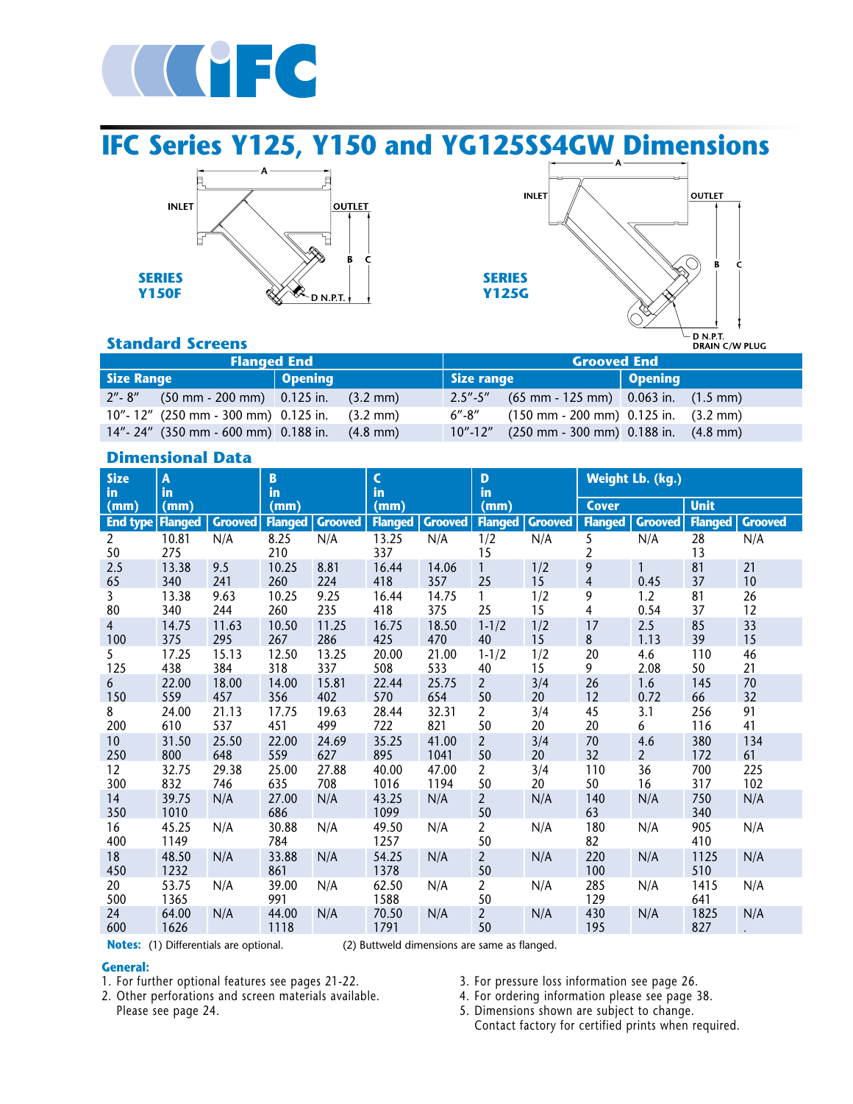

**IFC Series Y125, Y150 and YG125SS4GW Dimensions**





### **Standard Screens**

| Flanged End       |                                                 |         |                    | <b>Grooved End</b> |                                                   |         |  |  |  |
|-------------------|-------------------------------------------------|---------|--------------------|--------------------|---------------------------------------------------|---------|--|--|--|
| <b>Size Range</b> |                                                 | Opening |                    | Size range         |                                                   | Opening |  |  |  |
|                   | $2'' - 8''$ (50 mm - 200 mm) 0.125 in. (3.2 mm) |         |                    |                    | $2.5'' - 5''$ (65 mm - 125 mm) 0.063 in. (1.5 mm) |         |  |  |  |
|                   | 10"-12" (250 mm - 300 mm) 0.125 in. (3.2 mm)    |         |                    |                    | $6''-8''$ (150 mm - 200 mm) 0.125 in. (3.2 mm)    |         |  |  |  |
|                   | 14"-24" (350 mm - 600 mm) 0.188 in.             |         | $(4.8 \text{ mm})$ |                    | $10"$ -12" (250 mm - 300 mm) 0.188 in. (4.8 mm)   |         |  |  |  |

### **Dimensional Data**

| <b>Size</b><br>in.    | A<br>B<br>in<br>in |                | $\mathsf{C}$<br>$\mathbf{D}$<br>in<br>in |                |                | Weight Lb. (kg.) |                      |                |                     |                       |                |                |
|-----------------------|--------------------|----------------|------------------------------------------|----------------|----------------|------------------|----------------------|----------------|---------------------|-----------------------|----------------|----------------|
| (mm)                  | (mm)               |                | (mm)                                     |                | (mm)           |                  | (mm)                 |                | <b>Cover</b>        |                       | <b>Unit</b>    |                |
| <b>End type</b>       | <b>Flanged</b>     | <b>Grooved</b> | <b>Flanged</b>                           | <b>Grooved</b> | <b>Flanged</b> | <b>Grooved</b>   | <b>Flanged</b>       | <b>Grooved</b> | <b>Flanged</b>      | <b>Grooved</b>        | <b>Flanged</b> | <b>Grooved</b> |
| $\overline{2}$<br>50  | 10.81<br>275       | N/A            | 8.25<br>210                              | N/A            | 13.25<br>337   | N/A              | 1/2<br>15            | N/A            | 5<br>$\overline{c}$ | N/A                   | 28<br>13       | N/A            |
| 2.5<br>65             | 13.38<br>340       | 9.5<br>241     | 10.25<br>260                             | 8.81<br>224    | 16.44<br>418   | 14.06<br>357     | 1<br>25              | 1/2<br>15      | 9<br>$\overline{4}$ | 0.45                  | 81<br>37       | 21<br>10       |
| $\overline{3}$<br>80  | 13.38<br>340       | 9.63<br>244    | 10.25<br>260                             | 9.25<br>235    | 16.44<br>418   | 14.75<br>375     | 1<br>25              | 1/2<br>15      | 9<br>4              | 1.2<br>0.54           | 81<br>37       | 26<br>12       |
| $\overline{4}$<br>100 | 14.75<br>375       | 11.63<br>295   | 10.50<br>267                             | 11.25<br>286   | 16.75<br>425   | 18.50<br>470     | $1 - 1/2$<br>40      | 1/2<br>15      | 17<br>$\bf 8$       | 2.5<br>1.13           | 85<br>39       | 33<br>15       |
| 5<br>125              | 17.25<br>438       | 15.13<br>384   | 12.50<br>318                             | 13.25<br>337   | 20.00<br>508   | 21.00<br>533     | $1 - 1/2$<br>40      | 1/2<br>15      | 20<br>9             | 4.6<br>2.08           | 110<br>50      | 46<br>21       |
| 6<br>150              | 22.00<br>559       | 18.00<br>457   | 14.00<br>356                             | 15.81<br>402   | 22.44<br>570   | 25.75<br>654     | $\overline{2}$<br>50 | 3/4<br>20      | 26<br>12            | 1.6<br>0.72           | 145<br>66      | 70<br>32       |
| 8<br>200              | 24.00<br>610       | 21.13<br>537   | 17.75<br>451                             | 19.63<br>499   | 28.44<br>722   | 32.31<br>821     | $\overline{2}$<br>50 | 3/4<br>20      | 45<br>20            | 3.1<br>6              | 256<br>116     | 91<br>41       |
| 10<br>250             | 31.50<br>800       | 25.50<br>648   | 22.00<br>559                             | 24.69<br>627   | 35.25<br>895   | 41.00<br>1041    | $\overline{2}$<br>50 | 3/4<br>20      | 70<br>32            | 4.6<br>$\overline{2}$ | 380<br>172     | 134<br>61      |
| 12<br>300             | 32.75<br>832       | 29.38<br>746   | 25.00<br>635                             | 27.88<br>708   | 40.00<br>1016  | 47.00<br>1194    | $\overline{2}$<br>50 | 3/4<br>20      | 110<br>50           | 36<br>16              | 700<br>317     | 225<br>102     |
| 14<br>350             | 39.75<br>1010      | N/A            | 27.00<br>686                             | N/A            | 43.25<br>1099  | N/A              | $\overline{2}$<br>50 | N/A            | 140<br>63           | N/A                   | 750<br>340     | N/A            |
| 16<br>400             | 45.25<br>1149      | N/A            | 30.88<br>784                             | N/A            | 49.50<br>1257  | N/A              | $\overline{a}$<br>50 | N/A            | 180<br>82           | N/A                   | 905<br>410     | N/A            |
| 18<br>450             | 48.50<br>1232      | N/A            | 33.88<br>861                             | N/A            | 54.25<br>1378  | N/A              | $\overline{2}$<br>50 | N/A            | 220<br>100          | N/A                   | 1125<br>510    | N/A            |
| 20<br>500             | 53.75<br>1365      | N/A            | 39.00<br>991                             | N/A            | 62.50<br>1588  | N/A              | $\overline{a}$<br>50 | N/A            | 285<br>129          | N/A                   | 1415<br>641    | N/A            |
| 24<br>600             | 64.00<br>1626      | N/A            | 44.00<br>1118                            | N/A            | 70.50<br>1791  | N/A              | $\overline{a}$<br>50 | N/A            | 430<br>195          | N/A                   | 1825<br>827    | N/A            |

**Notes:** (1) Differentials are optional. (2) Buttweld dimensions are same as flanged.

#### **General:**

1. For further optional features see pages 21-22.

2. Other perforations and screen materials available. Please see page 24.

- 3. For pressure loss information see page 26.
- 4. For ordering information please see page 38.
- 5. Dimensions shown are subject to change. Contact factory for certified prints when required.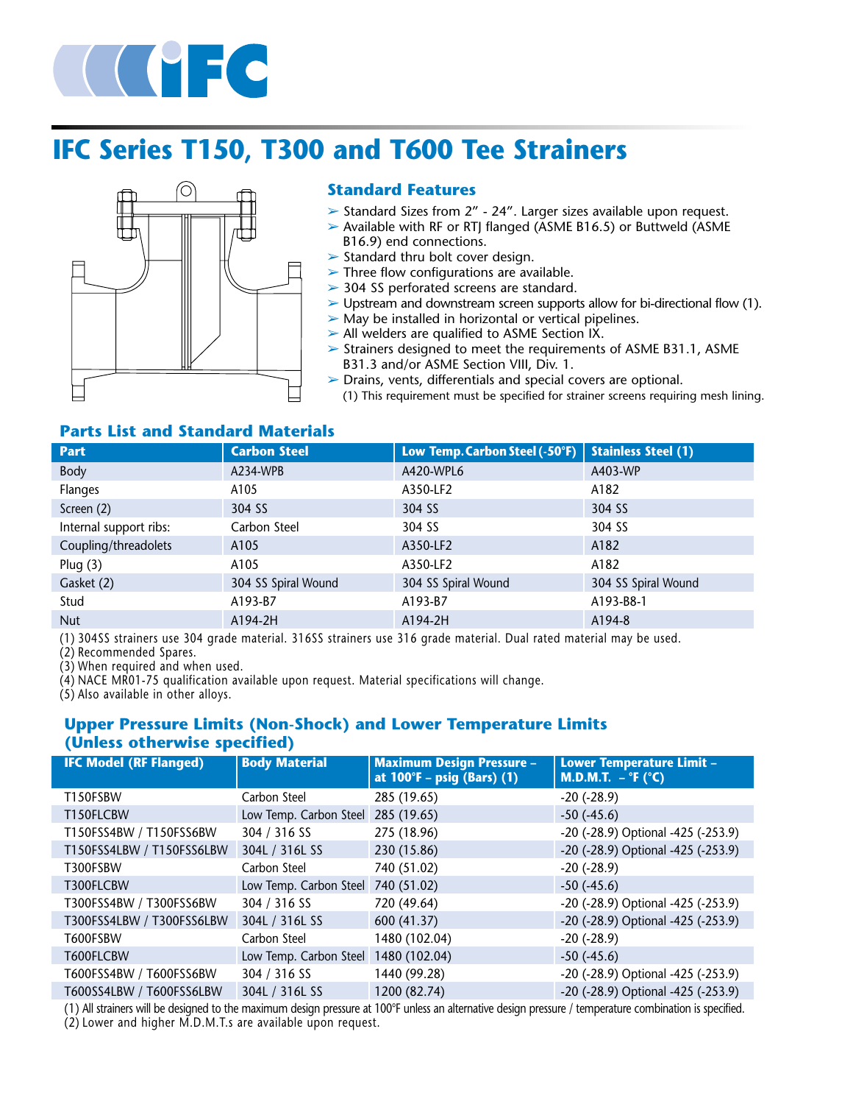

# **IFC Series T150, T300 and T600 Tee Strainers**



### **Standard Features**

- ➢ Standard Sizes from 2" 24". Larger sizes available upon request.
- ➢ Available with RF or RTJ flanged (ASME B16.5) or Buttweld (ASME B16.9) end connections.
- $\triangleright$  Standard thru bolt cover design.
- $\triangleright$  Three flow configurations are available.
- ➢ 304 SS perforated screens are standard.
- ➢ Upstream and downstream screen supports allow for bi-directional flow (1).
- $\triangleright$  May be installed in horizontal or vertical pipelines.
- $\triangleright$  All welders are qualified to ASME Section IX.
- $\geq$  Strainers designed to meet the requirements of ASME B31.1, ASME B31.3 and/or ASME Section VIII, Div. 1.
- ➢ Drains, vents, differentials and special covers are optional.
- (1) This requirement must be specified for strainer screens requiring mesh lining.

### **Parts List and Standard Materials**

| <b>Part</b>               | <b>Carbon Steel</b> | Low Temp. Carbon Steel (-50°F) | <b>Stainless Steel (1)</b> |
|---------------------------|---------------------|--------------------------------|----------------------------|
| Body                      | A234-WPB            | A420-WPL6                      | A403-WP                    |
| Flanges                   | A105                | A350-LF2                       | A182                       |
| Screen (2)                | 304 SS              | 304 SS                         | 304 SS                     |
| Internal support ribs:    | Carbon Steel        | 304 SS                         | 304 SS                     |
| Coupling/threadolets      | A105                | A350-LF2                       | A182                       |
| Plug $(3)$                | A105                | A350-LF2                       | A182                       |
| Gasket (2)                | 304 SS Spiral Wound | 304 SS Spiral Wound            | 304 SS Spiral Wound        |
| Stud                      | A193-B7             | A193-B7                        | A193-B8-1                  |
| <b>Nut</b>                | A194-2H             | A194-2H                        | A194-8                     |
| $(4)$ $20$ $100$ $1$<br>. |                     |                                |                            |

(1) 304SS strainers use 304 grade material. 316SS strainers use 316 grade material. Dual rated material may be used.

(2) Recommended Spares.

(3) When required and when used.

(4) NACE MR01-75 qualification available upon request. Material specifications will change.

(5) Also available in other alloys.

### **Upper Pressure Limits (Non-Shock) and Lower Temperature Limits (Unless otherwise specified)**

| <b>IFC Model (RF Flanged)</b> | <b>Body Material</b>   | <b>Maximum Design Pressure -</b><br>at 100°F - psig (Bars) (1) | <b>Lower Temperature Limit -</b><br>M.D.M.T. $-$ °F ( $\degree$ C) |
|-------------------------------|------------------------|----------------------------------------------------------------|--------------------------------------------------------------------|
| T150FSBW                      | Carbon Steel           | 285 (19.65)                                                    | $-20$ $(-28.9)$                                                    |
| T150FLCBW                     | Low Temp. Carbon Steel | 285 (19.65)                                                    | $-50$ ( $-45.6$ )                                                  |
| T150FSS4BW / T150FSS6BW       | 304 / 316 SS           | 275 (18.96)                                                    | -20 (-28.9) Optional -425 (-253.9)                                 |
| T150FSS4LBW / T150FSS6LBW     | 304L / 316L SS         | 230 (15.86)                                                    | -20 (-28.9) Optional -425 (-253.9)                                 |
| T300FSBW                      | Carbon Steel           | 740 (51.02)                                                    | $-20$ $(-28.9)$                                                    |
| T300FLCBW                     | Low Temp. Carbon Steel | 740 (51.02)                                                    | $-50$ ( $-45.6$ )                                                  |
| T300FSS4BW / T300FSS6BW       | 304 / 316 SS           | 720 (49.64)                                                    | -20 (-28.9) Optional -425 (-253.9)                                 |
| T300FSS4LBW / T300FSS6LBW     | 304L / 316L SS         | 600 (41.37)                                                    | -20 (-28.9) Optional -425 (-253.9)                                 |
| T600FSBW                      | Carbon Steel           | 1480 (102.04)                                                  | $-20$ $(-28.9)$                                                    |
| T600FLCBW                     | Low Temp. Carbon Steel | 1480 (102.04)                                                  | $-50$ ( $-45.6$ )                                                  |
| T600FSS4BW / T600FSS6BW       | 304 / 316 SS           | 1440 (99.28)                                                   | -20 (-28.9) Optional -425 (-253.9)                                 |
| T600SS4LBW / T600FSS6LBW      | 304L / 316L SS         | 1200 (82.74)                                                   | -20 (-28.9) Optional -425 (-253.9)                                 |

(1) All strainers will be designed to the maximum design pressure at 100°F unless an alternative design pressure / temperature combination is specified. (2) Lower and higher M.D.M.T.s are available upon request.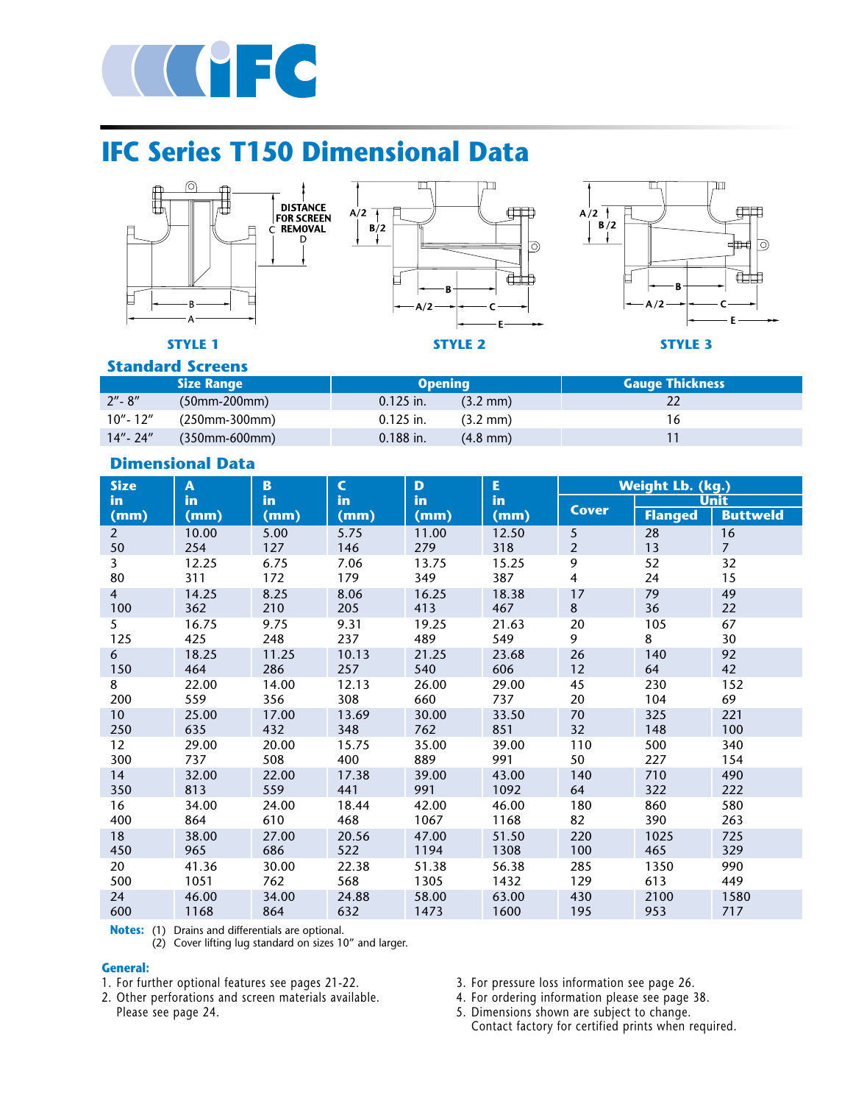

# **IFC Series T150 Dimensional Data**







**Standard Screens**

|             | <b>Size Range</b> | <b>Opening</b> | <b>Gauge Thickness</b> |  |  |  |  |  |  |  |
|-------------|-------------------|----------------|------------------------|--|--|--|--|--|--|--|
| $2'' - 8''$ | $(50mm-200mm)$    | $0.125$ in.    | $(3.2 \text{ mm})$     |  |  |  |  |  |  |  |
| $10"$ - 12" | (250mm-300mm)     | $0.125$ in.    | (3.2 mm)               |  |  |  |  |  |  |  |
| $14" - 24"$ | $(350mm - 600mm)$ | $0.188$ in.    | $(4.8 \text{ mm})$     |  |  |  |  |  |  |  |

### **Dimensional Data**

| <b>Size</b>    | A            | $\overline{\mathbf{B}}$ | $\mathsf{C}$ | D            | E            |                | <b>Weight Lb. (kg.)</b> |                 |
|----------------|--------------|-------------------------|--------------|--------------|--------------|----------------|-------------------------|-----------------|
| in.            | in           | in                      | in           | in           | in           | <b>Cover</b>   |                         | <b>Unit</b>     |
| (mm)           | (mm)         | (mm)                    | (mm)         | (mm)         | (mm)         |                | <b>Flanged</b>          | <b>Buttweld</b> |
| $\overline{2}$ | 10.00        | 5.00                    | 5.75         | 11.00        | 12.50        | 5              | 28                      | 16              |
| 50             | 254          | 127                     | 146          | 279          | 318          | $\overline{2}$ | 13                      | $7^{\circ}$     |
| $\overline{3}$ | 12.25        | 6.75                    | 7.06         | 13.75        | 15.25        | 9              | 52                      | 32              |
| 80             | 311          | 172                     | 179          | 349          | 387          | 4              | 24                      | 15              |
| $\overline{4}$ | 14.25        | 8.25                    | 8.06         | 16.25        | 18.38        | 17             | 79                      | 49              |
| 100            | 362          | 210                     | 205          | 413          | 467          | 8              | 36                      | 22              |
| 5              | 16.75        | 9.75                    | 9.31         | 19.25        | 21.63        | 20             | 105                     | 67              |
| 125            | 425          | 248                     | 237          | 489          | 549          | 9              | 8                       | 30              |
| 6              | 18.25        | 11.25                   | 10.13        | 21.25        | 23.68        | 26             | 140                     | 92              |
| 150            | 464          | 286                     | 257          | 540          | 606          | 12             | 64                      | 42              |
| 8              | 22.00        | 14.00                   | 12.13        | 26.00        | 29.00        | 45             | 230                     | 152             |
| 200            | 559          | 356                     | 308          | 660          | 737          | 20             | 104                     | 69              |
| 10<br>250      | 25.00<br>635 | 17.00<br>432            | 13.69<br>348 | 30.00<br>762 | 33.50<br>851 | 70<br>32       | 325<br>148              | 221<br>100      |
| 12             | 29.00        | 20.00                   | 15.75        | 35.00        | 39.00        | 110            | 500                     | 340             |
| 300            | 737          | 508                     | 400          | 889          | 991          | 50             | 227                     | 154             |
| 14             | 32.00        | 22.00                   | 17.38        | 39.00        | 43.00        | 140            | 710                     | 490             |
| 350            | 813          | 559                     | 441          | 991          | 1092         | 64             | 322                     | 222             |
| 16             | 34.00        | 24.00                   | 18.44        | 42.00        | 46.00        | 180            | 860                     | 580             |
| 400            | 864          | 610                     | 468          | 1067         | 1168         | 82             | 390                     | 263             |
| 18             | 38.00        | 27.00                   | 20.56        | 47.00        | 51.50        | 220            | 1025                    | 725             |
| 450            | 965          | 686                     | 522          | 1194         | 1308         | 100            | 465                     | 329             |
| 20             | 41.36        | 30.00                   | 22.38        | 51.38        | 56.38        | 285            | 1350                    | 990             |
| 500            | 1051         | 762                     | 568          | 1305         | 1432         | 129            | 613                     | 449             |
| 24             | 46.00        | 34.00                   | 24.88        | 58.00        | 63.00        | 430            | 2100                    | 1580            |
| 600            | 1168         | 864                     | 632          | 1473         | 1600         | 195            | 953                     | 717             |

**Notes:** (1) Drains and differentials are optional.

(2) Cover lifting lug standard on sizes 10" and larger.

#### **General:**

- 1. For further optional features see pages 21-22.
- 2. Other perforations and screen materials available. Please see page 24.
- 3. For pressure loss information see page 26.
- 4. For ordering information please see page 38.
- 5. Dimensions shown are subject to change. Contact factory for certified prints when required.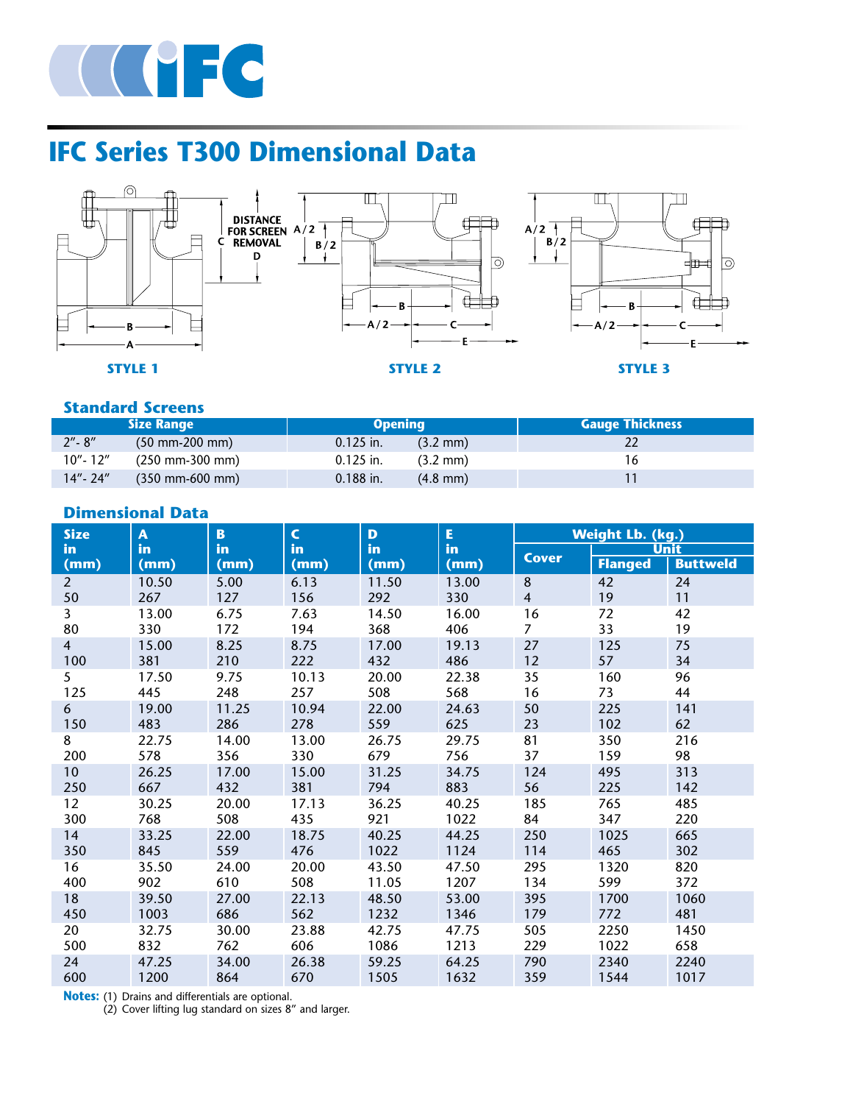

# **IFC Series T300 Dimensional Data**



### **Standard Screens**

|             | <b>Size Range</b>                   | <b>Opening</b> |                    | <b>Gauge Thickness</b> |
|-------------|-------------------------------------|----------------|--------------------|------------------------|
| $2'' - 8''$ | $(50 \text{ mm} - 200 \text{ mm})$  | $0.125$ in.    | $(3.2 \text{ mm})$ | 22                     |
| 10"- 12"    | $(250 \text{ mm} - 300 \text{ mm})$ | $0.125$ in.    | $(3.2 \text{ mm})$ | 16                     |
| $14" - 24"$ | $(350 \text{ mm} - 600 \text{ mm})$ | $0.188$ in.    | $(4.8 \text{ mm})$ |                        |

### **Dimensional Data**

| <b>Size</b>     | A     | $\mathbf{B}$ | $\mathsf{C}$ | $\mathbf{D}$ | E     | <b>Weight Lb. (kg.)</b> |                |                 |
|-----------------|-------|--------------|--------------|--------------|-------|-------------------------|----------------|-----------------|
| <b>in</b>       | in    | in           | in           | in           | in    | <b>Cover</b>            |                | <b>Unit</b>     |
| (mm)            | (mm)  | (mm)         | (mm)         | (mm)         | (mm)  |                         | <b>Flanged</b> | <b>Buttweld</b> |
| $\overline{2}$  | 10.50 | 5.00         | 6.13         | 11.50        | 13.00 | $\bf 8$                 | 42             | 24              |
| 50              | 267   | 127          | 156          | 292          | 330   | $\overline{4}$          | 19             | 11              |
| 3               | 13.00 | 6.75         | 7.63         | 14.50        | 16.00 | 16                      | 72             | 42              |
| 80              | 330   | 172          | 194          | 368          | 406   | $\overline{7}$          | 33             | 19              |
| $\overline{4}$  | 15.00 | 8.25         | 8.75         | 17.00        | 19.13 | 27                      | 125            | 75              |
| 100             | 381   | 210          | 222          | 432          | 486   | 12                      | 57             | 34              |
| 5               | 17.50 | 9.75         | 10.13        | 20.00        | 22.38 | 35                      | 160            | 96              |
| 125             | 445   | 248          | 257          | 508          | 568   | 16                      | 73             | 44              |
| 6               | 19.00 | 11.25        | 10.94        | 22.00        | 24.63 | 50                      | 225            | 141             |
| 150             | 483   | 286          | 278          | 559          | 625   | 23                      | 102            | 62              |
| 8               | 22.75 | 14.00        | 13.00        | 26.75        | 29.75 | 81                      | 350            | 216             |
| 200             | 578   | 356          | 330          | 679          | 756   | 37                      | 159            | 98              |
| 10              | 26.25 | 17.00        | 15.00        | 31.25        | 34.75 | 124                     | 495            | 313             |
| 250             | 667   | 432          | 381          | 794          | 883   | 56                      | 225            | 142             |
| 12 <sup>2</sup> | 30.25 | 20.00        | 17.13        | 36.25        | 40.25 | 185                     | 765            | 485             |
| 300             | 768   | 508          | 435          | 921          | 1022  | 84                      | 347            | 220             |
| 14              | 33.25 | 22.00        | 18.75        | 40.25        | 44.25 | 250                     | 1025           | 665             |
| 350             | 845   | 559          | 476          | 1022         | 1124  | 114                     | 465            | 302             |
| 16              | 35.50 | 24.00        | 20.00        | 43.50        | 47.50 | 295                     | 1320           | 820             |
| 400             | 902   | 610          | 508          | 11.05        | 1207  | 134                     | 599            | 372             |
| 18              | 39.50 | 27.00        | 22.13        | 48.50        | 53.00 | 395                     | 1700           | 1060            |
| 450             | 1003  | 686          | 562          | 1232         | 1346  | 179                     | 772            | 481             |
| 20              | 32.75 | 30.00        | 23.88        | 42.75        | 47.75 | 505                     | 2250           | 1450            |
| 500             | 832   | 762          | 606          | 1086         | 1213  | 229                     | 1022           | 658             |
| 24              | 47.25 | 34.00        | 26.38        | 59.25        | 64.25 | 790                     | 2340           | 2240            |
| 600             | 1200  | 864          | 670          | 1505         | 1632  | 359                     | 1544           | 1017            |

**Notes:** (1) Drains and differentials are optional.

(2) Cover lifting lug standard on sizes 8" and larger.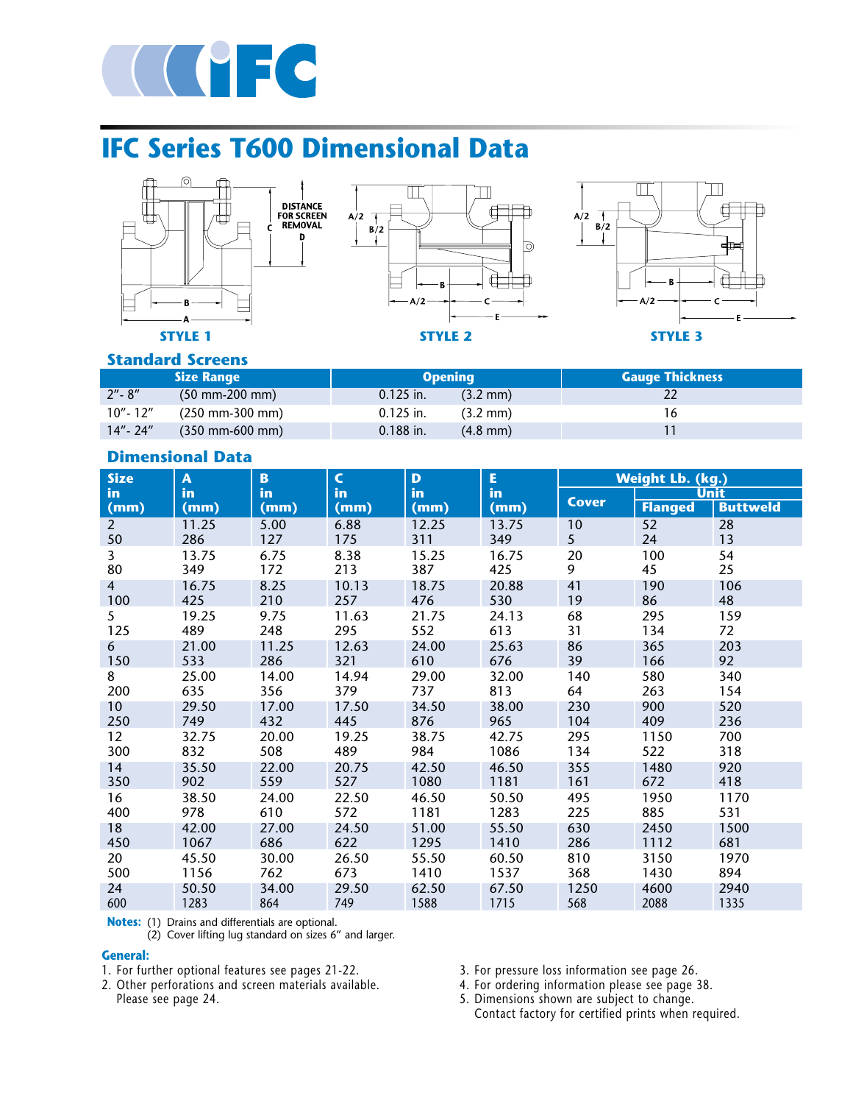

# **IFC Series T600 Dimensional Data**



### **Standard Screens**

|             | <b>Size Range</b>                   |             | <b>Opening</b>     | <b>Gauge Thickness</b> |
|-------------|-------------------------------------|-------------|--------------------|------------------------|
| $2'' - 8''$ | $(50 \text{ mm} - 200 \text{ mm})$  | $0.125$ in. | $(3.2 \text{ mm})$ |                        |
| 10"- 12"    | (250 mm-300 mm)                     | $0.125$ in. | $(3.2 \text{ mm})$ |                        |
| 14"- 24"    | $(350 \text{ mm} - 600 \text{ mm})$ | $0.188$ in. | $(4.8 \text{ mm})$ |                        |

# **Dimensional Data**

| <b>Size</b>    | $\mathbf{A}$ | <b>B</b> | $\mathsf{C}$ | D     | E     | <b>Weight Lb. (kg.)</b> |                |                 |
|----------------|--------------|----------|--------------|-------|-------|-------------------------|----------------|-----------------|
| in             | in.          | in       | in           | in    | in    |                         | <b>Unit</b>    |                 |
| (mm)           | (mm)         | (mm)     | (mm)         | (mm)  | (mm)  | <b>Cover</b>            | <b>Flanged</b> | <b>Buttweld</b> |
| $\overline{2}$ | 11.25        | 5.00     | 6.88         | 12.25 | 13.75 | 10                      | 52             | 28              |
| 50             | 286          | 127      | 175          | 311   | 349   | 5 <sup>5</sup>          | 24             | 13              |
| $\overline{3}$ | 13.75        | 6.75     | 8.38         | 15.25 | 16.75 | 20                      | 100            | 54              |
| 80             | 349          | 172      | 213          | 387   | 425   | 9                       | 45             | 25              |
| $\overline{4}$ | 16.75        | 8.25     | 10.13        | 18.75 | 20.88 | 41                      | 190            | 106             |
| 100            | 425          | 210      | 257          | 476   | 530   | 19                      | 86             | 48              |
| 5              | 19.25        | 9.75     | 11.63        | 21.75 | 24.13 | 68                      | 295            | 159             |
| 125            | 489          | 248      | 295          | 552   | 613   | 31                      | 134            | 72              |
| 6              | 21.00        | 11.25    | 12.63        | 24.00 | 25.63 | 86                      | 365            | 203             |
| 150            | 533          | 286      | 321          | 610   | 676   | 39                      | 166            | 92              |
| 8              | 25.00        | 14.00    | 14.94        | 29.00 | 32.00 | 140                     | 580            | 340             |
| 200            | 635          | 356      | 379          | 737   | 813   | 64                      | 263            | 154             |
| 10             | 29.50        | 17.00    | 17.50        | 34.50 | 38.00 | 230                     | 900            | 520             |
| 250            | 749          | 432      | 445          | 876   | 965   | 104                     | 409            | 236             |
| 12             | 32.75        | 20.00    | 19.25        | 38.75 | 42.75 | 295                     | 1150           | 700             |
| 300            | 832          | 508      | 489          | 984   | 1086  | 134                     | 522            | 318             |
| 14             | 35.50        | 22.00    | 20.75        | 42.50 | 46.50 | 355                     | 1480           | 920             |
| 350            | 902          | 559      | 527          | 1080  | 1181  | 161                     | 672            | 418             |
| 16             | 38.50        | 24.00    | 22.50        | 46.50 | 50.50 | 495                     | 1950           | 1170            |
| 400            | 978          | 610      | 572          | 1181  | 1283  | 225                     | 885            | 531             |
| 18             | 42.00        | 27.00    | 24.50        | 51.00 | 55.50 | 630                     | 2450           | 1500            |
| 450            | 1067         | 686      | 622          | 1295  | 1410  | 286                     | 1112           | 681             |
| 20             | 45.50        | 30.00    | 26.50        | 55.50 | 60.50 | 810                     | 3150           | 1970            |
| 500            | 1156         | 762      | 673          | 1410  | 1537  | 368                     | 1430           | 894             |
| 24             | 50.50        | 34.00    | 29.50        | 62.50 | 67.50 | 1250                    | 4600           | 2940            |
| 600            | 1283         | 864      | 749          | 1588  | 1715  | 568                     | 2088           | 1335            |

**Notes:** (1) Drains and differentials are optional.  $(2)$  Cover lifting lug standard on sizes 6" and larger.

#### **General:**

1. For further optional features see pages 21-22.

2. Other perforations and screen materials available. Please see page 24.

- 3. For pressure loss information see page 26.
- 4. For ordering information please see page 38.
- 5. Dimensions shown are subject to change. Contact factory for certified prints when required.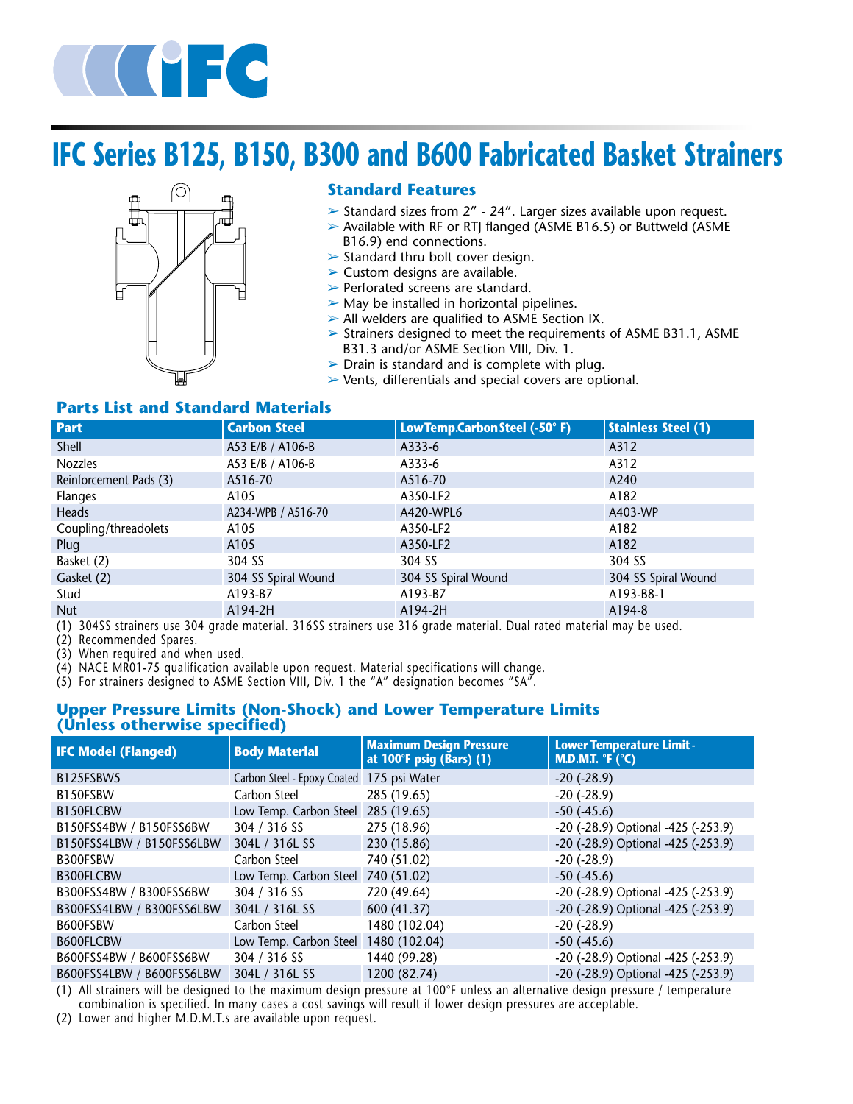

# **IFC Series B125, B150, B300 and B600 Fabricated Basket Strainers**



### **Standard Features**

- ➢ Standard sizes from 2" 24". Larger sizes available upon request.
- ➢ Available with RF or RTJ flanged (ASME B16.5) or Buttweld (ASME B16.9) end connections.
- $\triangleright$  Standard thru bolt cover design.
- $\triangleright$  Custom designs are available.
- ➢ Perforated screens are standard.
- $\triangleright$  May be installed in horizontal pipelines.
- ➢ All welders are qualified to ASME Section IX.
- ➢ Strainers designed to meet the requirements of ASME B31.1, ASME B31.3 and/or ASME Section VIII, Div. 1.
- $\triangleright$  Drain is standard and is complete with plug.
- ➢ Vents, differentials and special covers are optional.

### **Parts List and Standard Materials**

| <b>Part</b>                               | <b>Carbon Steel</b> | LowTemp.CarbonSteel (-50°F) | <b>Stainless Steel (1)</b> |
|-------------------------------------------|---------------------|-----------------------------|----------------------------|
| Shell                                     | A53 E/B / A106-B    | A333-6                      | A312                       |
| Nozzles                                   | A53 E/B / A106-B    | A333-6                      | A312                       |
| Reinforcement Pads (3)                    | A516-70             | A516-70                     | A240                       |
| <b>Flanges</b>                            | A105                | A350-LF2                    | A182                       |
| Heads                                     | A234-WPB / A516-70  | A420-WPL6                   | A403-WP                    |
| Coupling/threadolets                      | A105                | A350-LF2                    | A182                       |
| Plug                                      | A105                | A350-LF2                    | A182                       |
| Basket (2)                                | 304 SS              | 304 SS                      | 304 SS                     |
| Gasket (2)                                | 304 SS Spiral Wound | 304 SS Spiral Wound         | 304 SS Spiral Wound        |
| Stud                                      | A193-B7             | A193-B7                     | A193-B8-1                  |
| <b>Nut</b>                                | A194-2H             | A194-2H                     | A194-8                     |
| $\cdots$ $\cdots$<br>$\sim$ $\sim$ $\sim$ |                     |                             |                            |

(1) 304SS strainers use 304 grade material. 316SS strainers use 316 grade material. Dual rated material may be used.

(2) Recommended Spares.

(3) When required and when used.

 $(4)$  NACE MR01-75 qualification available upon request. Material specifications will change.

 $(5)$  For strainers designed to ASME Section VIII, Div. 1 the "A" designation becomes "SA".

### **Upper Pressure Limits (Non-Shock) and Lower Temperature Limits (Unless otherwise specified)**

| <b>IFC Model (Flanged)</b> | <b>Body Material</b>                      | <b>Maximum Design Pressure</b><br>at 100°F psig (Bars) (1) | <b>Lower Temperature Limit -</b><br><b>M.D.M.T.</b> ${}^{\circ}$ F ( ${}^{\circ}$ C) |  |
|----------------------------|-------------------------------------------|------------------------------------------------------------|--------------------------------------------------------------------------------------|--|
| B125FSBW5                  | Carbon Steel - Epoxy Coated 175 psi Water |                                                            | $-20$ ( $-28.9$ )                                                                    |  |
| B150FSBW                   | Carbon Steel                              | 285 (19.65)                                                | $-20$ $(-28.9)$                                                                      |  |
| B150FLCBW                  | Low Temp. Carbon Steel 285 (19.65)        |                                                            | $-50$ ( $-45.6$ )                                                                    |  |
| B150FSS4BW / B150FSS6BW    | 304 / 316 SS                              | 275 (18.96)                                                | -20 (-28.9) Optional -425 (-253.9)                                                   |  |
| B150FSS4LBW / B150FSS6LBW  | 304L / 316L SS                            | 230 (15.86)                                                | -20 (-28.9) Optional -425 (-253.9)                                                   |  |
| B300FSBW                   | Carbon Steel                              | 740 (51.02)                                                | $-20$ $(-28.9)$                                                                      |  |
| B300FLCBW                  | Low Temp. Carbon Steel 740 (51.02)        |                                                            | $-50$ ( $-45.6$ )                                                                    |  |
| B300FSS4BW / B300FSS6BW    | 304 / 316 SS                              | 720 (49.64)                                                | -20 (-28.9) Optional -425 (-253.9)                                                   |  |
| B300FSS4LBW / B300FSS6LBW  | 304L / 316L SS                            | 600 (41.37)                                                | -20 (-28.9) Optional -425 (-253.9)                                                   |  |
| B600FSBW                   | Carbon Steel                              | 1480 (102.04)                                              | $-20$ $(-28.9)$                                                                      |  |
| B600FLCBW                  | Low Temp. Carbon Steel 1480 (102.04)      |                                                            | $-50$ ( $-45.6$ )                                                                    |  |
| B600FSS4BW / B600FSS6BW    | 304 / 316 SS                              | 1440 (99.28)                                               | -20 (-28.9) Optional -425 (-253.9)                                                   |  |
| B600FSS4LBW / B600FSS6LBW  | 304L / 316L SS                            | 1200 (82.74)                                               | -20 (-28.9) Optional -425 (-253.9)                                                   |  |

(1) All strainers will be designed to the maximum design pressure at 100°F unless an alternative design pressure / temperature combination is specified. In many cases a cost savings will result if lower design pressures are acceptable.

(2) Lower and higher M.D.M.T.s are available upon request.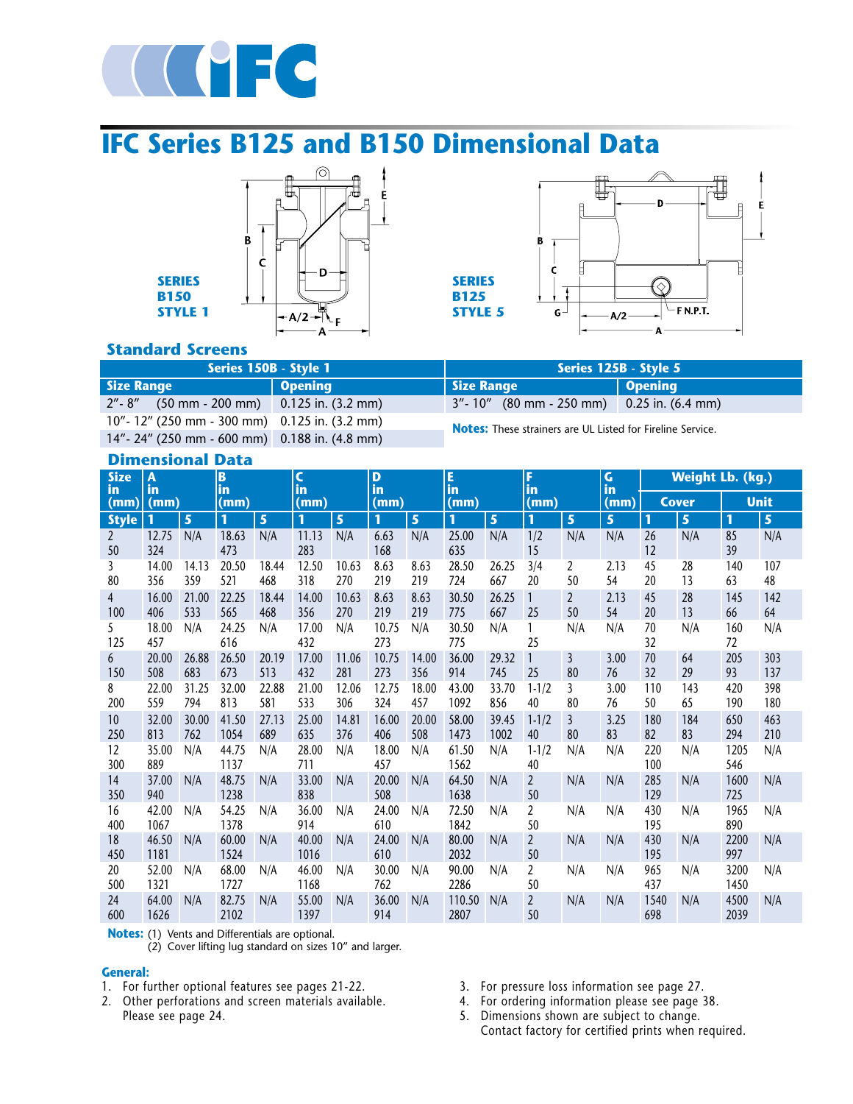

# **IFC Series B125 and B150 Dimensional Data**





### **Standard Screens**

**SERIES B150 STYLE 1**

| Series 150B - Style 1                            |         | Series 125B - Style 5                                             |         |  |  |  |
|--------------------------------------------------|---------|-------------------------------------------------------------------|---------|--|--|--|
| <b>Size Range</b>                                | Opening | <b>Size Range</b>                                                 | Opening |  |  |  |
| $2'' - 8''$ (50 mm - 200 mm) 0.125 in. (3.2 mm)  |         | $3'' - 10''$ (80 mm - 250 mm) 0.25 in. (6.4 mm)                   |         |  |  |  |
| $10" - 12"$ (250 mm - 300 mm) 0.125 in. (3.2 mm) |         |                                                                   |         |  |  |  |
| 14"-24" (250 mm - 600 mm) 0.188 in. (4.8 mm)     |         | <b>Notes:</b> These strainers are UL Listed for Fireline Service. |         |  |  |  |

#### **Dimensional Data**

| <b>Size</b><br>in    | A<br>in       |              | B<br>in       |              | C<br>in       |              | D<br>in      |              | E<br>in        | F<br>in       |                      |                      | $\mathsf{G}$<br>in | <b>Weight Lb. (kg.)</b> |             |              |            |
|----------------------|---------------|--------------|---------------|--------------|---------------|--------------|--------------|--------------|----------------|---------------|----------------------|----------------------|--------------------|-------------------------|-------------|--------------|------------|
| (mm)                 | (mm)          |              | (mm)          |              | (mm)          |              | (mm)         |              | (mm)           | (mm)          |                      | (mm)                 | <b>Cover</b>       |                         | <b>Unit</b> |              |            |
| <b>Style</b>         | 1             | 5            | 1             | 5            | $\mathbf{1}$  | 5            | $\mathbf{1}$ | 5            | 1              | 5             | 1                    | 5                    | 5                  | 1                       | 5           | 1            | 5          |
| $\overline{2}$<br>50 | 12.75<br>324  | N/A          | 18.63<br>473  | N/A          | 11.13<br>283  | N/A          | 6.63<br>168  | N/A          | 25.00<br>635   | N/A           | 1/2<br>15            | N/A                  | N/A                | 26<br>12                | N/A         | 85<br>39     | N/A        |
| 3<br>80              | 14.00<br>356  | 14.13<br>359 | 20.50<br>521  | 18.44<br>468 | 12.50<br>318  | 10.63<br>270 | 8.63<br>219  | 8.63<br>219  | 28.50<br>724   | 26.25<br>667  | 3/4<br>20            | 2<br>50              | 2.13<br>54         | 45<br>20                | 28<br>13    | 140<br>63    | 107<br>48  |
| 4<br>100             | 16.00<br>406  | 21.00<br>533 | 22.25<br>565  | 18.44<br>468 | 14.00<br>356  | 10.63<br>270 | 8.63<br>219  | 8.63<br>219  | 30.50<br>775   | 26.25<br>667  | $\overline{1}$<br>25 | $\overline{2}$<br>50 | 2.13<br>54         | 45<br>20                | 28<br>13    | 145<br>66    | 142<br>64  |
| 5<br>125             | 18.00<br>457  | N/A          | 24.25<br>616  | N/A          | 17.00<br>432  | N/A          | 10.75<br>273 | N/A          | 30.50<br>775   | N/A           | 1<br>25              | N/A                  | N/A                | 70<br>32                | N/A         | 160<br>72    | N/A        |
| 6<br>150             | 20.00<br>508  | 26.88<br>683 | 26.50<br>673  | 20.19<br>513 | 17.00<br>432  | 11.06<br>281 | 10.75<br>273 | 14.00<br>356 | 36.00<br>914   | 29.32<br>745  | $\mathbf{1}$<br>25   | $\overline{3}$<br>80 | 3.00<br>76         | 70<br>32                | 64<br>29    | 205<br>93    | 303<br>137 |
| 8<br>200             | 22.00<br>559  | 31.25<br>794 | 32.00<br>813  | 22.88<br>581 | 21.00<br>533  | 12.06<br>306 | 12.75<br>324 | 18.00<br>457 | 43.00<br>1092  | 33.70<br>856  | $1 - 1/2$<br>40      | 3<br>80              | 3.00<br>76         | 110<br>50               | 143<br>65   | 420<br>190   | 398<br>180 |
| 10<br>250            | 32.00<br>813  | 30.00<br>762 | 41.50<br>1054 | 27.13<br>689 | 25.00<br>635  | 14.81<br>376 | 16.00<br>406 | 20.00<br>508 | 58.00<br>1473  | 39.45<br>1002 | $1 - 1/2$<br>40      | $\overline{3}$<br>80 | 3.25<br>83         | 180<br>82               | 184<br>83   | 650<br>294   | 463<br>210 |
| 12<br>300            | 35.00<br>889  | N/A          | 44.75<br>1137 | N/A          | 28.00<br>711  | N/A          | 18.00<br>457 | N/A          | 61.50<br>1562  | N/A           | $1 - 1/2$<br>40      | N/A                  | N/A                | 220<br>100              | N/A         | 1205<br>546  | N/A        |
| 14<br>350            | 37.00<br>940  | N/A          | 48.75<br>1238 | N/A          | 33.00<br>838  | N/A          | 20.00<br>508 | N/A          | 64.50<br>1638  | N/A           | $\overline{2}$<br>50 | N/A                  | N/A                | 285<br>129              | N/A         | 1600<br>725  | N/A        |
| 16<br>400            | 42.00<br>1067 | N/A          | 54.25<br>1378 | N/A          | 36.00<br>914  | N/A          | 24.00<br>610 | N/A          | 72.50<br>1842  | N/A           | 2<br>50              | N/A                  | N/A                | 430<br>195              | N/A         | 1965<br>890  | N/A        |
| 18<br>450            | 46.50<br>1181 | N/A          | 60.00<br>1524 | N/A          | 40.00<br>1016 | N/A          | 24.00<br>610 | N/A          | 80.00<br>2032  | N/A           | $\overline{2}$<br>50 | N/A                  | N/A                | 430<br>195              | N/A         | 2200<br>997  | N/A        |
| 20<br>500            | 52.00<br>1321 | N/A          | 68.00<br>1727 | N/A          | 46.00<br>1168 | N/A          | 30.00<br>762 | N/A          | 90.00<br>2286  | N/A           | $\overline{a}$<br>50 | N/A                  | N/A                | 965<br>437              | N/A         | 3200<br>1450 | N/A        |
| 24<br>600            | 64.00<br>1626 | N/A          | 82.75<br>2102 | N/A          | 55.00<br>1397 | N/A          | 36.00<br>914 | N/A          | 110.50<br>2807 | N/A           | $\overline{2}$<br>50 | N/A                  | N/A                | 1540<br>698             | N/A         | 4500<br>2039 | N/A        |

**Notes:** (1) Vents and Differentials are optional.

(2) Cover lifting lug standard on sizes 10" and larger.

#### **General:**

- 1. For further optional features see pages 21-22.
- 2. Other perforations and screen materials available. Please see page 24.
- 3. For pressure loss information see page 27.
- 4. For ordering information please see page 38.
- 5. Dimensions shown are subject to change. Contact factory for certified prints when required.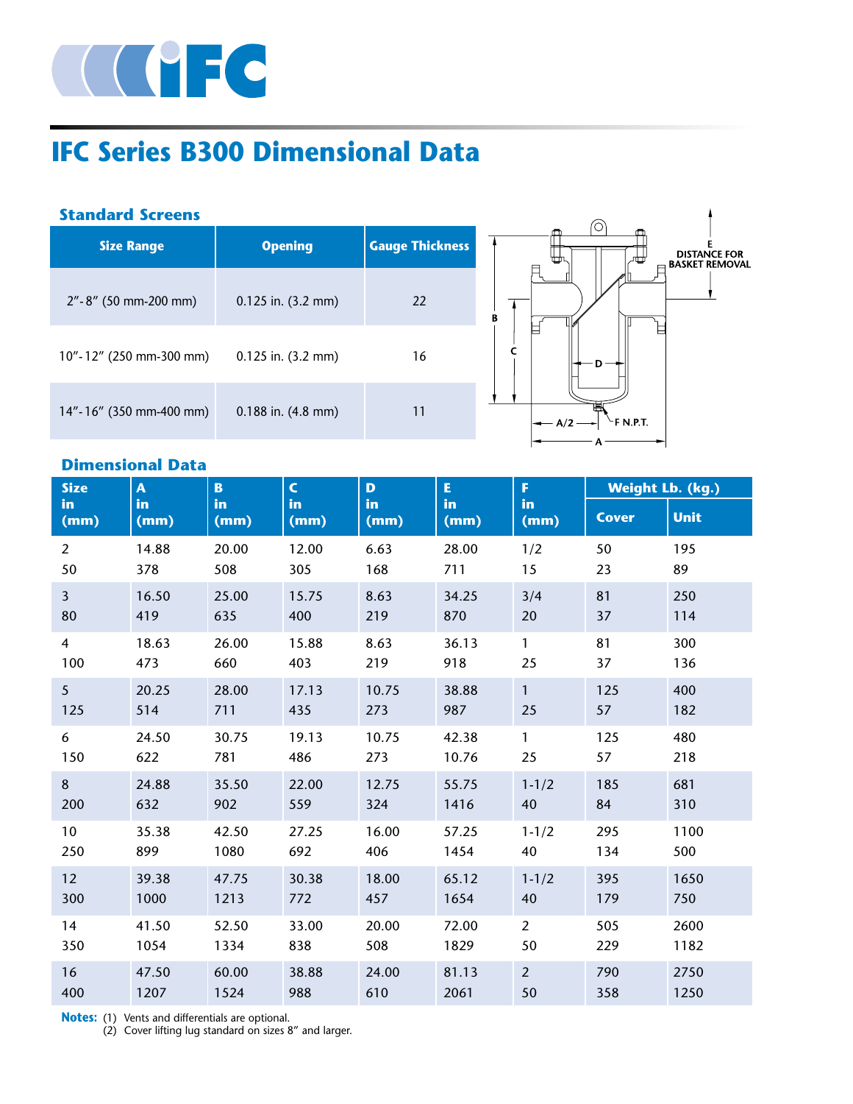

# **IFC Series B300 Dimensional Data**

### **Standard Screens**

| <b>Size Range</b>        | <b>Opening</b>         | <b>Gauge Thickness</b> |
|--------------------------|------------------------|------------------------|
| $2" - 8"$ (50 mm-200 mm) | $0.125$ in. $(3.2$ mm) | 22                     |
| 10"-12" (250 mm-300 mm)  | $0.125$ in. $(3.2$ mm) | 16                     |
| 14"-16" (350 mm-400 mm)  | $0.188$ in. $(4.8$ mm) | 11                     |



# **Dimensional Data**

| <b>Size</b>    | A          | $\mathbf{B}$ | $\mathsf{C}$ | D          | E          | F.             | <b>Weight Lb. (kg.)</b> |             |  |
|----------------|------------|--------------|--------------|------------|------------|----------------|-------------------------|-------------|--|
| in<br>(mm)     | in<br>(mm) | in<br>(mm)   | in<br>(mm)   | in<br>(mm) | in<br>(mm) | in<br>(mm)     | <b>Cover</b>            | <b>Unit</b> |  |
| $\overline{2}$ | 14.88      | 20.00        | 12.00        | 6.63       | 28.00      | 1/2            | 50                      | 195         |  |
| 50             | 378        | 508          | 305          | 168        | 711        | 15             | 23                      | 89          |  |
| $\overline{3}$ | 16.50      | 25.00        | 15.75        | 8.63       | 34.25      | 3/4            | 81                      | 250         |  |
| 80             | 419        | 635          | 400          | 219        | 870        | 20             | 37                      | 114         |  |
| $\overline{4}$ | 18.63      | 26.00        | 15.88        | 8.63       | 36.13      | $\mathbf{1}$   | 81                      | 300         |  |
| 100            | 473        | 660          | 403          | 219        | 918        | 25             | 37                      | 136         |  |
| 5 <sup>5</sup> | 20.25      | 28.00        | 17.13        | 10.75      | 38.88      | $\mathbf{1}$   | 125                     | 400         |  |
| 125            | 514        | 711          | 435          | 273        | 987        | 25             | 57                      | 182         |  |
| 6              | 24.50      | 30.75        | 19.13        | 10.75      | 42.38      | $\mathbf{1}$   | 125                     | 480         |  |
| 150            | 622        | 781          | 486          | 273        | 10.76      | 25             | 57                      | 218         |  |
| 8              | 24.88      | 35.50        | 22.00        | 12.75      | 55.75      | $1 - 1/2$      | 185                     | 681         |  |
| 200            | 632        | 902          | 559          | 324        | 1416       | 40             | 84                      | 310         |  |
| 10             | 35.38      | 42.50        | 27.25        | 16.00      | 57.25      | $1 - 1/2$      | 295                     | 1100        |  |
| 250            | 899        | 1080         | 692          | 406        | 1454       | 40             | 134                     | 500         |  |
| 12             | 39.38      | 47.75        | 30.38        | 18.00      | 65.12      | $1 - 1/2$      | 395                     | 1650        |  |
| 300            | 1000       | 1213         | 772          | 457        | 1654       | 40             | 179                     | 750         |  |
| 14             | 41.50      | 52.50        | 33.00        | 20.00      | 72.00      | $\overline{2}$ | 505                     | 2600        |  |
| 350            | 1054       | 1334         | 838          | 508        | 1829       | 50             | 229                     | 1182        |  |
| 16             | 47.50      | 60.00        | 38.88        | 24.00      | 81.13      | $\overline{2}$ | 790                     | 2750        |  |
| 400            | 1207       | 1524         | 988          | 610        | 2061       | 50             | 358                     | 1250        |  |

**Notes:** (1) Vents and differentials are optional.

(2) Cover lifting lug standard on sizes 8" and larger.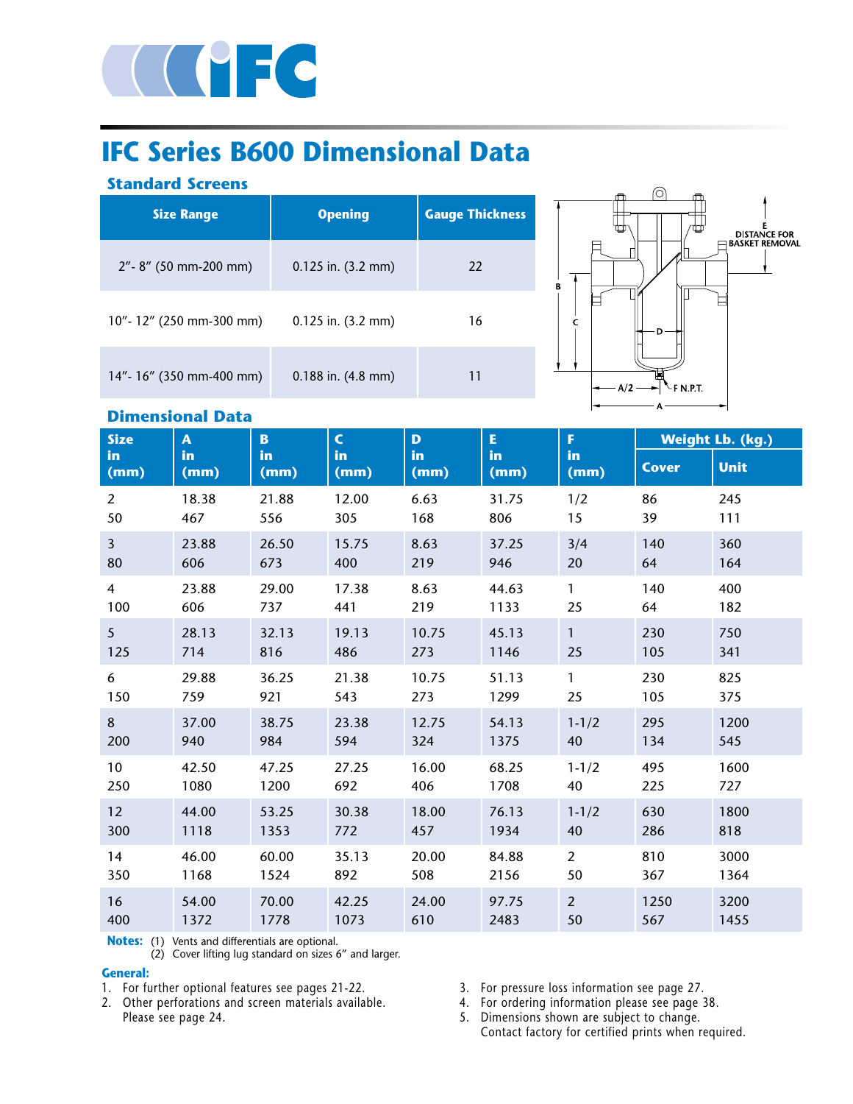

# **IFC Series B600 Dimensional Data**

### **Standard Screens**

| <b>Size Range</b>        | <b>Opening</b>         | <b>Gauge Thickness</b> |
|--------------------------|------------------------|------------------------|
| $2" - 8"$ (50 mm-200 mm) | $0.125$ in. $(3.2$ mm) | 22                     |
| 10"-12" (250 mm-300 mm)  | $0.125$ in. $(3.2$ mm) | 16                     |
| 14"- 16" (350 mm-400 mm) | $0.188$ in. $(4.8$ mm) | 11                     |



### **Dimensional Data**

| <b>Size</b>       | A.          | B.         |            | D.         | E.         | F.             | <b>Weight Lb. (kg.)</b> |             |  |
|-------------------|-------------|------------|------------|------------|------------|----------------|-------------------------|-------------|--|
| <b>in</b><br>(mm) | in.<br>(mm) | in<br>(mm) | in<br>(mm) | in<br>(mm) | in<br>(mm) | in<br>(mm)     | <b>Cover</b>            | <b>Unit</b> |  |
| $\overline{2}$    | 18.38       | 21.88      | 12.00      | 6.63       | 31.75      | 1/2            | 86                      | 245         |  |
| 50                | 467         | 556        | 305        | 168        | 806        | 15             | 39                      | 111         |  |
| $\overline{3}$    | 23.88       | 26.50      | 15.75      | 8.63       | 37.25      | 3/4            | 140                     | 360         |  |
| 80                | 606         | 673        | 400        | 219        | 946        | 20             | 64                      | 164         |  |
| 4                 | 23.88       | 29.00      | 17.38      | 8.63       | 44.63      | $\mathbf{1}$   | 140                     | 400         |  |
| 100               | 606         | 737        | 441        | 219        | 1133       | 25             | 64                      | 182         |  |
| 5 <sup>5</sup>    | 28.13       | 32.13      | 19.13      | 10.75      | 45.13      | $\mathbf{1}$   | 230                     | 750         |  |
| 125               | 714         | 816        | 486        | 273        | 1146       | 25             | 105                     | 341         |  |
| 6                 | 29.88       | 36.25      | 21.38      | 10.75      | 51.13      | $\mathbf{1}$   | 230                     | 825         |  |
| 150               | 759         | 921        | 543        | 273        | 1299       | 25             | 105                     | 375         |  |
| 8                 | 37.00       | 38.75      | 23.38      | 12.75      | 54.13      | $1 - 1/2$      | 295                     | 1200        |  |
| 200               | 940         | 984        | 594        | 324        | 1375       | 40             | 134                     | 545         |  |
| 10                | 42.50       | 47.25      | 27.25      | 16.00      | 68.25      | $1 - 1/2$      | 495                     | 1600        |  |
| 250               | 1080        | 1200       | 692        | 406        | 1708       | 40             | 225                     | 727         |  |
| 12                | 44.00       | 53.25      | 30.38      | 18.00      | 76.13      | $1 - 1/2$      | 630                     | 1800        |  |
| 300               | 1118        | 1353       | 772        | 457        | 1934       | 40             | 286                     | 818         |  |
| 14                | 46.00       | 60.00      | 35.13      | 20.00      | 84.88      | $\overline{2}$ | 810                     | 3000        |  |
| 350               | 1168        | 1524       | 892        | 508        | 2156       | 50             | 367                     | 1364        |  |
| 16                | 54.00       | 70.00      | 42.25      | 24.00      | 97.75      | $\overline{2}$ | 1250                    | 3200        |  |
| 400               | 1372        | 1778       | 1073       | 610        | 2483       | 50             | 567                     | 1455        |  |

**Notes:** (1) Vents and differentials are optional.

(2) Cover lifting lug standard on sizes 6" and larger.

### **General:**

- 1. For further optional features see pages 21-22.
- 2. Other perforations and screen materials available. Please see page 24.
- 3. For pressure loss information see page 27.
- 4. For ordering information please see page 38.
- 5. Dimensions shown are subject to change. Contact factory for certified prints when required.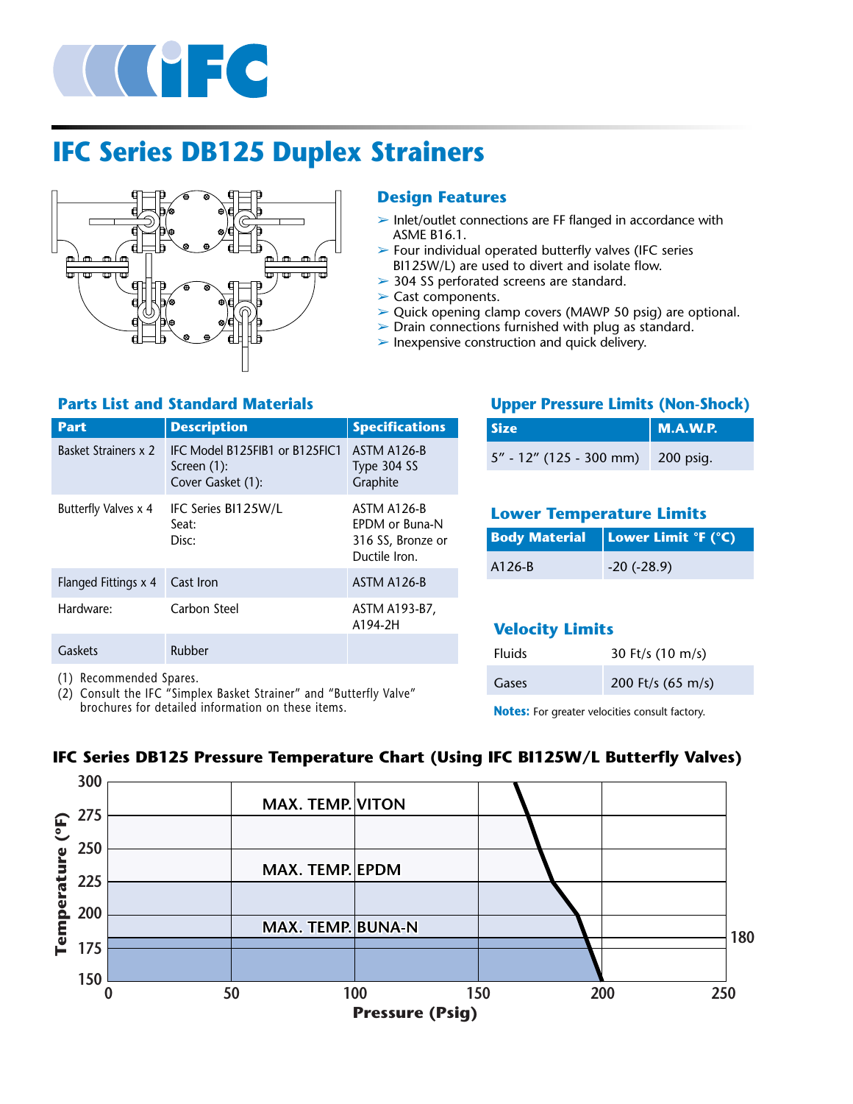

# **IFC Series DB125 Duplex Strainers**



### **Design Features**

- $\triangleright$  Inlet/outlet connections are FF flanged in accordance with ASME B16.1.
- $\triangleright$  Four individual operated butterfly valves (IFC series BI125W/L) are used to divert and isolate flow.
- ➢ 304 SS perforated screens are standard.
- $\blacktriangleright$  Cast components.
- ➢ Quick opening clamp covers (MAWP 50 psig) are optional.
- $\triangleright$  Drain connections furnished with plug as standard.
- $\blacktriangleright$  Inexpensive construction and quick delivery.

### **Parts List and Standard Materials**

| <b>Part</b>          | <b>Description</b>                                                 | <b>Specifications</b>                                               |
|----------------------|--------------------------------------------------------------------|---------------------------------------------------------------------|
| Basket Strainers x 2 | IFC Model B125FIB1 or B125FIC1<br>Screen (1):<br>Cover Gasket (1): | ASTM A126-B<br>Type 304 SS<br>Graphite                              |
| Butterfly Valves x 4 | IFC Series BI125W/L<br>Seat:<br>Disc:                              | ASTM A126-B<br>FPDM or Buna-N<br>316 SS, Bronze or<br>Ductile Iron. |
| Flanged Fittings x 4 | Cast Iron                                                          | ASTM A126-B                                                         |
| Hardware:            | Carbon Steel                                                       | ASTM A193-B7,<br>A194-2H                                            |
| Gaskets              | Rubber                                                             |                                                                     |

(1) Recommended Spares.

(2) Consult the IFC "Simplex Basket Strainer" and "Butterfly Valve" brochures for detailed information on these items.

### **Upper Pressure Limits (Non-Shock)**

| <b>Size</b>                       | M.A.W.P. |
|-----------------------------------|----------|
| 5" - 12" (125 - 300 mm) 200 psig. |          |

### **Lower Temperature Limits**

|        | <b>Body Material   Lower Limit °F (°C)</b> |
|--------|--------------------------------------------|
| A126-B | $-20$ ( $-28.9$ )                          |

## **Velocity Limits**

| <b>Fluids</b> | 30 Ft/s $(10 \text{ m/s})$  |
|---------------|-----------------------------|
| Gases         | 200 Ft/s $(65 \text{ m/s})$ |

**Notes:** For greater velocities consult factory.



### **IFC Series DB125 Pressure Temperature Chart (Using IFC BI125W/L Butterfly Valves)**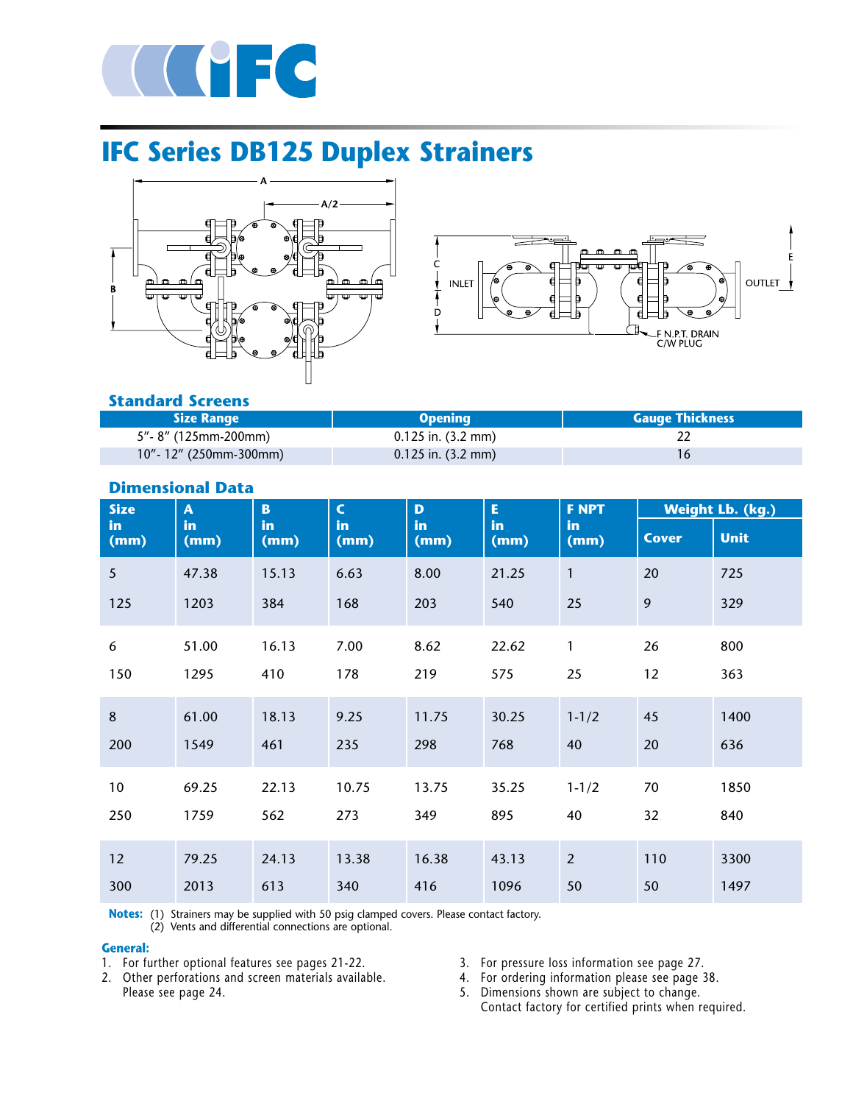

# **IFC Series DB125 Duplex Strainers**





### **Standard Screens**

| <b>Size Range</b>         | <b>Opening</b>       | <b>Gauge Thickness</b> |
|---------------------------|----------------------|------------------------|
| 5"- 8" (125mm-200mm)      | $0.125$ in. (3.2 mm) |                        |
| $10"$ - 12" (250mm-300mm) | $0.125$ in. (3.2 mm) |                        |

| <b>Size</b>     | $\mathbf{A}$ | <b>B</b>   | $\mathsf{C}$ | D           | E          | <b>F NPT</b>   | <b>Weight Lb. (kg.)</b> |             |
|-----------------|--------------|------------|--------------|-------------|------------|----------------|-------------------------|-------------|
| in<br>(mm)      | in<br>(mm)   | in<br>(mm) | in<br>(mm)   | in.<br>(mm) | in<br>(mm) | in<br>(mm)     | <b>Cover</b>            | <b>Unit</b> |
| $\overline{5}$  | 47.38        | 15.13      | 6.63         | 8.00        | 21.25      | $\mathbf{1}$   | 20                      | 725         |
| 125             | 1203         | 384        | 168          | 203         | 540        | 25             | 9                       | 329         |
| 6               | 51.00        | 16.13      | 7.00         | 8.62        | 22.62      | 1              | 26                      | 800         |
| 150             | 1295         | 410        | 178          | 219         | 575        | 25             | 12                      | 363         |
| 8               | 61.00        | 18.13      | 9.25         | 11.75       | 30.25      | $1 - 1/2$      | 45                      | 1400        |
| 200             | 1549         | 461        | 235          | 298         | 768        | 40             | 20                      | 636         |
| 10 <sub>o</sub> | 69.25        | 22.13      | 10.75        | 13.75       | 35.25      | $1 - 1/2$      | 70                      | 1850        |
| 250             | 1759         | 562        | 273          | 349         | 895        | 40             | 32                      | 840         |
| 12              | 79.25        | 24.13      | 13.38        | 16.38       | 43.13      | $\overline{2}$ | 110                     | 3300        |
| 300             | 2013         | 613        | 340          | 416         | 1096       | 50             | 50                      | 1497        |

## **Dimensional Data**

**Notes:** (1) Strainers may be supplied with 50 psig clamped covers. Please contact factory.

(2) Vents and differential connections are optional.

#### **General:**

- 1. For further optional features see pages 21-22.
- 2. Other perforations and screen materials available. Please see page 24.
- 3. For pressure loss information see page 27.
- 4. For ordering information please see page 38.

5. Dimensions shown are subject to change. Contact factory for certified prints when required.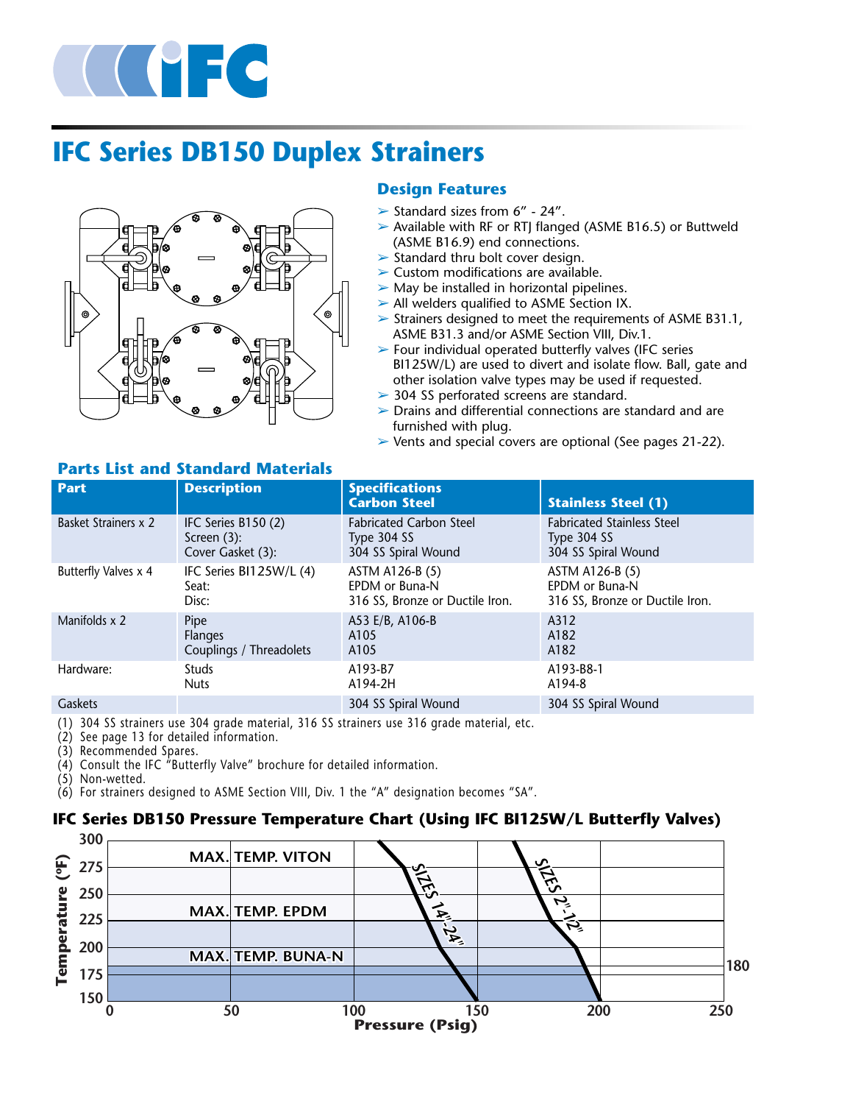

# **IFC Series DB150 Duplex Strainers**



### **Design Features**

- $\triangleright$  Standard sizes from 6" 24".
- ➢ Available with RF or RTJ flanged (ASME B16.5) or Buttweld (ASME B16.9) end connections.
- $\triangleright$  Standard thru bolt cover design.
- ➢ Custom modifications are available.
- $\triangleright$  May be installed in horizontal pipelines.
- ➢ All welders qualified to ASME Section IX.
- $\triangleright$  Strainers designed to meet the requirements of ASME B31.1, ASME B31.3 and/or ASME Section VIII, Div.1.
- $\triangleright$  Four individual operated butterfly valves (IFC series BI125W/L) are used to divert and isolate flow. Ball, gate and other isolation valve types may be used if requested.
- ➢ 304 SS perforated screens are standard.
- $\triangleright$  Drains and differential connections are standard and are furnished with plug.
- $\triangleright$  Vents and special covers are optional (See pages 21-22).

### **Parts List and Standard Materials**

| <b>Part</b>                 | <b>Description</b>      | <b>Specifications</b><br><b>Carbon Steel</b> | <b>Stainless Steel (1)</b>        |
|-----------------------------|-------------------------|----------------------------------------------|-----------------------------------|
| <b>Basket Strainers x 2</b> | IFC Series B150 (2)     | <b>Fabricated Carbon Steel</b>               | <b>Fabricated Stainless Steel</b> |
|                             | Screen $(3)$ :          | Type 304 SS                                  | Type 304 SS                       |
|                             | Cover Gasket (3):       | 304 SS Spiral Wound                          | 304 SS Spiral Wound               |
| Butterfly Valves x 4        | IFC Series BI125W/L (4) | ASTM A126-B (5)                              | ASTM A126-B (5)                   |
|                             | Seat:                   | EPDM or Buna-N                               | EPDM or Buna-N                    |
|                             | Disc:                   | 316 SS, Bronze or Ductile Iron.              | 316 SS, Bronze or Ductile Iron.   |
| Manifolds x 2               | Pipe                    | A53 E/B, A106-B                              | A312                              |
|                             | <b>Flanges</b>          | A105                                         | A182                              |
|                             | Couplings / Threadolets | A105                                         | A182                              |
| Hardware:                   | <b>Studs</b>            | A193-B7                                      | A193-B8-1                         |
|                             | <b>Nuts</b>             | A194-2H                                      | A194-8                            |
| <b>Gaskets</b>              |                         | 304 SS Spiral Wound                          | 304 SS Spiral Wound               |

(1) 304 SS strainers use 304 grade material, 316 SS strainers use 316 grade material, etc.

(2) See page 13 for detailed information.

(3) Recommended Spares.

(4) Consult the IFC "Butterfly Valve" brochure for detailed information.

(5) Non-wetted.

(6) For strainers designed to ASME Section VIII, Div. 1 the "A" designation becomes "SA".

### **IFC Series DB150 Pressure Temperature Chart (Using IFC BI125W/L Butterfly Valves)**

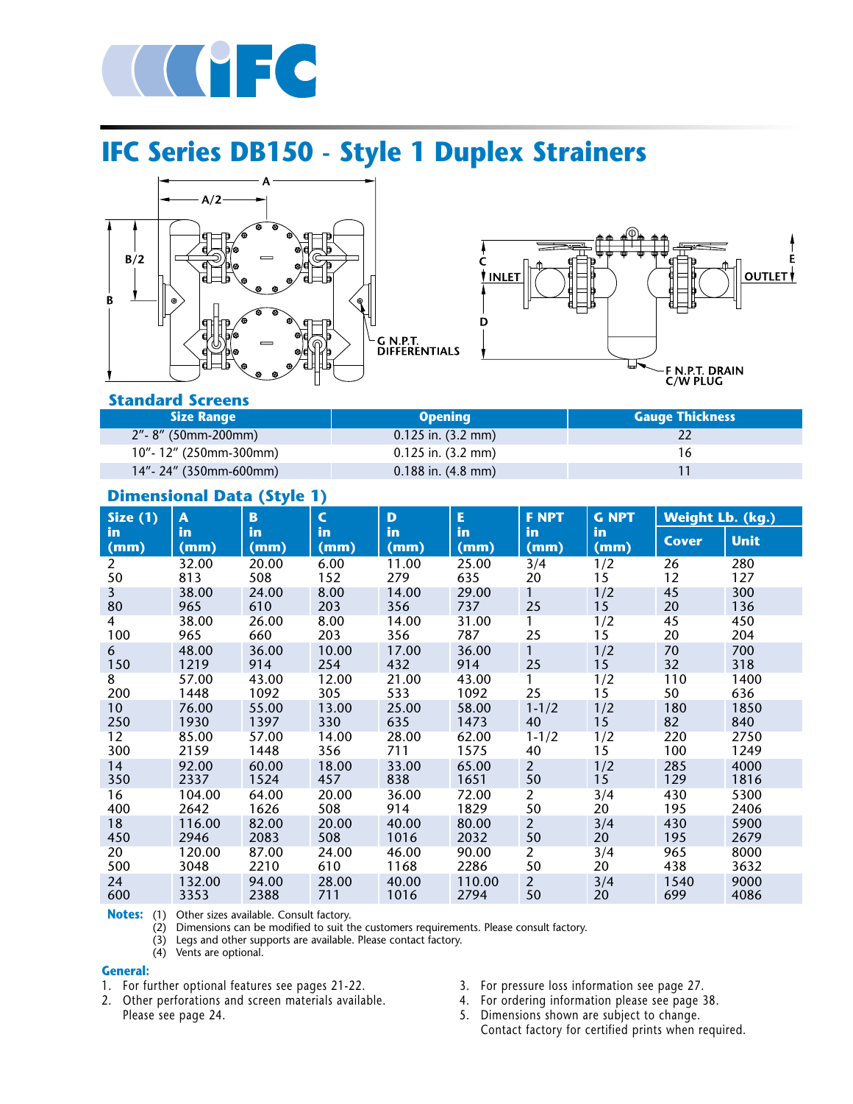

# **IFC Series DB150 - Style 1 Duplex Strainers**





**Standard Screens**

| <b>Size Range</b>         | <b>Opening</b>         | <b>Gauge Thickness</b> |
|---------------------------|------------------------|------------------------|
| $2"$ - 8" (50mm-200mm)    | $0.125$ in. (3.2 mm)   |                        |
| $10"$ - 12" (250mm-300mm) | $0.125$ in. (3.2 mm)   |                        |
| 14"-24" (350mm-600mm)     | $0.188$ in. $(4.8$ mm) |                        |

### **Dimensional Data (Style 1)**

| Size $(1)$     | $\boldsymbol{\mathsf{A}}$ | B          | $\mathsf{C}$ | D          | E          | <b>F NPT</b>   | <b>G NPT</b> | <b>Weight Lb. (kg.)</b> |             |
|----------------|---------------------------|------------|--------------|------------|------------|----------------|--------------|-------------------------|-------------|
| in.<br>(mm)    | <i>in</i><br>(mm)         | in<br>(mm) | in<br>(mm)   | in<br>(mm) | in<br>(mm) | in.<br>(mm)    | in<br>(mm)   | <b>Cover</b>            | <b>Unit</b> |
| 2              | 32.00                     | 20.00      | 6.00         | 11.00      | 25.00      | 3/4            | 1/2          | 26                      | 280         |
| 50             | 813                       | 508        | 152          | 279        | 635        | 20             | 15           | 12                      | 127         |
| 3              | 38.00                     | 24.00      | 8.00         | 14.00      | 29.00      |                | 1/2          | 45                      | 300         |
| 80             | 965                       | 610        | 203          | 356        | 737        | 25             | 15           | 20                      | 136         |
| $\overline{4}$ | 38.00                     | 26.00      | 8.00         | 14.00      | 31.00      |                | 1/2          | 45                      | 450         |
| 100            | 965                       | 660        | 203          | 356        | 787        | 25             | 15           | 20                      | 204         |
| 6              | 48.00                     | 36.00      | 10.00        | 17.00      | 36.00      | $\mathbf{1}$   | 1/2          | 70                      | 700         |
| 150            | 1219                      | 914        | 254          | 432        | 914        | 25             | 15           | 32                      | 318         |
| 8              | 57.00                     | 43.00      | 12.00        | 21.00      | 43.00      | 1              | 1/2          | 110                     | 1400        |
| 200            | 1448                      | 1092       | 305          | 533        | 1092       | 25             | 15           | 50                      | 636         |
| 10             | 76.00                     | 55.00      | 13.00        | 25.00      | 58.00      | $1 - 1/2$      | 1/2          | 180                     | 1850        |
| 250            | 1930                      | 1397       | 330          | 635        | 1473       | 40             | 15           | 82                      | 840         |
| 12             | 85.00                     | 57.00      | 14.00        | 28.00      | 62.00      | $1 - 1/2$      | 1/2          | 220                     | 2750        |
| 300            | 2159                      | 1448       | 356          | 711        | 1575       | 40             | 15           | 100                     | 1249        |
| 14             | 92.00                     | 60.00      | 18.00        | 33.00      | 65.00      | $\overline{2}$ | 1/2          | 285                     | 4000        |
| 350            | 2337                      | 1524       | 457          | 838        | 1651       | 50             | 15           | 129                     | 1816        |
| 16             | 104.00                    | 64.00      | 20.00        | 36.00      | 72.00      | $\overline{2}$ | 3/4          | 430                     | 5300        |
| 400            | 2642                      | 1626       | 508          | 914        | 1829       | 50             | 20           | 195                     | 2406        |
| 18             | 116.00                    | 82.00      | 20.00        | 40.00      | 80.00      | $\overline{2}$ | 3/4          | 430                     | 5900        |
| 450            | 2946                      | 2083       | 508          | 1016       | 2032       | 50             | 20           | 195                     | 2679        |
| 20             | 120.00                    | 87.00      | 24.00        | 46.00      | 90.00      | 2              | 3/4          | 965                     | 8000        |
| 500            | 3048                      | 2210       | 610          | 1168       | 2286       | 50             | 20           | 438                     | 3632        |
| 24             | 132.00                    | 94.00      | 28.00        | 40.00      | 110.00     | $\overline{2}$ | 3/4          | 1540                    | 9000        |
| 600            | 3353                      | 2388       | 711          | 1016       | 2794       | 50             | 20           | 699                     | 4086        |

**Notes:** (1) Other sizes available. Consult factory.

(2) Dimensions can be modified to suit the customers requirements. Please consult factory.

(3) Legs and other supports are available. Please contact factory.

(4) Vents are optional.

#### **General:**

1. For further optional features see pages 21-22.

2. Other perforations and screen materials available. Please see page 24.

- 3. For pressure loss information see page 27.
- 4. For ordering information please see page 38.
- 5. Dimensions shown are subject to change. Contact factory for certified prints when required.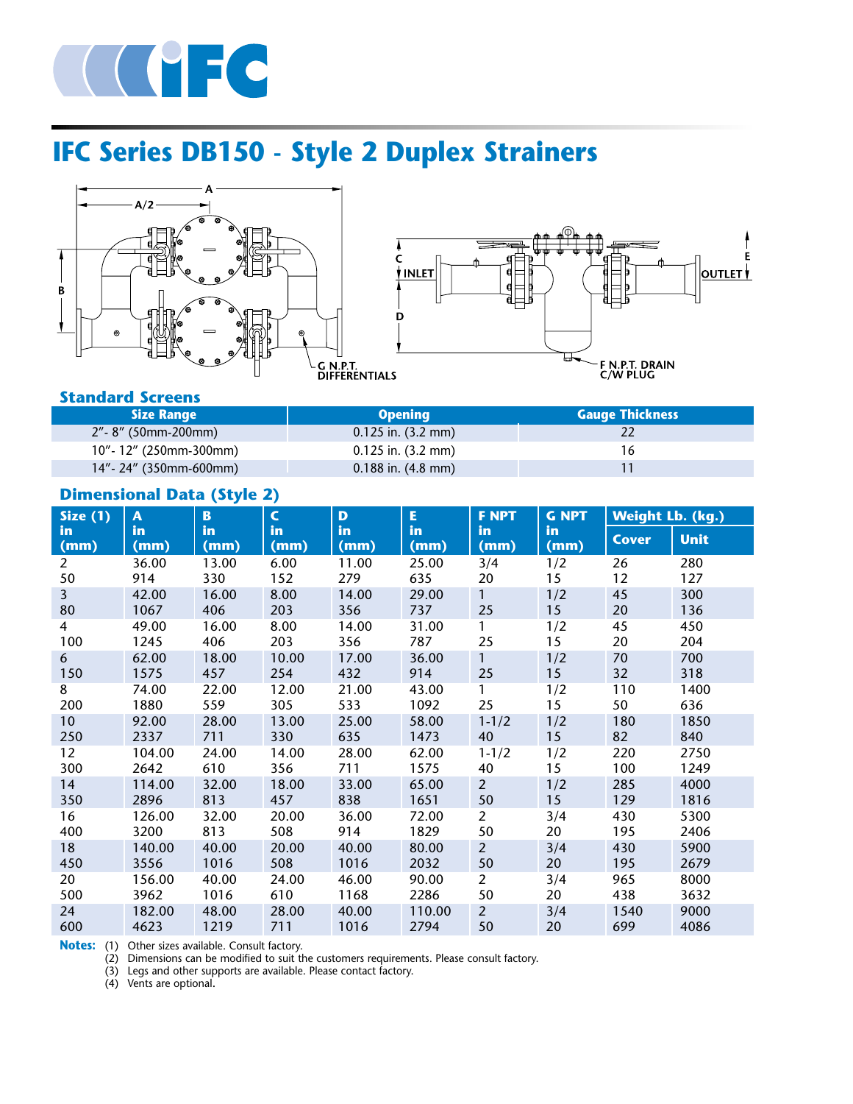

# **IFC Series DB150 - Style 2 Duplex Strainers**





### **Standard Screens**

| <b>Size Range</b>         | <b>Opening</b>         | <b>Gauge Thickness</b> |
|---------------------------|------------------------|------------------------|
| 2"- 8" (50mm-200mm)       | $0.125$ in. (3.2 mm)   |                        |
| $10"$ - 12" (250mm-300mm) | $0.125$ in. (3.2 mm)   | 16                     |
| $14"$ - 24" (350mm-600mm) | $0.188$ in. $(4.8$ mm) |                        |

# **Dimensional Data (Style 2)**

| Size $(1)$      | $\mathbf{A}$ | B          | $\mathsf{C}$ | D          | E          | <b>F NPT</b>   | <b>G NPT</b> | <b>Weight Lb. (kg.)</b> |             |
|-----------------|--------------|------------|--------------|------------|------------|----------------|--------------|-------------------------|-------------|
| in<br>(mm)      | in<br>(mm)   | in<br>(mm) | in<br>(mm)   | in<br>(mm) | in<br>(mm) | in<br>(mm)     | in<br>(mm)   | <b>Cover</b>            | <b>Unit</b> |
| $\overline{2}$  | 36.00        | 13.00      | 6.00         | 11.00      | 25.00      | 3/4            | 1/2          | 26                      | 280         |
| 50              | 914          | 330        | 152          | 279        | 635        | 20             | 15           | 12                      | 127         |
| $\overline{3}$  | 42.00        | 16.00      | 8.00         | 14.00      | 29.00      | $\mathbf{1}$   | 1/2          | 45                      | 300         |
| 80              | 1067         | 406        | 203          | 356        | 737        | 25             | 15           | 20                      | 136         |
| 4               | 49.00        | 16.00      | 8.00         | 14.00      | 31.00      | 1              | 1/2          | 45                      | 450         |
| 100             | 1245         | 406        | 203          | 356        | 787        | 25             | 15           | 20                      | 204         |
| 6               | 62.00        | 18.00      | 10.00        | 17.00      | 36.00      | $\mathbf{1}$   | 1/2          | 70                      | 700         |
| 150             | 1575         | 457        | 254          | 432        | 914        | 25             | 15           | 32                      | 318         |
| 8               | 74.00        | 22.00      | 12.00        | 21.00      | 43.00      | 1              | 1/2          | 110                     | 1400        |
| 200             | 1880         | 559        | 305          | 533        | 1092       | 25             | 15           | 50                      | 636         |
| 10 <sup>°</sup> | 92.00        | 28.00      | 13.00        | 25.00      | 58.00      | $1 - 1/2$      | 1/2          | 180                     | 1850        |
| 250             | 2337         | 711        | 330          | 635        | 1473       | 40             | 15           | 82                      | 840         |
| 12              | 104.00       | 24.00      | 14.00        | 28.00      | 62.00      | $1 - 1/2$      | 1/2          | 220                     | 2750        |
| 300             | 2642         | 610        | 356          | 711        | 1575       | 40             | 15           | 100                     | 1249        |
| 14              | 114.00       | 32.00      | 18.00        | 33.00      | 65.00      | $\overline{2}$ | 1/2          | 285                     | 4000        |
| 350             | 2896         | 813        | 457          | 838        | 1651       | 50             | 15           | 129                     | 1816        |
| 16              | 126.00       | 32.00      | 20.00        | 36.00      | 72.00      | $\overline{2}$ | 3/4          | 430                     | 5300        |
| 400             | 3200         | 813        | 508          | 914        | 1829       | 50             | 20           | 195                     | 2406        |
| 18              | 140.00       | 40.00      | 20.00        | 40.00      | 80.00      | $\overline{2}$ | 3/4          | 430                     | 5900        |
| 450             | 3556         | 1016       | 508          | 1016       | 2032       | 50             | 20           | 195                     | 2679        |
| 20              | 156.00       | 40.00      | 24.00        | 46.00      | 90.00      | $\overline{a}$ | 3/4          | 965                     | 8000        |
| 500             | 3962         | 1016       | 610          | 1168       | 2286       | 50             | 20           | 438                     | 3632        |
| 24              | 182.00       | 48.00      | 28.00        | 40.00      | 110.00     | $2^{\circ}$    | 3/4          | 1540                    | 9000        |
| 600             | 4623         | 1219       | 711          | 1016       | 2794       | 50             | 20           | 699                     | 4086        |

**Notes:** (1) Other sizes available. Consult factory.

(2) Dimensions can be modified to suit the customers requirements. Please consult factory.

(3) Legs and other supports are available. Please contact factory. (4) Vents are optional.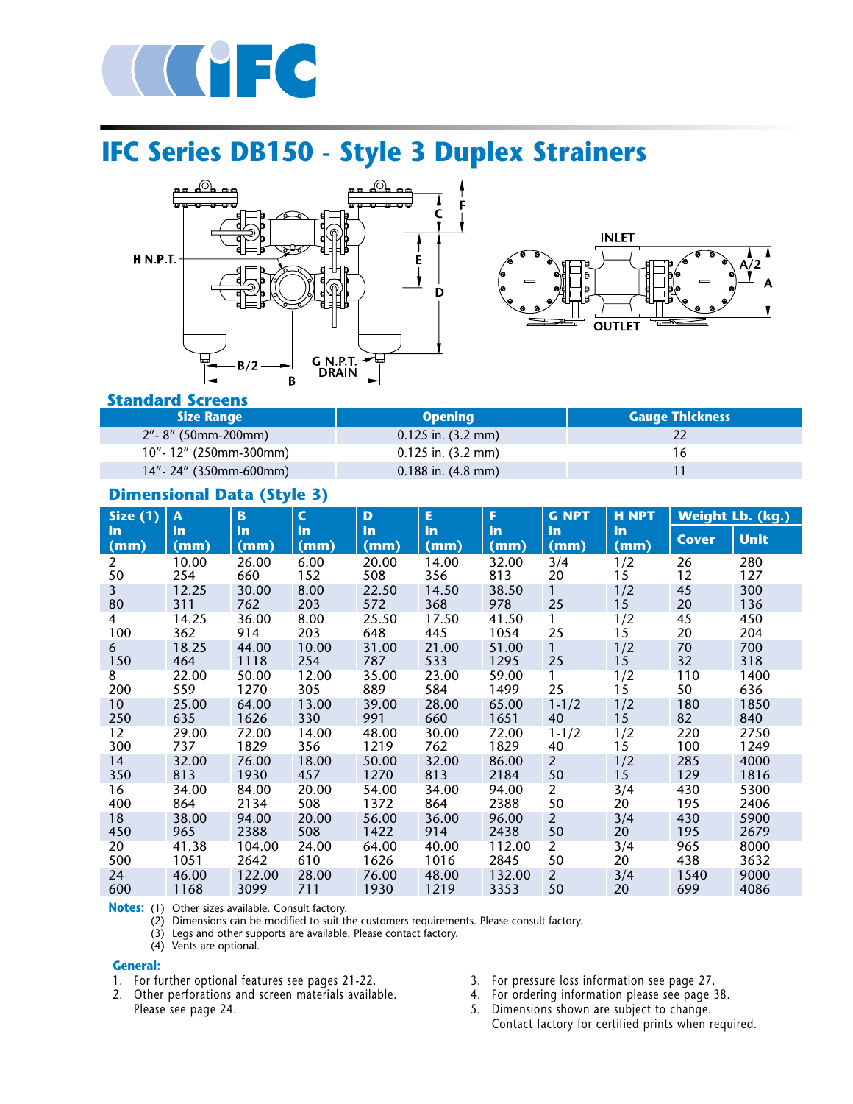

# **IFC Series DB150 - Style 3 Duplex Strainers**





### **Standard Screens**

| <b>Size Range</b>         | <b>Opening</b>         | <b>Gauge Thickness</b> |
|---------------------------|------------------------|------------------------|
| 2"- 8" (50mm-200mm)       | $0.125$ in. (3.2 mm)   |                        |
| $10"$ - 12" (250mm-300mm) | $0.125$ in. (3.2 mm)   | 16                     |
| $14" - 24"$ (350mm-600mm) | $0.188$ in. $(4.8$ mm) |                        |

### **Dimensional Data (Style 3)**

| Size $(1)$           | $\overline{\mathsf{A}}$ | $\mathbf{B}$ | $\mathsf{C}$ | D            | E            | F            | <b>G NPT</b>   | <b>H NPT</b>      |              | <b>Weight Lb. (kg.)</b> |
|----------------------|-------------------------|--------------|--------------|--------------|--------------|--------------|----------------|-------------------|--------------|-------------------------|
| in<br>(mm)           | in<br>(mm)              | in<br>(mm)   | in<br>(mm)   | in<br>(mm)   | in<br>(mm)   | in<br>(mm)   | in<br>(mm)     | <b>in</b><br>(mm) | <b>Cover</b> | <b>Unit</b>             |
| $\overline{2}$       | 10.00                   | 26.00        | 6.00         | 20.00        | 14.00        | 32.00        | 3/4            | 1/2               | 26           | 280                     |
| 50                   | 254                     | 660          | 152          | 508          | 356          | 813          | 20             | 15                | 12           | 127                     |
| $\overline{3}$<br>80 | 12.25<br>311            | 30.00<br>762 | 8.00<br>203  | 22.50<br>572 | 14.50<br>368 | 38.50<br>978 | 1<br>25        | 1/2<br>15         | 45<br>20     | 300<br>136              |
| 4                    | 14.25                   | 36.00        | 8.00         | 25.50        | 17.50        | 41.50        | 1              | 1/2               | 45           | 450                     |
| 100                  | 362                     | 914          | 203          | 648          | 445          | 1054         | 25             | 15                | 20           | 204                     |
| 6                    | 18.25                   | 44.00        | 10.00        | 31.00        | 21.00        | 51.00        | $\mathbf{1}$   | 1/2               | 70           | 700                     |
| 150                  | 464                     | 1118         | 254          | 787          | 533          | 1295         | 25             | 15                | 32           | 318                     |
| 8                    | 22.00                   | 50.00        | 12.00        | 35.00        | 23.00        | 59.00        | 1              | 1/2               | 110          | 1400                    |
| 200                  | 559                     | 1270         | 305          | 889          | 584          | 1499         | 25             | 15                | 50           | 636                     |
| 10 <sup>°</sup>      | 25.00                   | 64.00        | 13.00        | 39.00        | 28.00        | 65.00        | $1 - 1/2$      | 1/2               | 180          | 1850                    |
| 250                  | 635                     | 1626         | 330          | 991          | 660          | 1651         | 40             | 15                | 82           | 840                     |
| 12                   | 29.00                   | 72.00        | 14.00        | 48.00        | 30.00        | 72.00        | $1 - 1/2$      | 1/2               | 220          | 2750                    |
| 300                  | 737                     | 1829         | 356          | 1219         | 762          | 1829         | 40             | 15                | 100          | 1249                    |
| 14                   | 32.00                   | 76.00        | 18.00        | 50.00        | 32.00        | 86.00        | $\overline{2}$ | 1/2               | 285          | 4000                    |
| 350                  | 813                     | 1930         | 457          | 1270         | 813          | 2184         | 50             | 15                | 129          | 1816                    |
| 16                   | 34.00                   | 84.00        | 20.00        | 54.00        | 34.00        | 94.00        | $\overline{2}$ | 3/4               | 430          | 5300                    |
| 400                  | 864                     | 2134         | 508          | 1372         | 864          | 2388         | 50             | 20                | 195          | 2406                    |
| 18                   | 38.00                   | 94.00        | 20.00        | 56.00        | 36.00        | 96.00        | $\overline{2}$ | 3/4               | 430          | 5900                    |
| 450                  | 965                     | 2388         | 508          | 1422         | 914          | 2438         | 50             | 20                | 195          | 2679                    |
| 20                   | 41.38                   | 104.00       | 24.00        | 64.00        | 40.00        | 112.00       | $\overline{2}$ | 3/4               | 965          | 8000                    |
| 500                  | 1051                    | 2642         | 610          | 1626         | 1016         | 2845         | 50             | 20                | 438          | 3632                    |
| 24                   | 46.00                   | 122.00       | 28.00        | 76.00        | 48.00        | 132.00       | $\overline{2}$ | 3/4               | 1540         | 9000                    |
| 600                  | 1168                    | 3099         | 711          | 1930         | 1219         | 3353         | 50             | 20                | 699          | 4086                    |

**Notes:** (1) Other sizes available. Consult factory.

(2) Dimensions can be modified to suit the customers requirements. Please consult factory.

(3) Legs and other supports are available. Please contact factory.

(4) Vents are optional.

#### **General:**

1. For further optional features see pages 21-22.

2. Other perforations and screen materials available. Please see page 24.

- 3. For pressure loss information see page 27.
- 4. For ordering information please see page 38.
- 5. Dimensions shown are subject to change. Contact factory for certified prints when required.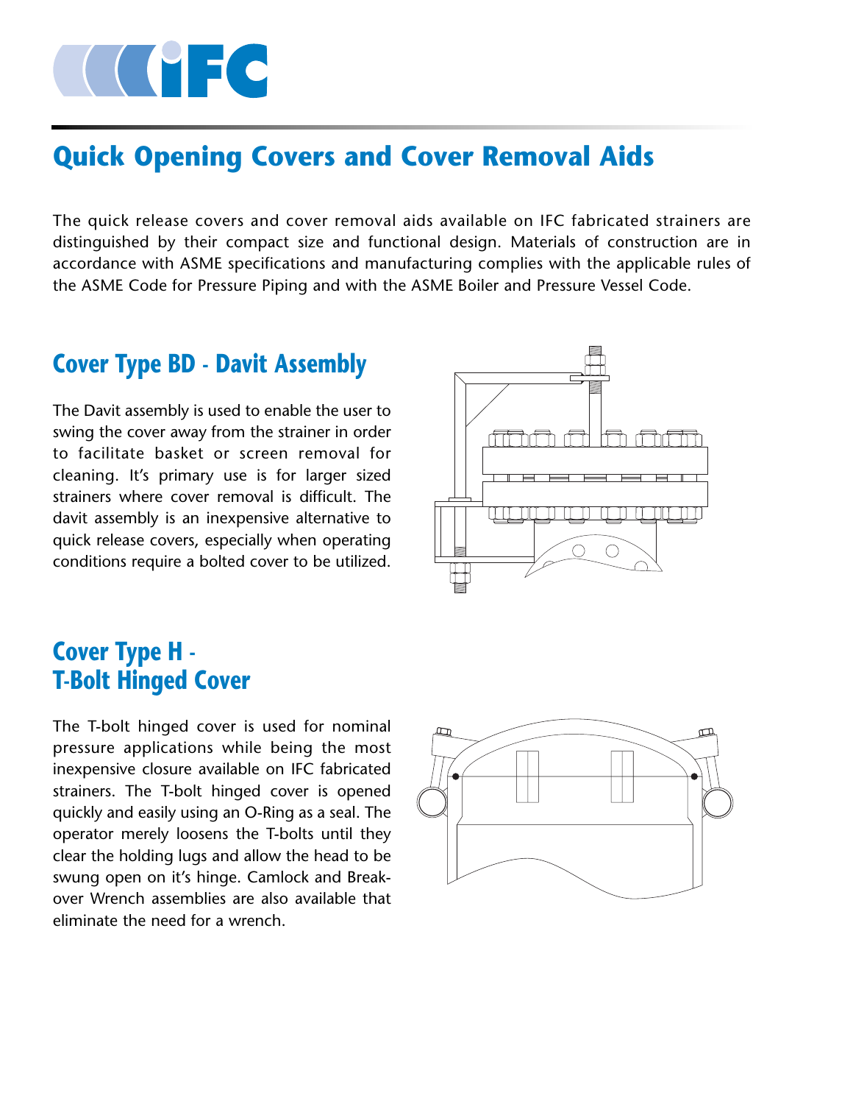# COMPLE COMPLETE

# **Quick Opening Covers and Cover Removal Aids**

The quick release covers and cover removal aids available on IFC fabricated strainers are distinguished by their compact size and functional design. Materials of construction are in accordance with ASME specifications and manufacturing complies with the applicable rules of the ASME Code for Pressure Piping and with the ASME Boiler and Pressure Vessel Code.

# **Cover Type BD - Davit Assembly**

The Davit assembly is used to enable the user to swing the cover away from the strainer in order to facilitate basket or screen removal for cleaning. It's primary use is for larger sized strainers where cover removal is difficult. The davit assembly is an inexpensive alternative to quick release covers, especially when operating conditions require a bolted cover to be utilized.



# **Cover Type H - T-Bolt Hinged Cover**

The T-bolt hinged cover is used for nominal pressure applications while being the most inexpensive closure available on IFC fabricated strainers. The T-bolt hinged cover is opened quickly and easily using an O-Ring as a seal. The operator merely loosens the T-bolts until they clear the holding lugs and allow the head to be swung open on it's hinge. Camlock and Breakover Wrench assemblies are also available that eliminate the need for a wrench.

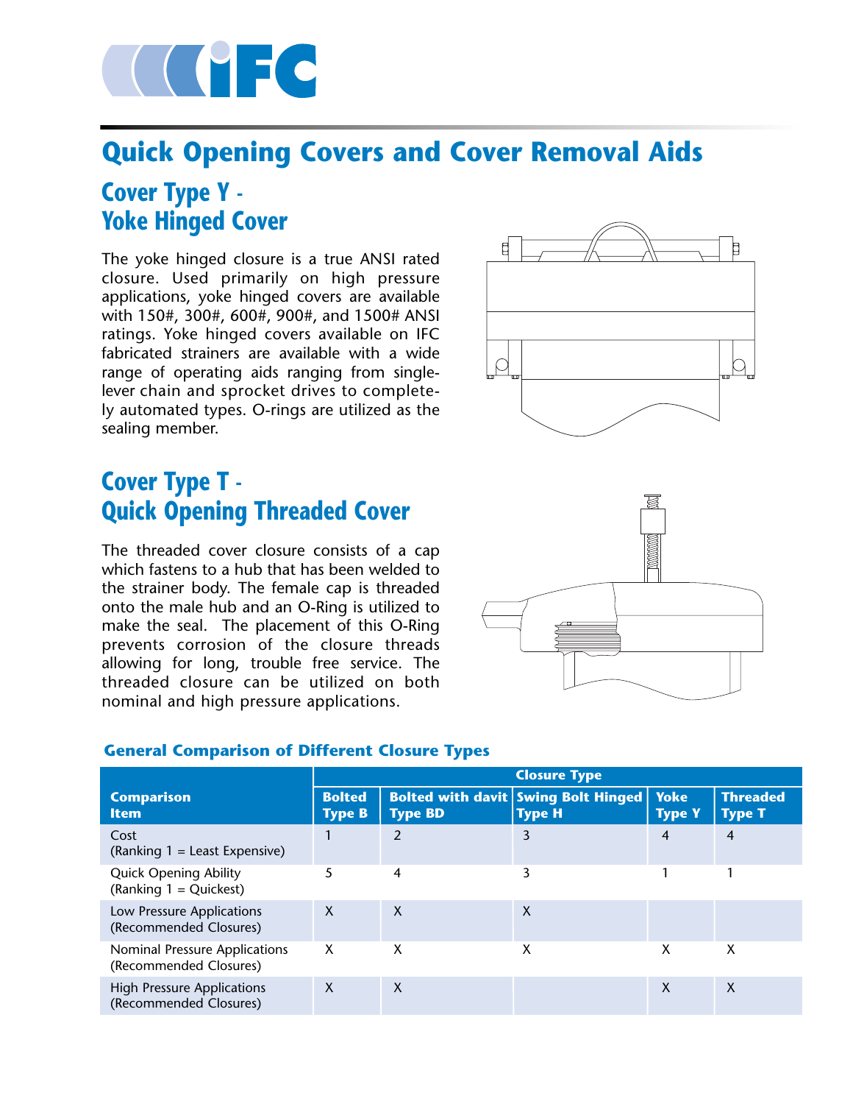

# **Quick Opening Covers and Cover Removal Aids**

# **Cover Type Y - Yoke Hinged Cover**

The yoke hinged closure is a true ANSI rated closure. Used primarily on high pressure applications, yoke hinged covers are available with 150#, 300#, 600#, 900#, and 1500# ANSI ratings. Yoke hinged covers available on IFC fabricated strainers are available with a wide range of operating aids ranging from singlelever chain and sprocket drives to completely automated types. O-rings are utilized as the sealing member.



# **Cover Type T - Quick Opening Threaded Cover**

The threaded cover closure consists of a cap which fastens to a hub that has been welded to the strainer body. The female cap is threaded onto the male hub and an O-Ring is utilized to make the seal. The placement of this O-Ring prevents corrosion of the closure threads allowing for long, trouble free service. The threaded closure can be utilized on both nominal and high pressure applications.



### **General Comparison of Different Closure Types**

|                                                             |                                |                | <b>Closure Type</b>                                         |                              |                                  |
|-------------------------------------------------------------|--------------------------------|----------------|-------------------------------------------------------------|------------------------------|----------------------------------|
| <b>Comparison</b><br><b>Item</b>                            | <b>Bolted</b><br><b>Type B</b> | <b>Type BD</b> | <b>Bolted with davit Swing Bolt Hinged</b><br><b>Type H</b> | <b>Yoke</b><br><b>Type Y</b> | <b>Threaded</b><br><b>Type T</b> |
| Cost<br>(Ranking 1 = Least Expensive)                       |                                | 2              | 3                                                           | 4                            | 4                                |
| <b>Quick Opening Ability</b><br>(Ranking $1 =$ Quickest)    | 5                              | 4              | 3                                                           |                              |                                  |
| Low Pressure Applications<br>(Recommended Closures)         | X                              | $\mathsf{X}$   | X                                                           |                              |                                  |
| Nominal Pressure Applications<br>(Recommended Closures)     | X                              | X              | х                                                           | X                            | X                                |
| <b>High Pressure Applications</b><br>(Recommended Closures) | X                              | $\mathsf{X}$   |                                                             | X                            | X                                |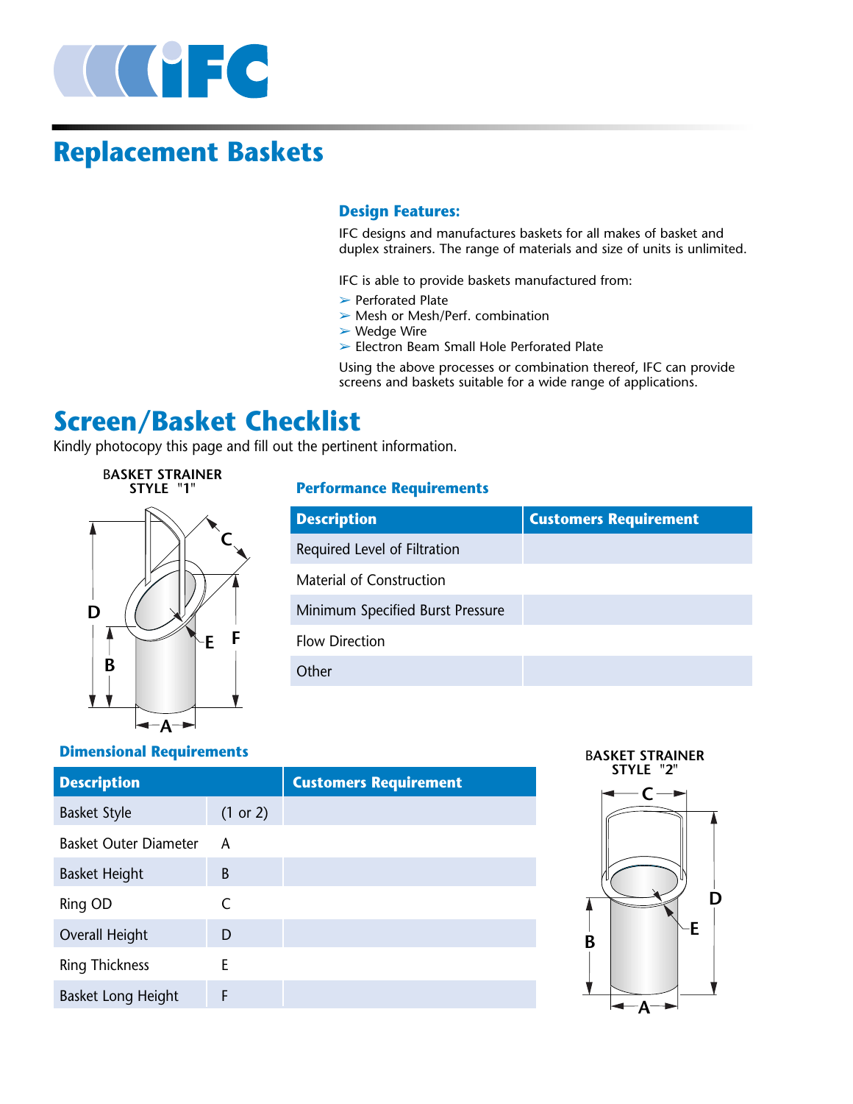

# **Replacement Baskets**

### **Design Features:**

IFC designs and manufactures baskets for all makes of basket and duplex strainers. The range of materials and size of units is unlimited.

IFC is able to provide baskets manufactured from:

- ➢ Perforated Plate
- ➢ Mesh or Mesh/Perf. combination
- ➢ Wedge Wire
- ➢ Electron Beam Small Hole Perforated Plate

Using the above processes or combination thereof, IFC can provide screens and baskets suitable for a wide range of applications.

# **Screen/Basket Checklist**

Kindly photocopy this page and fill out the pertinent information.

# B**ASKET STRAINER STYLE "1" C D E F B** ÷ **A**

### **Performance Requirements**

| <b>Description</b>               | <b>Customers Requirement</b> |
|----------------------------------|------------------------------|
| Required Level of Filtration     |                              |
| Material of Construction         |                              |
| Minimum Specified Burst Pressure |                              |
| <b>Flow Direction</b>            |                              |
| Other                            |                              |

### **Dimensional Requirements**

| <b>Description</b>           |          | <b>Customers Requirement</b> |
|------------------------------|----------|------------------------------|
| <b>Basket Style</b>          | (1 or 2) |                              |
| <b>Basket Outer Diameter</b> | A        |                              |
| <b>Basket Height</b>         | B        |                              |
| Ring OD                      | C        |                              |
| Overall Height               | D        |                              |
| <b>Ring Thickness</b>        | F        |                              |
| <b>Basket Long Height</b>    | F        |                              |

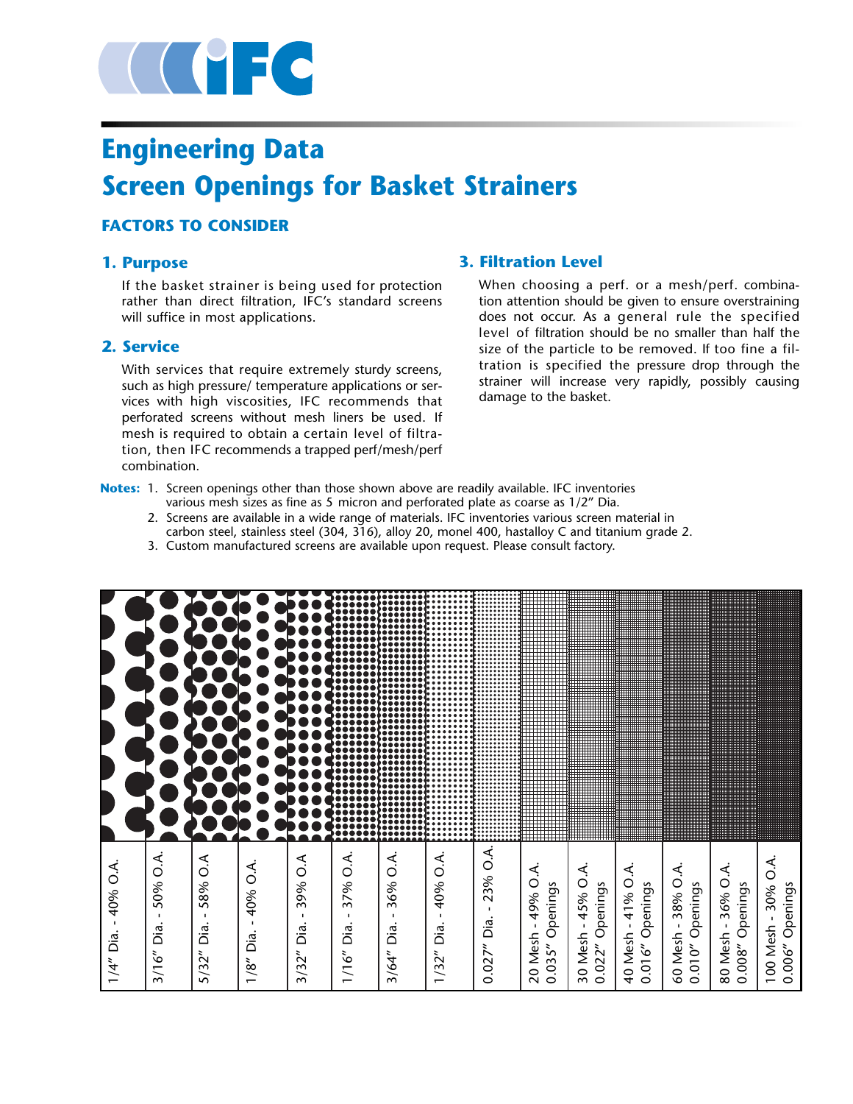

# **Engineering Data Screen Openings for Basket Strainers**

### **FACTORS TO CONSIDER**

### **1. Purpose**

If the basket strainer is being used for protection rather than direct filtration, IFC's standard screens will suffice in most applications.

### **2. Service**

With services that require extremely sturdy screens, such as high pressure/ temperature applications or services with high viscosities, IFC recommends that perforated screens without mesh liners be used. If mesh is required to obtain a certain level of filtration, then IFC recommends a trapped perf/mesh/perf combination.

### **3. Filtration Level**

When choosing a perf. or a mesh/perf. combination attention should be given to ensure overstraining does not occur. As a general rule the specified level of filtration should be no smaller than half the size of the particle to be removed. If too fine a filtration is specified the pressure drop through the strainer will increase very rapidly, possibly causing damage to the basket.

- **Notes:** 1. Screen openings other than those shown above are readily available. IFC inventories various mesh sizes as fine as 5 micron and perforated plate as coarse as 1/2" Dia.
	- 2. Screens are available in a wide range of materials. IFC inventories various screen material in carbon steel, stainless steel (304, 316), alloy 20, monel 400, hastalloy C and titanium grade 2.
	- 3. Custom manufactured screens are available upon request. Please consult factory.

| Ó.<br>40%<br>$\blacksquare$<br>Dia.<br>1/4''                                |  |
|-----------------------------------------------------------------------------|--|
|                                                                             |  |
| 50% O.A.<br>$\mathbf{I}$<br>Dia.<br>3/16''                                  |  |
| $\widetilde{\circ}$<br>58%<br>п.<br>Dia.<br>5/32''                          |  |
| $\widetilde{\mathcal{L}}$<br>40%<br>$\mathbf{I}$<br>Dia.<br>1/8''           |  |
| ⋖<br>0<br>39%<br>Dia<br>3/32''                                              |  |
| نج<br>$\circ$<br>37%<br>$\mathbf{I}$<br>Dia.<br>1/16''                      |  |
| $\sim$<br>36%<br>п.<br>Dia.<br>3/64"                                        |  |
| 40% O.A.<br>$\mathbf{I}$<br>Dia.<br>1/32''                                  |  |
| $\sim$<br>23%<br>п.<br>Dia.<br>0.027''                                      |  |
| ۼ<br>49% O<br>Openings<br>$\mathbf{I}$<br>Mesh<br>0.035''<br>$\overline{c}$ |  |
| 45% O.A.<br>Openings<br>30 Mesh -<br>0.022''                                |  |
| 41% O.A.<br>0.016" Openings<br>$\blacksquare$<br>40 Mesh                    |  |
| 38% O.A.<br>0.010" Openings<br>$\blacksquare$<br>60 Mesh                    |  |
| 36% O.A.<br>0.008" Openings<br>$\mathbf{I}$<br>80 Mesh                      |  |
| 30% O.A.<br>Openings<br>100 Mesh -<br>0.006''                               |  |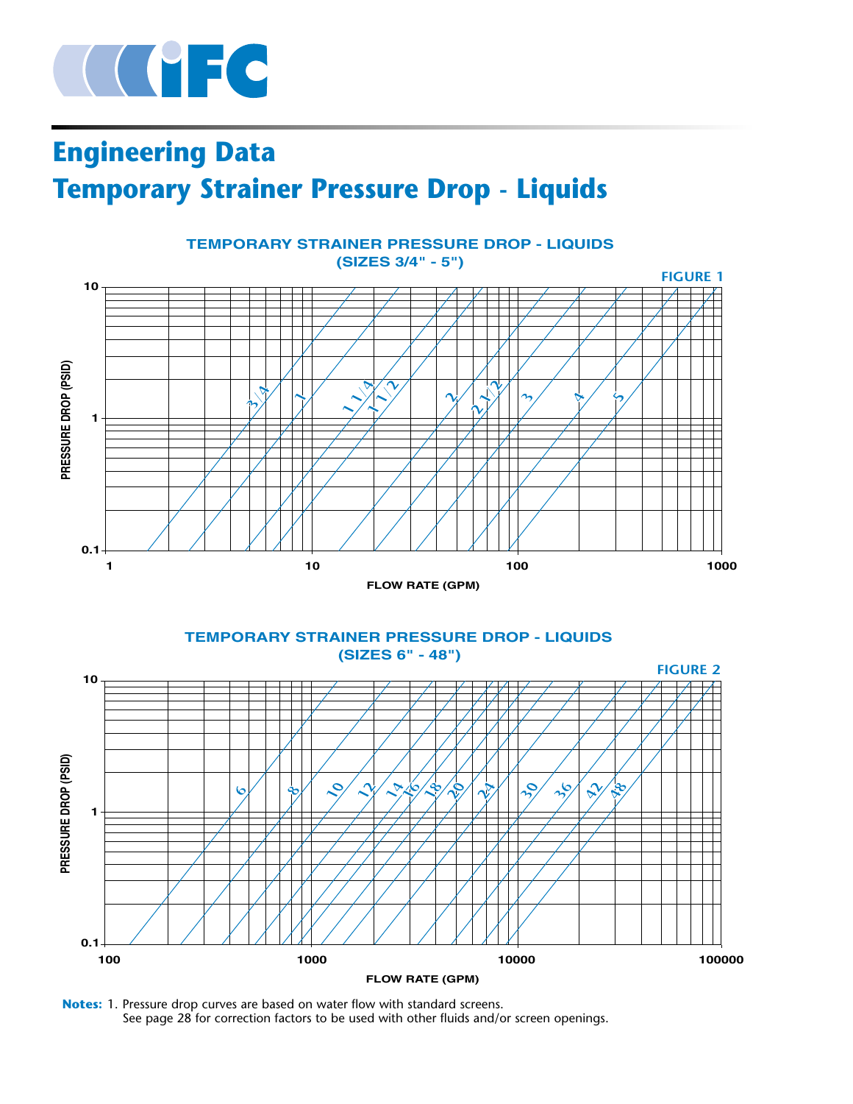

# **Engineering Data Temporary Strainer Pressure Drop - Liquids**



**Notes:** 1. Pressure drop curves are based on water flow with standard screens. See page 28 for correction factors to be used with other fluids and/or screen openings.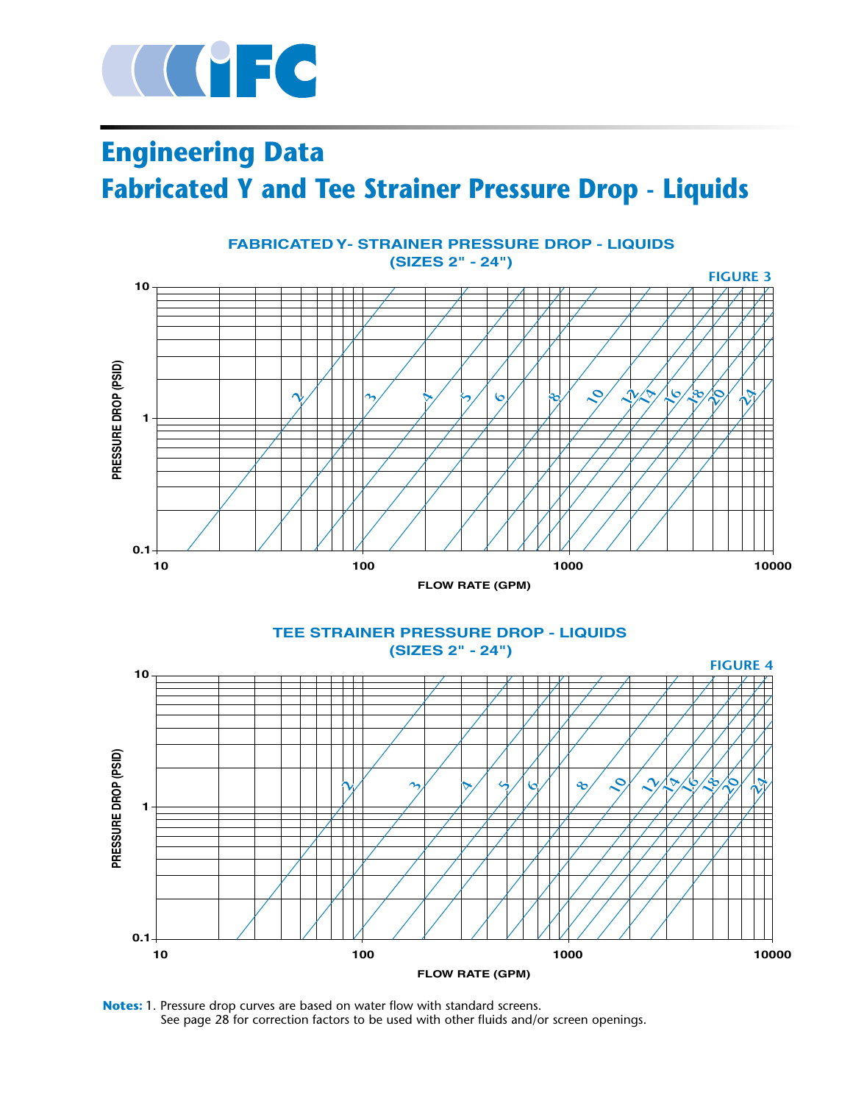

 **0.1**

# **Engineering Data Fabricated Y and Tee Strainer Pressure Drop - Liquids**





**100 1000 10000**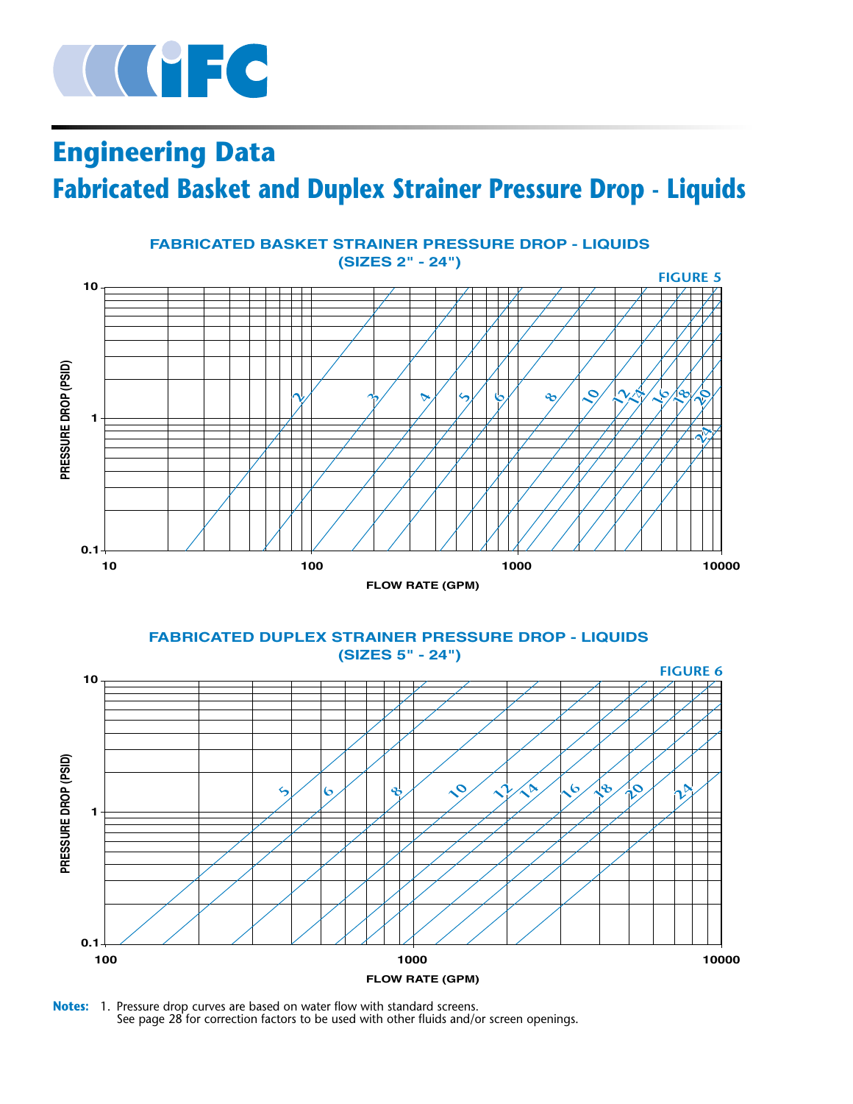

# **Engineering Data Fabricated Basket and Duplex Strainer Pressure Drop - Liquids**



**FABRICATED DUPLEX STRAINER PRESSURE DROP - LIQUIDS (SIZES 5" - 24")**



**Notes:** 1. Pressure drop curves are based on water flow with standard screens. See page 28 for correction factors to be used with other fluids and/or screen openings.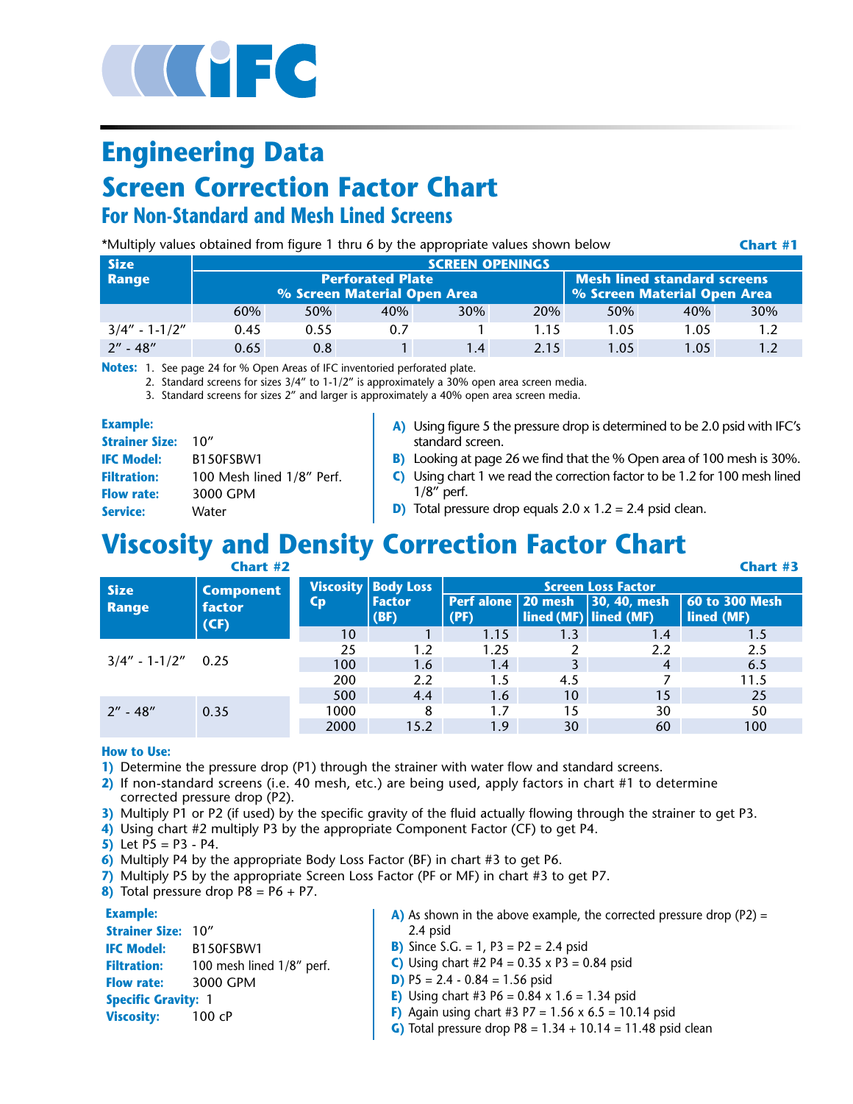

# **Engineering Data Screen Correction Factor Chart For Non-Standard and Mesh Lined Screens**

\*Multiply values obtained from figure 1 thru 6 by the appropriate values shown below

**Chart #1**

| <b>Size</b>       |      |      |                                                        | <b>SCREEN OPENINGS</b>                                            |      |      |      |     |
|-------------------|------|------|--------------------------------------------------------|-------------------------------------------------------------------|------|------|------|-----|
| Range             |      |      | <b>Perforated Plate</b><br>% Screen Material Open Area | <b>Mesh lined standard screens</b><br>% Screen Material Open Area |      |      |      |     |
|                   | 60%  | 50%  | 40%                                                    | 30%                                                               | 20%  | 50%  | 40%  | 30% |
| $3/4" - 1 - 1/2"$ | 0.45 | 0.55 | 0.7                                                    |                                                                   | 1.15 | 1.05 | 1.05 | 1.2 |
| $2'' - 48''$      | 0.65 | 0.8  |                                                        | 1.4                                                               | 2.15 | 1.05 | 1.05 | 1.2 |

**Notes:** 1. See page 24 for % Open Areas of IFC inventoried perforated plate.

2. Standard screens for sizes 3/4" to 1-1/2" is approximately a 30% open area screen media.

3. Standard screens for sizes 2" and larger is approximately a 40% open area screen media.

| . | × |
|---|---|

| <b>Example:</b>       |                           | A) Using figure 5 the pressure drop is determined to be 2.0 psid with IFC's |
|-----------------------|---------------------------|-----------------------------------------------------------------------------|
| <b>Strainer Size:</b> | 10''                      | standard screen.                                                            |
| <b>IFC Model:</b>     | B150FSBW1                 | B) Looking at page 26 we find that the % Open area of 100 mesh is 30%.      |
| <b>Filtration:</b>    | 100 Mesh lined 1/8" Perf. | C) Using chart 1 we read the correction factor to be 1.2 for 100 mesh lined |
| <b>Flow rate:</b>     | 3000 GPM                  | $1/8$ " perf.                                                               |
| Service:              | Water                     | <b>D</b> ) Total pressure drop equals $2.0 \times 1.2 = 2.4$ psid clean.    |

# **Viscosity and Density Correction Factor Chart**

|                         | Chart #2         |                           |                       |                              |                       |                      | Chart #3                     |
|-------------------------|------------------|---------------------------|-----------------------|------------------------------|-----------------------|----------------------|------------------------------|
| <b>Size</b>             | <b>Component</b> |                           | Viscosity Body Loss   | <b>Screen Loss Factor</b>    |                       |                      |                              |
| factor<br>Range<br>(CF) |                  | $\mathsf{c}_{\mathsf{p}}$ | <b>Factor</b><br>(BF) | Perf alone   20 mesh<br>(PF) | lined (MF) lined (MF) | $\vert$ 30, 40, mesh | 60 to 300 Mesh<br>lined (MF) |
|                         |                  | 10                        |                       | 1.15                         | 1.3                   | 1.4                  | 1.5                          |
| $3/4" - 1 - 1/2" 0.25$  |                  | 25                        | 1.2                   | 1.25                         |                       | 2.2                  | 2.5                          |
|                         |                  | 100                       | 1.6                   | 1.4                          |                       | 4                    | 6.5                          |
|                         |                  | 200                       | 2.2                   | 1.5                          | 4.5                   |                      | 11.5                         |
|                         |                  | 500                       | 4.4                   | 1.6                          | 10                    | 15                   | 25                           |
| $2'' - 48''$            | 0.35             | 1000                      | 8                     | 1.7                          | 15                    | 30                   | 50                           |
|                         |                  | 2000                      | 15.2                  | 1.9                          | 30                    | 60                   | 100                          |

**How to Use:**

**1)** Determine the pressure drop (P1) through the strainer with water flow and standard screens.

- **2)** If non-standard screens (i.e. 40 mesh, etc.) are being used, apply factors in chart #1 to determine corrected pressure drop (P2).
- **3)** Multiply P1 or P2 (if used) by the specific gravity of the fluid actually flowing through the strainer to get P3.
- **4)** Using chart #2 multiply P3 by the appropriate Component Factor (CF) to get P4.
- **5)** Let  $P5 = P3 P4$ .
- **6)** Multiply P4 by the appropriate Body Loss Factor (BF) in chart #3 to get P6.
- **7)** Multiply P5 by the appropriate Screen Loss Factor (PF or MF) in chart #3 to get P7.
- **8)** Total pressure drop P8 = P6 + P7.

#### **Example:**

**Strainer Size:** 10" **IFC Model:** B150FSBW1 Filtration: 100 mesh lined 1/8" perf. **Flow rate:** 3000 GPM **Specific Gravity:** 1 **Viscosity:** 100 cP

- **A)** As shown in the above example, the corrected pressure drop (P2) = 2.4 psid
- **B)** Since S.G. = 1, P3 = P2 = 2.4 psid
- **C)** Using chart #2 P4 =  $0.35 \times P3 = 0.84$  psid
- **D)** P5 = 2.4 0.84 = 1.56 psid
- **E)** Using chart #3 P6 =  $0.84 \times 1.6 = 1.34$  psid
- **F)** Again using chart #3 P7 =  $1.56 \times 6.5 = 10.14$  psid
- **G)** Total pressure drop  $P8 = 1.34 + 10.14 = 11.48$  psid clean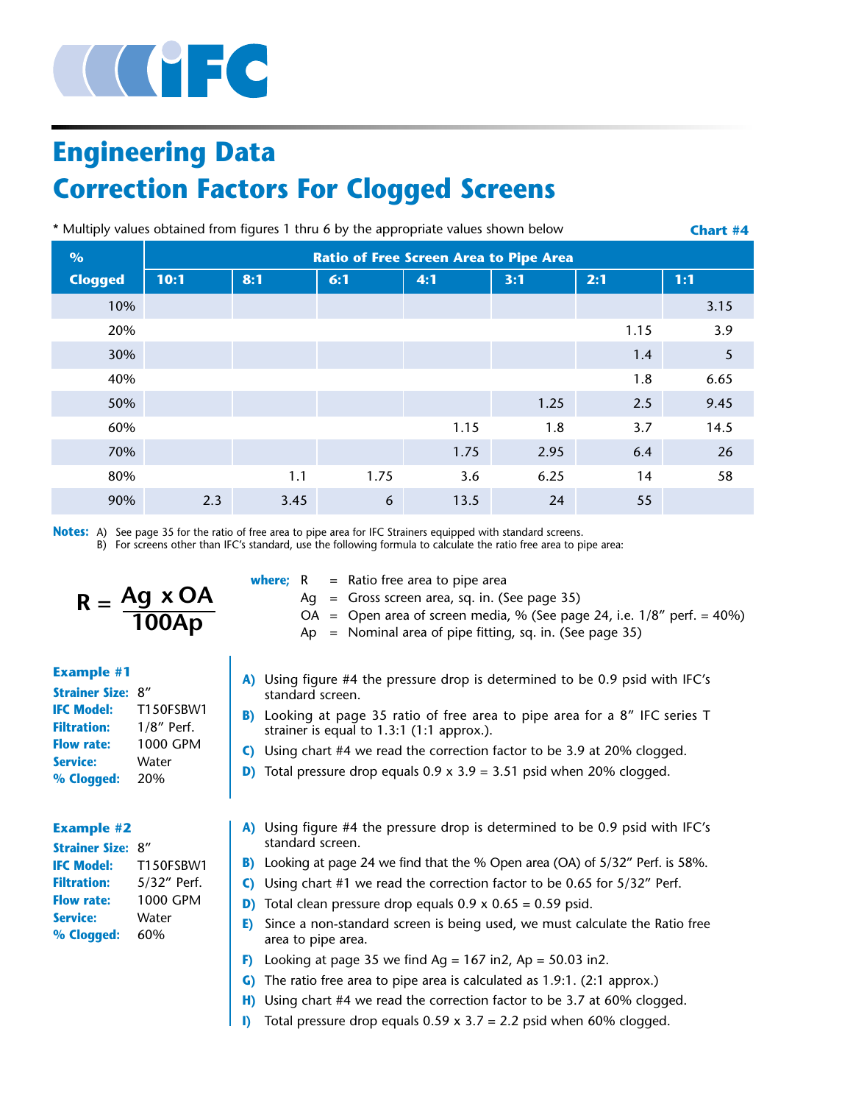

# **Engineering Data Correction Factors For Clogged Screens**

| * Multiply values obtained from figures 1 thru 6 by the appropriate values shown below<br><b>Chart #4</b> |      |                                               |      |      |      |      |      |  |  |  |
|-----------------------------------------------------------------------------------------------------------|------|-----------------------------------------------|------|------|------|------|------|--|--|--|
| $\%$                                                                                                      |      | <b>Ratio of Free Screen Area to Pipe Area</b> |      |      |      |      |      |  |  |  |
| <b>Clogged</b>                                                                                            | 10:1 | 8:1                                           | 6:1  | 4:1  | 3:1  | 2:1  | 1:1  |  |  |  |
| 10%                                                                                                       |      |                                               |      |      |      |      | 3.15 |  |  |  |
| 20%                                                                                                       |      |                                               |      |      |      | 1.15 | 3.9  |  |  |  |
| 30%                                                                                                       |      |                                               |      |      |      | 1.4  | 5    |  |  |  |
| 40%                                                                                                       |      |                                               |      |      |      | 1.8  | 6.65 |  |  |  |
| 50%                                                                                                       |      |                                               |      |      | 1.25 | 2.5  | 9.45 |  |  |  |
| 60%                                                                                                       |      |                                               |      | 1.15 | 1.8  | 3.7  | 14.5 |  |  |  |
| 70%                                                                                                       |      |                                               |      | 1.75 | 2.95 | 6.4  | 26   |  |  |  |
| 80%                                                                                                       |      | 1.1                                           | 1.75 | 3.6  | 6.25 | 14   | 58   |  |  |  |
| 90%                                                                                                       | 2.3  | 3.45                                          | 6    | 13.5 | 24   | 55   |      |  |  |  |

**Notes:** A) See page 35 for the ratio of free area to pipe area for IFC Strainers equipped with standard screens.

B) For screens other than IFC's standard, use the following formula to calculate the ratio free area to pipe area:

$$
R = \frac{Ag \times OA}{100Ap}
$$

#### **Example #1**

| <b>Strainer Size:</b> | 8''              |
|-----------------------|------------------|
| <b>IFC Model:</b>     | <b>T150ESBW1</b> |
| <b>Filtration:</b>    | $1/8$ " Perf.    |
| <b>Flow rate:</b>     | 1000 GPM         |
| <b>Service:</b>       | Water            |
| % Clogged:            | 20%              |

### **Example #2**

| <b>Strainer Size:</b> | 8''              |
|-----------------------|------------------|
| <b>IFC Model:</b>     | <b>T150ESBW1</b> |
| <b>Filtration:</b>    | 5/32" Perf.      |
| <b>Flow rate:</b>     | 1000 GPM         |
| <b>Service:</b>       | Water            |
| % Clogged:            | 60%              |

| where; R |  |  |  |  | $=$ Ratio free area to pipe area |
|----------|--|--|--|--|----------------------------------|
|----------|--|--|--|--|----------------------------------|

- Ag = Gross screen area, sq. in. (See page 35)
- OA = Open area of screen media, % (See page 24, i.e.  $1/8''$  perf. =  $40\%$ )
- $Ap = Nominal area of pipe fitting, sq. in. (See page 35)$
- **A)** Using figure #4 the pressure drop is determined to be 0.9 psid with IFC's standard screen.
- **B)** Looking at page 35 ratio of free area to pipe area for a 8" IFC series T strainer is equal to 1.3:1 (1:1 approx.).
- **C)** Using chart #4 we read the correction factor to be 3.9 at 20% clogged.
- **D)** Total pressure drop equals  $0.9 \times 3.9 = 3.51$  psid when 20% clogged.
- **A)** Using figure #4 the pressure drop is determined to be 0.9 psid with IFC's standard screen.
- **B)** Looking at page 24 we find that the % Open area (OA) of 5/32" Perf. is 58%.
- **C)** Using chart #1 we read the correction factor to be 0.65 for 5/32" Perf.
- **D)** Total clean pressure drop equals 0.9 x 0.65 = 0.59 psid.
- **E)** Since a non-standard screen is being used, we must calculate the Ratio free area to pipe area.
- **F)** Looking at page 35 we find  $Ag = 167$  in2,  $Ap = 50.03$  in2.
- **G)** The ratio free area to pipe area is calculated as 1.9:1. (2:1 approx.)
- **H)** Using chart #4 we read the correction factor to be 3.7 at 60% clogged.
- **I)** Total pressure drop equals 0.59 x 3.7 = 2.2 psid when 60% clogged.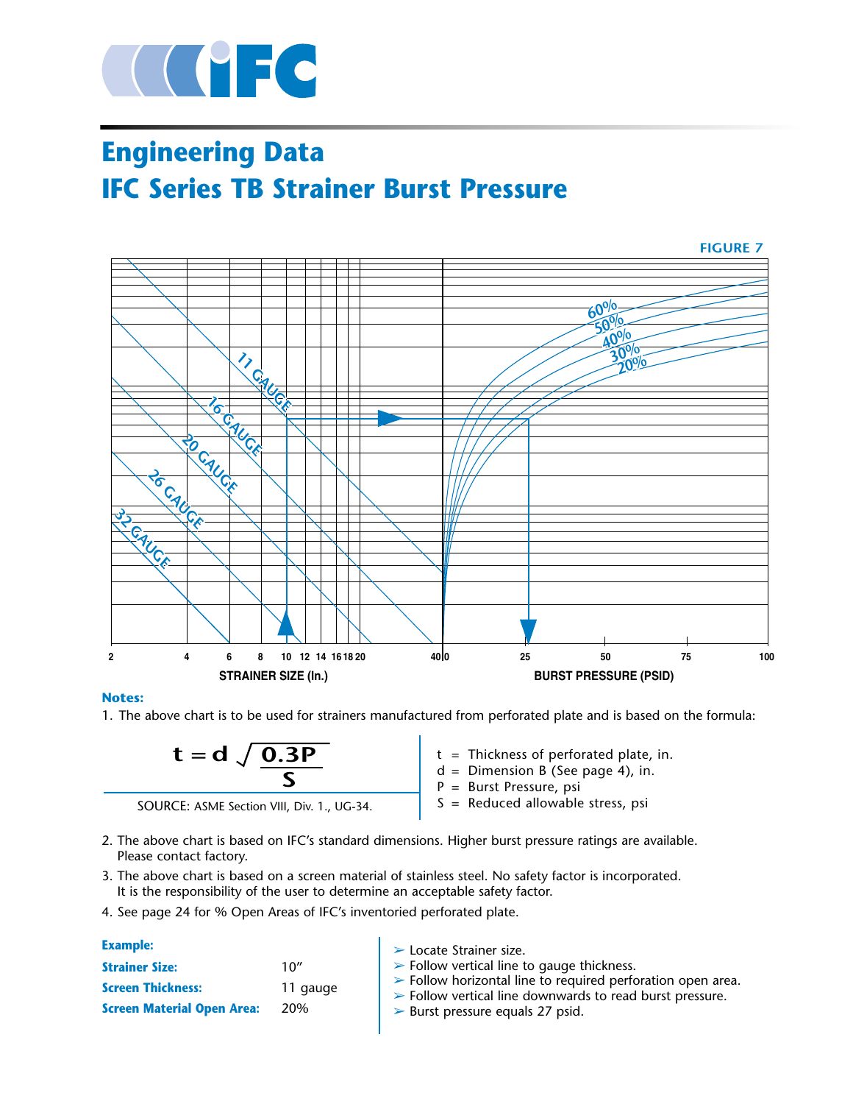

# **Engineering Data IFC Series TB Strainer Burst Pressure**



#### **Notes:**

1. The above chart is to be used for strainers manufactured from perforated plate and is based on the formula:



 $t =$  Thickness of perforated plate, in.

- $d =$  Dimension B (See page 4), in.
- P = Burst Pressure, psi
- S = Reduced allowable stress, psi
- 2. The above chart is based on IFC's standard dimensions. Higher burst pressure ratings are available. Please contact factory.
- 3. The above chart is based on a screen material of stainless steel. No safety factor is incorporated. It is the responsibility of the user to determine an acceptable safety factor.
- 4. See page 24 for % Open Areas of IFC's inventoried perforated plate.

#### ➢ Locate Strainer size.  $\triangleright$  Follow vertical line to gauge thickness. ➢ Follow horizontal line to required perforation open area. ➢ Follow vertical line downwards to read burst pressure. ➢ Burst pressure equals 27 psid. **Example: Strainer Size:** 10" **Screen Thickness:** 11 gauge **Screen Material Open Area:** 20%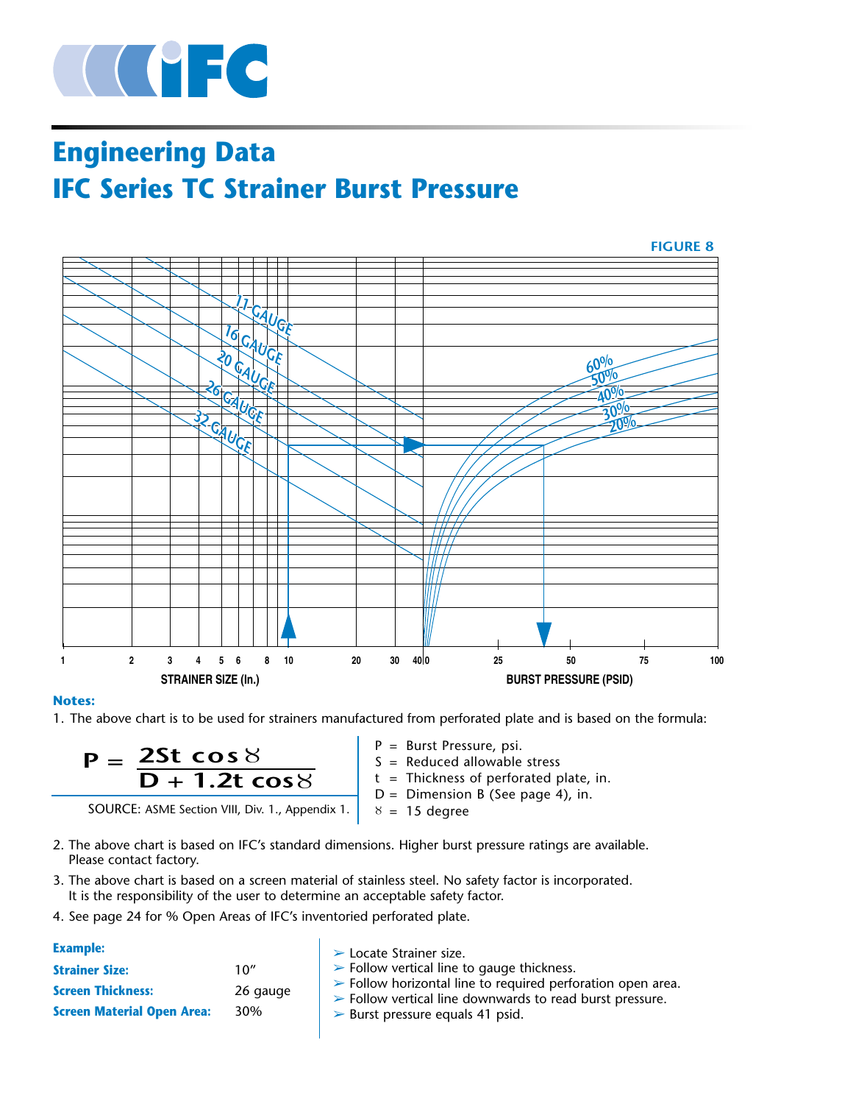

# **Engineering Data IFC Series TC Strainer Burst Pressure**



#### **Notes:**

1. The above chart is to be used for strainers manufactured from perforated plate and is based on the formula:



SOURCE: ASME Section VIII, Div. 1., Appendix 1.

- P = Burst Pressure, psi.  $S =$  Reduced allowable stress  $t =$  Thickness of perforated plate, in. D = Dimension B (See page 4), in.  $8\,$  =  $\,$  15 degree
- 2. The above chart is based on IFC's standard dimensions. Higher burst pressure ratings are available. Please contact factory.
- 3. The above chart is based on a screen material of stainless steel. No safety factor is incorporated. It is the responsibility of the user to determine an acceptable safety factor.
- 4. See page 24 for % Open Areas of IFC's inventoried perforated plate.

| <b>Example:</b>                   |          | $\triangleright$ Locate Strainer size.                                                                                                                |
|-----------------------------------|----------|-------------------------------------------------------------------------------------------------------------------------------------------------------|
| <b>Strainer Size:</b>             | 10''     | $\triangleright$ Follow vertical line to gauge thickness.                                                                                             |
| <b>Screen Thickness:</b>          | 26 gauge | $\triangleright$ Follow horizontal line to required perforation open area.<br>$\triangleright$ Follow vertical line downwards to read burst pressure. |
| <b>Screen Material Open Area:</b> | 30%      | $\triangleright$ Burst pressure equals 41 psid.                                                                                                       |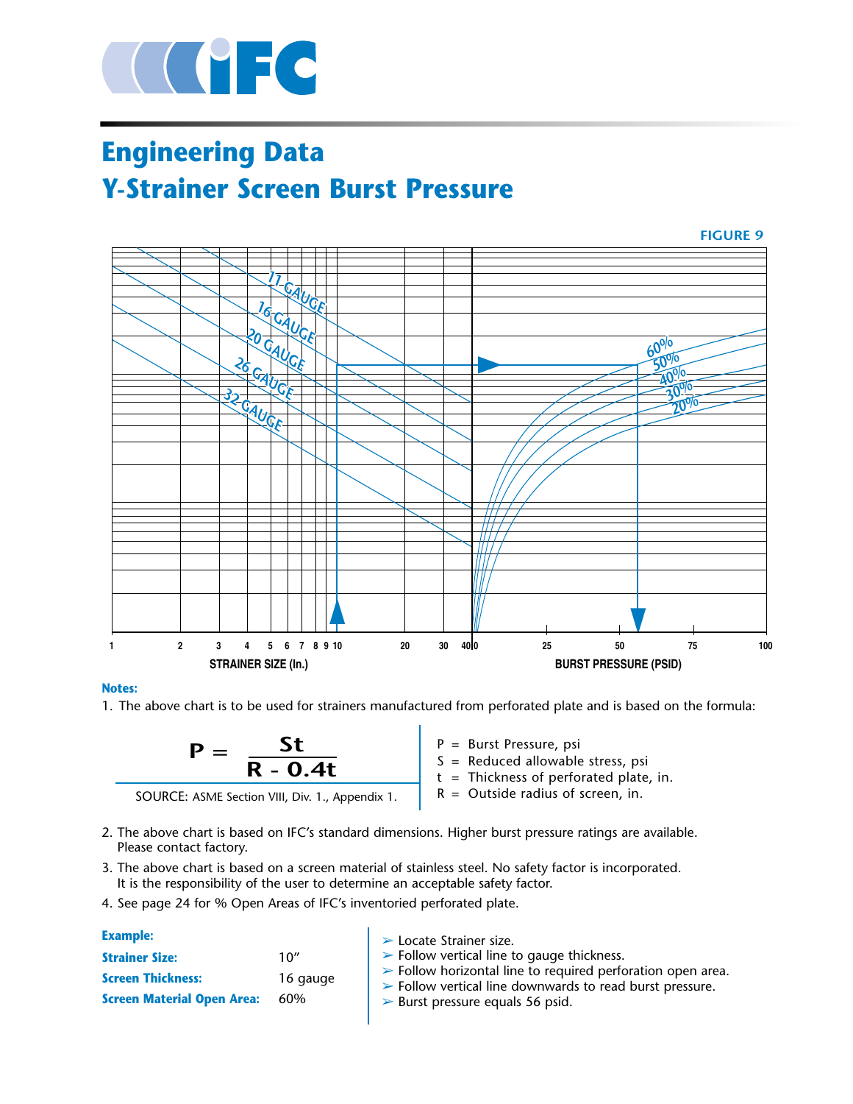

# **Engineering Data Y-Strainer Screen Burst Pressure**



#### **Notes:**

1. The above chart is to be used for strainers manufactured from perforated plate and is based on the formula:



P = Burst Pressure, psi

 $S =$  Reduced allowable stress, psi

 $t =$  Thickness of perforated plate, in.

- $R =$  Outside radius of screen, in.
- 2. The above chart is based on IFC's standard dimensions. Higher burst pressure ratings are available. Please contact factory.
- 3. The above chart is based on a screen material of stainless steel. No safety factor is incorporated. It is the responsibility of the user to determine an acceptable safety factor.
- 4. See page 24 for % Open Areas of IFC's inventoried perforated plate.

#### ➢ Locate Strainer size.  $\triangleright$  Follow vertical line to gauge thickness.  $\triangleright$  Follow horizontal line to required perforation open area. ➢ Follow vertical line downwards to read burst pressure.  $\blacktriangleright$  Burst pressure equals 56 psid. **Example: Strainer Size:** 10" **Screen Thickness:** 16 gauge **Screen Material Open Area:** 60%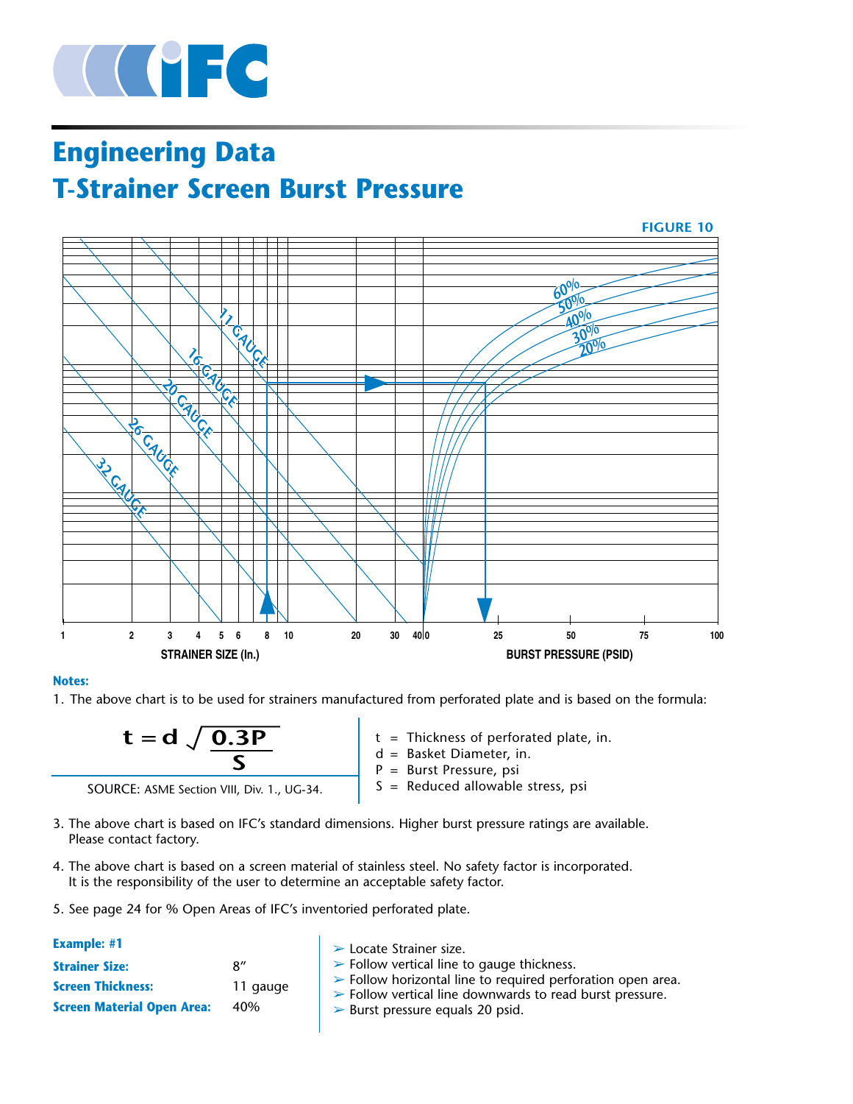

# **Engineering Data T-Strainer Screen Burst Pressure**



#### **Notes:**

1. The above chart is to be used for strainers manufactured from perforated plate and is based on the formula:

| 0.3P<br>= |  |
|-----------|--|
|           |  |

SOURCE: ASME Section VIII, Div. 1., UG-34.

- $t = Thichness of performed plate, in.$ d = Basket Diameter, in. P = Burst Pressure, psi
- S = Reduced allowable stress, psi
- 3. The above chart is based on IFC's standard dimensions. Higher burst pressure ratings are available. Please contact factory.
- 4. The above chart is based on a screen material of stainless steel. No safety factor is incorporated. It is the responsibility of the user to determine an acceptable safety factor.
- 5. See page 24 for % Open Areas of IFC's inventoried perforated plate.

| <b>Example: #1</b>                                                                     |                        | $\triangleright$ Locate Strainer size.                                                                                                                                                                                                                                |
|----------------------------------------------------------------------------------------|------------------------|-----------------------------------------------------------------------------------------------------------------------------------------------------------------------------------------------------------------------------------------------------------------------|
| <b>Strainer Size:</b><br><b>Screen Thickness:</b><br><b>Screen Material Open Area:</b> | 8''<br>11 gauge<br>40% | $\triangleright$ Follow vertical line to gauge thickness.<br>$\triangleright$ Follow horizontal line to required perforation open area.<br>$\triangleright$ Follow vertical line downwards to read burst pressure.<br>$\triangleright$ Burst pressure equals 20 psid. |
|                                                                                        |                        |                                                                                                                                                                                                                                                                       |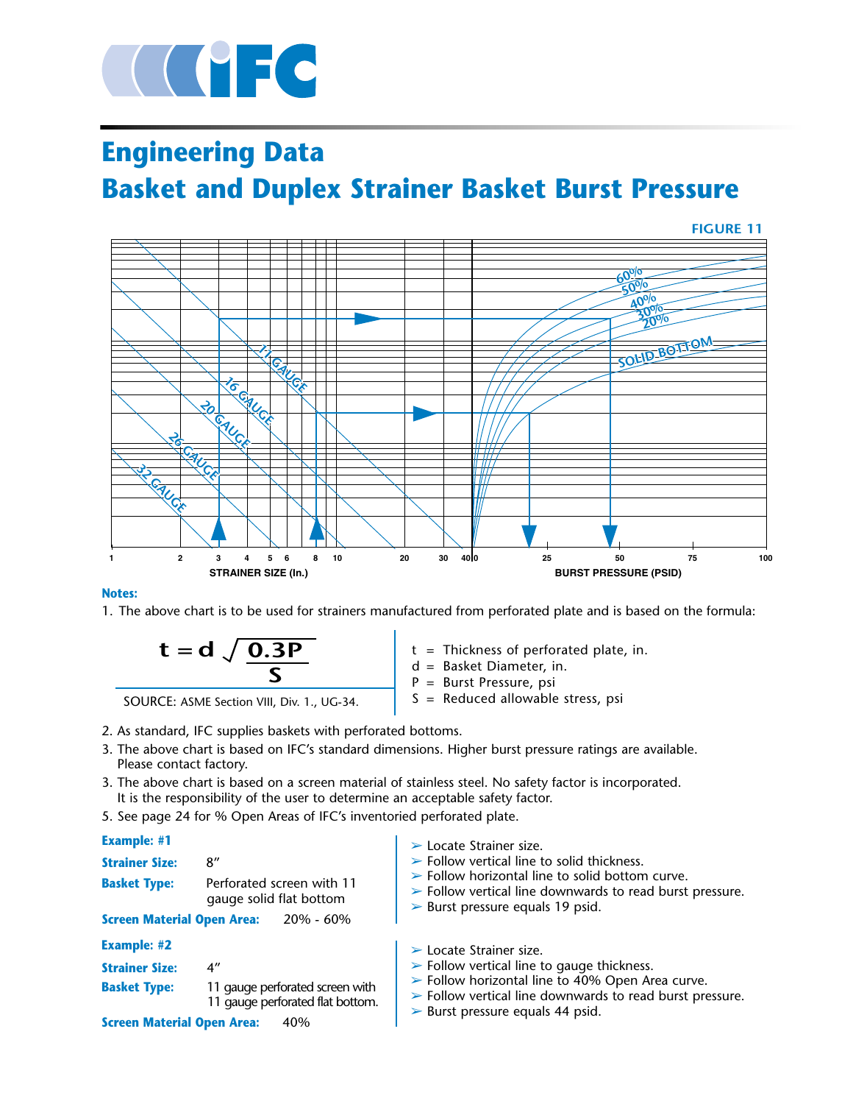

# **Engineering Data Basket and Duplex Strainer Basket Burst Pressure**



#### **Notes:**

1. The above chart is to be used for strainers manufactured from perforated plate and is based on the formula:

$$
t = d \sqrt{\frac{0.3P}{S}}
$$

SOURCE: ASME Section VIII, Div. 1., UG-34.

- t = Thickness of perforated plate, in.
- d = Basket Diameter, in.
- P = Burst Pressure, psi
- $S =$  Reduced allowable stress, psi
- 2. As standard, IFC supplies baskets with perforated bottoms.
- 3. The above chart is based on IFC's standard dimensions. Higher burst pressure ratings are available. Please contact factory.
- 3. The above chart is based on a screen material of stainless steel. No safety factor is incorporated. It is the responsibility of the user to determine an acceptable safety factor.
- 5. See page 24 for % Open Areas of IFC's inventoried perforated plate.

#### $\blacktriangleright$  Locate Strainer size.  $\triangleright$  Follow vertical line to solid thickness.  $\triangleright$  Follow horizontal line to solid bottom curve.  $\triangleright$  Follow vertical line downwards to read burst pressure.  $\triangleright$  Burst pressure equals 19 psid. **Example: #1 Strainer Size:** 8" **Basket Type:** Perforated screen with 11 gauge solid flat bottom **Screen Material Open Area:** 20% - 60%  $\blacktriangleright$  Locate Strainer size.  $\blacktriangleright$  Follow vertical line to gauge thickness. ➢ Follow horizontal line to 40% Open Area curve.  $\triangleright$  Follow vertical line downwards to read burst pressure.  $\triangleright$  Burst pressure equals 44 psid. **Example: #2 Strainer Size:** 4" **Basket Type:** 11 gauge perforated screen with 11 gauge perforated flat bottom. **Screen Material Open Area: 40%**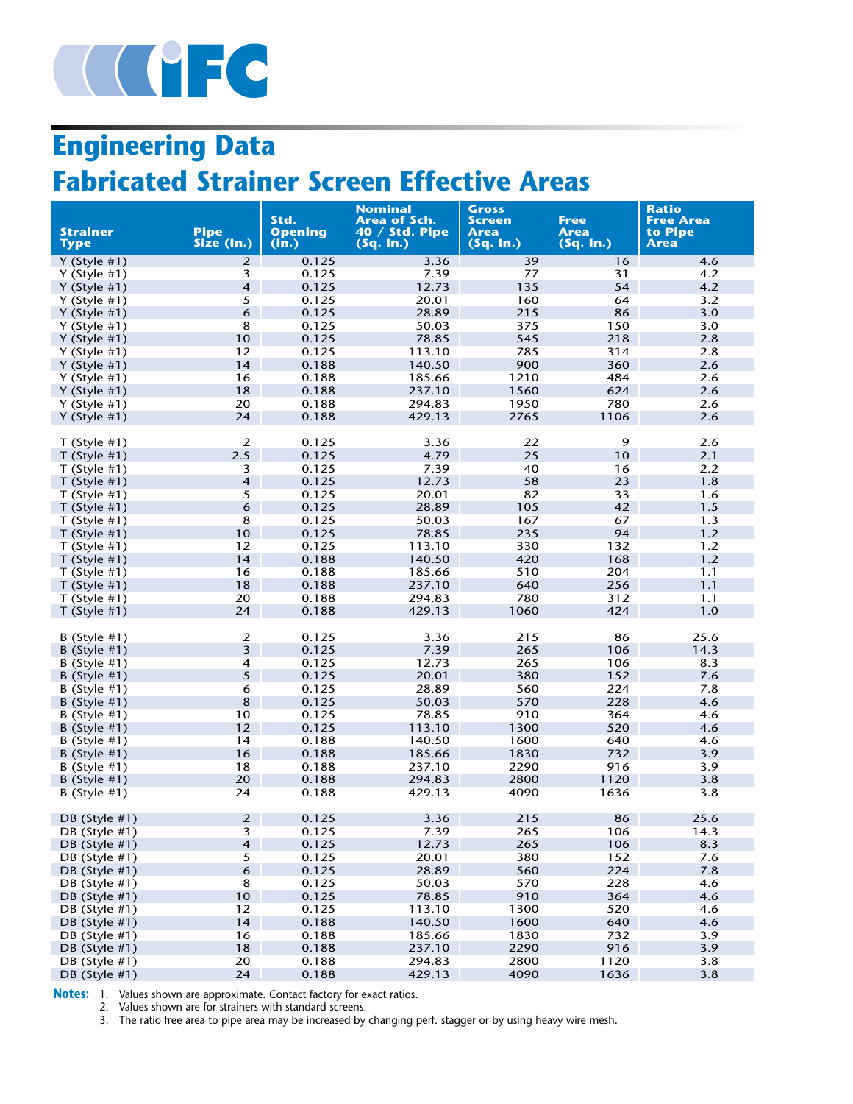

# **Engineering Data**

# **Fabricated Strainer Screen Effective Areas**

|                                    |                           | Std.                    | <b>Nominal</b><br>Area of Sch. | Gross<br><b>Screen</b>   | Free              | <b>Ratio</b><br><b>Free Area</b> |
|------------------------------------|---------------------------|-------------------------|--------------------------------|--------------------------|-------------------|----------------------------------|
| <b>Strainer</b><br><b>Type</b>     | <b>Pipe</b><br>Size (In.) | <b>Opening</b><br>(in.) | $40 /$ Std. Pipe<br>(Sq. In.)  | <b>Area</b><br>(Sq. In.) | Area<br>(Sq. In.) | to Pipe<br>Area                  |
| Y (Style $#1$ )                    | $\overline{2}$            | 0.125                   | 3.36                           | 39                       | 16                | 4.6                              |
| Y (Style $#1$ )                    | 3                         | 0.125                   | 7.39                           | 77                       | 31                | 4.2                              |
| Y (Style $#1$ )                    | $\overline{\mathbf{4}}$   | 0.125                   | 12.73                          | 135                      | 54                | 4.2                              |
| Y (Style $#1$ )                    | 5                         | 0.125                   | 20.01                          | 160                      | 64                | 3.2                              |
| Y (Style $#1$ )                    | 6                         | 0.125                   | 28.89                          | 215                      | 86                | 3.0                              |
| Y (Style $#1$ )                    | 8                         | 0.125                   | 50.03                          | 375                      | 150               | 3.0                              |
| Y (Style $#1$ )                    | 10                        | 0.125                   | 78.85                          | 545                      | 218               | 2.8                              |
| Y (Style $#1$ )                    | 12                        | 0.125                   | 113.10                         | 785                      | 314               | 2.8                              |
| Y (Style $#1$ )                    | 14                        | 0.188                   | 140.50                         | 900                      | 360               | 2.6                              |
| Y (Style $#1$ )                    | 16                        | 0.188                   | 185.66<br>237.10               | 1210<br>1560             | 484               | 2.6                              |
| $Y$ (Style #1)                     | 18<br>20                  | 0.188<br>0.188          | 294.83                         | 1950                     | 624<br>780        | 2.6<br>2.6                       |
| Y (Style $#1$ )<br>Y (Style $#1$ ) | 24                        | 0.188                   | 429.13                         | 2765                     | 1106              | 2.6                              |
|                                    |                           |                         |                                |                          |                   |                                  |
| $T$ (Style #1)                     | $\overline{2}$            | 0.125                   | 3.36                           | 22                       | 9                 | 2.6                              |
| $T$ (Style #1)                     | 2.5                       | 0.125                   | 4.79                           | 25                       | 10                | 2.1                              |
| $T$ (Style #1)                     | 3                         | 0.125                   | 7.39                           | 40                       | 16                | 2.2                              |
| $T$ (Style #1)                     | $\overline{\mathbf{4}}$   | 0.125                   | 12.73                          | 58                       | 23                | 1.8                              |
| $T$ (Style #1)                     | 5                         | 0.125                   | 20.01                          | 82                       | 33                | 1.6                              |
| $T$ (Style #1)                     | 6                         | 0.125                   | 28.89                          | 105                      | 42                | 1.5                              |
| $T$ (Style #1)                     | 8                         | 0.125                   | 50.03                          | 167                      | 67                | 1.3                              |
| $T$ (Style #1)                     | 10                        | 0.125                   | 78.85                          | 235                      | 94                | 1.2                              |
| $T$ (Style #1)                     | 12                        | 0.125                   | 113.10                         | 330                      | 132               | 1.2                              |
| $T$ (Style #1)                     | 14                        | 0.188                   | 140.50                         | 420                      | 168               | 1.2                              |
| T (Style $#1$ )                    | 16                        | 0.188                   | 185.66                         | 510                      | 204               | 1.1                              |
| $T$ (Style #1)                     | 18                        | 0.188                   | 237.10                         | 640                      | 256               | 1.1                              |
| $T$ (Style #1)                     | 20                        | 0.188                   | 294.83                         | 780                      | 312               | 1.1                              |
| $T$ (Style #1)                     | 24                        | 0.188                   | 429.13                         | 1060                     | 424               | 1.0                              |
| $B$ (Style #1)                     | $\boldsymbol{2}$          | 0.125                   | 3.36                           | 215                      | 86                | 25.6                             |
| B (Style $#1$ )                    | 3                         | 0.125                   | 7.39                           | 265                      | 106               | 14.3                             |
| B (Style $#1$ )                    | $\overline{\mathbf{4}}$   | 0.125                   | 12.73                          | 265                      | 106               | 8.3                              |
| $B$ (Style #1)                     | 5                         | 0.125                   | 20.01                          | 380                      | 152               | 7.6                              |
| B (Style $#1$ )                    | 6                         | 0.125                   | 28.89                          | 560                      | 224               | 7.8                              |
| $B$ (Style #1)                     | 8                         | 0.125                   | 50.03                          | 570                      | 228               | 4.6                              |
| B (Style $#1$ )                    | 10                        | 0.125                   | 78.85                          | 910                      | 364               | 4.6                              |
| B (Style $#1$ )                    | 12                        | 0.125                   | 113.10                         | 1300                     | 520               | 4.6                              |
| B (Style #1)                       | 14                        | 0.188                   | 140.50                         | 1600                     | 640               | 4.6                              |
| B (Style $#1$ )                    | 16                        | 0.188                   | 185.66                         | 1830                     | 732               | 3.9                              |
| B (Style $#1$ )                    | 18                        | 0.188                   | 237.10                         | 2290                     | 916               | 3.9                              |
| B (Style $#1$ )                    | 20                        | 0.188                   | 294.83                         | 2800                     | 1120              | 3.8                              |
| B (Style #1)                       | 24                        | 0.188                   | 429.13                         | 4090                     | 1636              | 3.8                              |
| DB (Style #1)                      | $\overline{2}$            | 0.125                   | 3.36                           | 215                      | 86                | 25.6                             |
| DB (Style #1)                      | 3                         | 0.125                   | 7.39                           | 265                      | 106               | 14.3                             |
| DB (Style #1)                      | $\overline{4}$            | 0.125                   | 12.73                          | 265                      | 106               | 8.3                              |
| DB (Style #1)                      | $\overline{\mathbf{5}}$   | 0.125                   | 20.01                          | 380                      | 152               | 7.6                              |
| DB (Style $#1$ )                   | 6                         | 0.125                   | 28.89                          | 560                      | 224               | 7.8                              |
| DB (Style #1)                      | 8                         | 0.125                   | 50.03                          | 570                      | 228               | 4.6                              |
| DB (Style #1)                      | 10                        | 0.125                   | 78.85                          | 910                      | 364               | 4.6                              |
| DB (Style #1)                      | 12                        | 0.125                   | 113.10                         | 1300                     | 520               | 4.6                              |
| DB (Style #1)                      | 14                        | 0.188                   | 140.50                         | 1600                     | 640               | 4.6                              |
| DB (Style #1)                      | 16                        | 0.188                   | 185.66                         | 1830                     | 732               | 3.9                              |
| DB (Style #1)                      | 18                        | 0.188                   | 237.10                         | 2290                     | 916               | 3.9                              |
| DB (Style #1)                      | 20                        | 0.188                   | 294.83                         | 2800                     | 1120              | 3.8                              |
| DB (Style #1)                      | 24                        | 0.188                   | 429.13                         | 4090                     | 1636              | 3.8                              |

**Notes:** 1. Values shown are approximate. Contact factory for exact ratios.

2. Values shown are for strainers with standard screens.

3. The ratio free area to pipe area may be increased by changing perf. stagger or by using heavy wire mesh.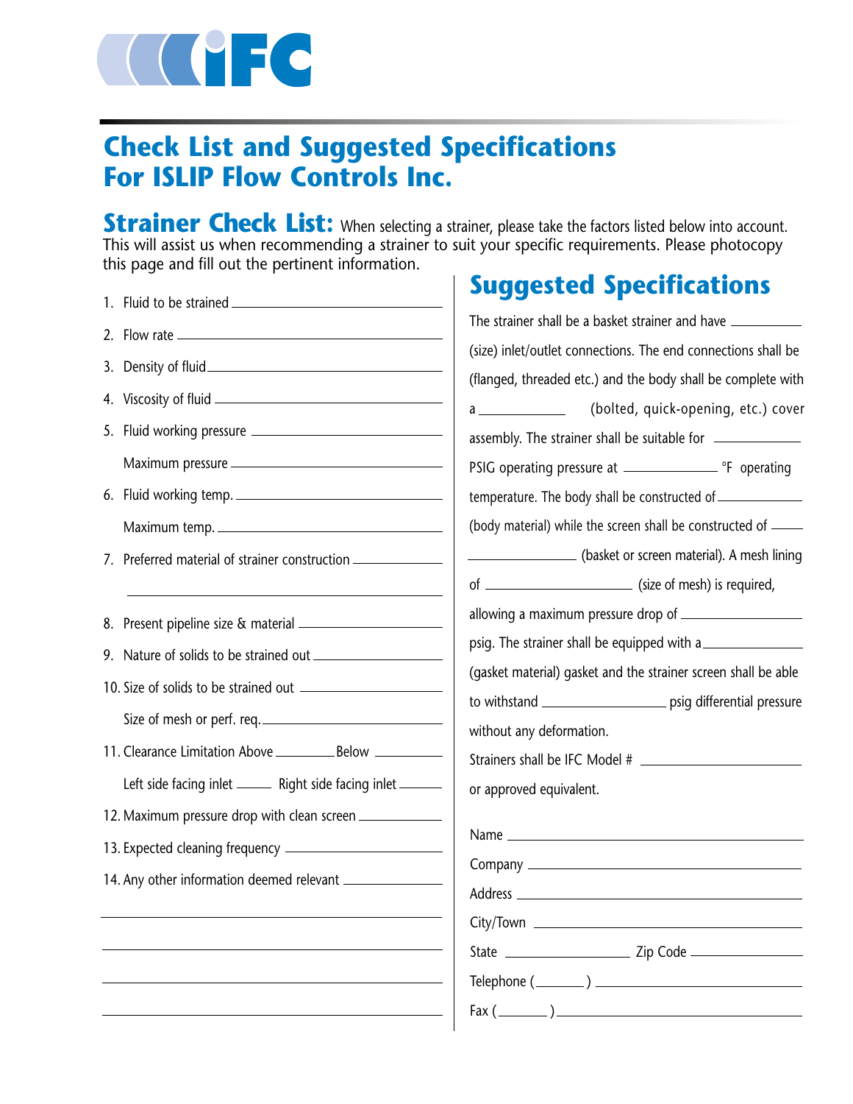

# **Check List and Suggested Specifications For ISLIP Flow Controls Inc.**

**Strainer Check List:** When selecting a strainer, please take the factors listed below into account. This will assist us when recommending a strainer to suit your specific requirements. Please photocopy this page and fill out the pertinent information. **Suggested Specifications**

|                                                                                                                                                | <b>Suggested Specifications</b>                                                                                                      |
|------------------------------------------------------------------------------------------------------------------------------------------------|--------------------------------------------------------------------------------------------------------------------------------------|
|                                                                                                                                                | The strainer shall be a basket strainer and have ________________________________                                                    |
| Density of fluid expression and the property of fluid<br>3.                                                                                    | (size) inlet/outlet connections. The end connections shall be                                                                        |
|                                                                                                                                                | (flanged, threaded etc.) and the body shall be complete with<br>(bolted, quick-opening, etc.) cover<br>$a \overline{\qquad \qquad }$ |
|                                                                                                                                                |                                                                                                                                      |
|                                                                                                                                                |                                                                                                                                      |
| 6. Fluid working temp.                                                                                                                         | temperature. The body shall be constructed of __________________________________                                                     |
| Maximum temp.                                                                                                                                  | (body material) while the screen shall be constructed of _____                                                                       |
| Preferred material of strainer construction<br>7.<br>the control of the control of the control of the control of the control of the control of | (basket or screen material). A mesh lining                                                                                           |
|                                                                                                                                                |                                                                                                                                      |
|                                                                                                                                                | psig. The strainer shall be equipped with a                                                                                          |
|                                                                                                                                                | (gasket material) gasket and the strainer screen shall be able                                                                       |
|                                                                                                                                                | to withstand __________________________ psig differential pressure                                                                   |
| Size of mesh or perf. req.                                                                                                                     | without any deformation.                                                                                                             |
|                                                                                                                                                |                                                                                                                                      |
| Left side facing inlet ______ Right side facing inlet ______                                                                                   | or approved equivalent.                                                                                                              |
|                                                                                                                                                |                                                                                                                                      |
|                                                                                                                                                |                                                                                                                                      |
|                                                                                                                                                |                                                                                                                                      |
|                                                                                                                                                |                                                                                                                                      |
|                                                                                                                                                |                                                                                                                                      |
|                                                                                                                                                |                                                                                                                                      |
|                                                                                                                                                | $\text{Telephone } (\_\_\_\_\_)$                                                                                                     |
|                                                                                                                                                | $\text{Fax} (\_\_\_\_\_)$                                                                                                            |
|                                                                                                                                                |                                                                                                                                      |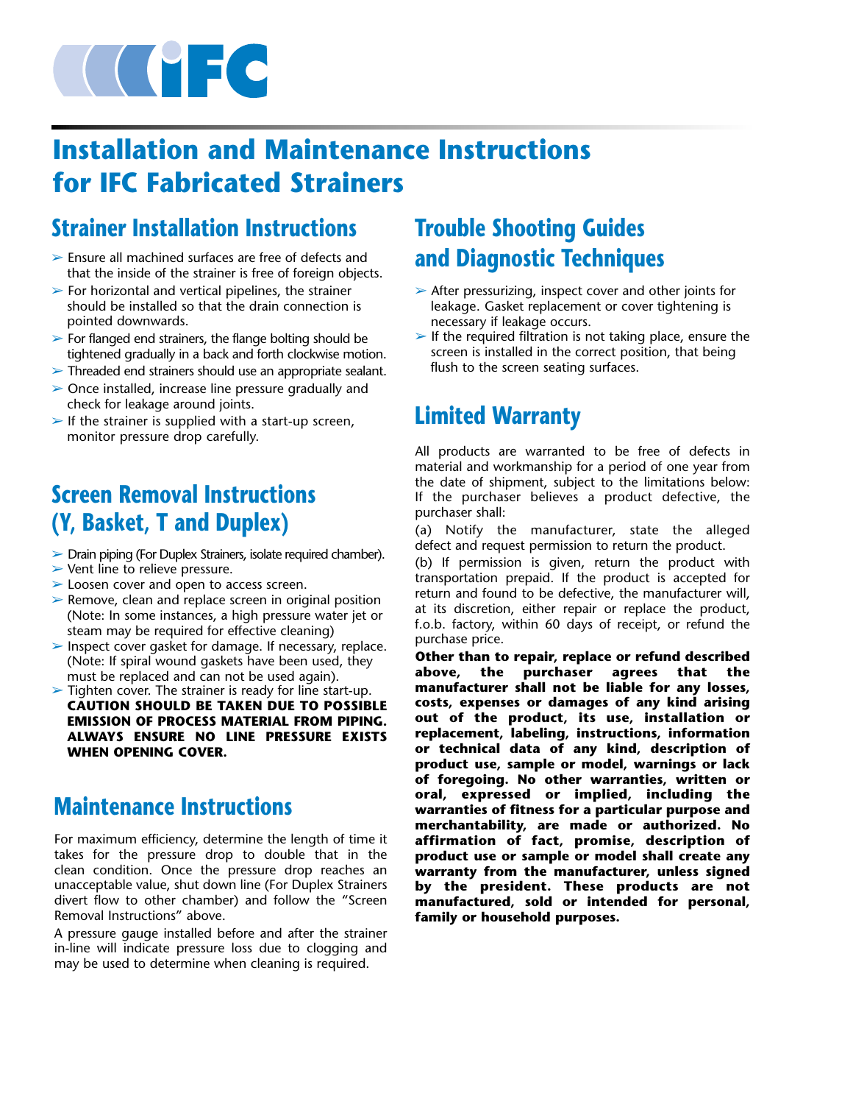

# **Installation and Maintenance Instructions for IFC Fabricated Strainers**

# **Strainer Installation Instructions**

- ➢ Ensure all machined surfaces are free of defects and that the inside of the strainer is free of foreign objects.
- $\triangleright$  For horizontal and vertical pipelines, the strainer should be installed so that the drain connection is pointed downwards.
- $\triangleright$  For flanged end strainers, the flange bolting should be tightened gradually in a back and forth clockwise motion.
- ➢ Threaded end strainers should use an appropriate sealant.
- ➢ Once installed, increase line pressure gradually and check for leakage around joints.
- $\triangleright$  If the strainer is supplied with a start-up screen, monitor pressure drop carefully.

# **Screen Removal Instructions (Y, Basket, T and Duplex)**

- ➢ Drain piping (For Duplex Strainers, isolate required chamber).
- ➢ Vent line to relieve pressure.
- ➢ Loosen cover and open to access screen.
- $\triangleright$  Remove, clean and replace screen in original position (Note: In some instances, a high pressure water jet or steam may be required for effective cleaning)
- ➢ Inspect cover gasket for damage. If necessary, replace. (Note: If spiral wound gaskets have been used, they must be replaced and can not be used again).
- $\triangleright$  Tighten cover. The strainer is ready for line start-up. **CAUTION SHOULD BE TAKEN DUE TO POSSIBLE EMISSION OF PROCESS MATERIAL FROM PIPING. ALWAYS ENSURE NO LINE PRESSURE EXISTS WHEN OPENING COVER.**

# **Maintenance Instructions**

For maximum efficiency, determine the length of time it takes for the pressure drop to double that in the clean condition. Once the pressure drop reaches an unacceptable value, shut down line (For Duplex Strainers divert flow to other chamber) and follow the "Screen Removal Instructions" above.

A pressure gauge installed before and after the strainer in-line will indicate pressure loss due to clogging and may be used to determine when cleaning is required.

# **Trouble Shooting Guides and Diagnostic Techniques**

- ➢ After pressurizing, inspect cover and other joints for leakage. Gasket replacement or cover tightening is necessary if leakage occurs.
- $\blacktriangleright$  If the required filtration is not taking place, ensure the screen is installed in the correct position, that being flush to the screen seating surfaces.

# **Limited Warranty**

All products are warranted to be free of defects in material and workmanship for a period of one year from the date of shipment, subject to the limitations below: If the purchaser believes a product defective, the purchaser shall:

(a) Notify the manufacturer, state the alleged defect and request permission to return the product.

(b) If permission is given, return the product with transportation prepaid. If the product is accepted for return and found to be defective, the manufacturer will, at its discretion, either repair or replace the product, f.o.b. factory, within 60 days of receipt, or refund the purchase price.

**Other than to repair, replace or refund described above, the purchaser agrees that the manufacturer shall not be liable for any losses, costs, expenses or damages of any kind arising out of the product, its use, installation or replacement, labeling, instructions, information or technical data of any kind, description of product use, sample or model, warnings or lack of foregoing. No other warranties, written or oral, expressed or implied, including the warranties of fitness for a particular purpose and merchantability, are made or authorized. No affirmation of fact, promise, description of product use or sample or model shall create any warranty from the manufacturer, unless signed by the president. These products are not manufactured, sold or intended for personal, family or household purposes.**